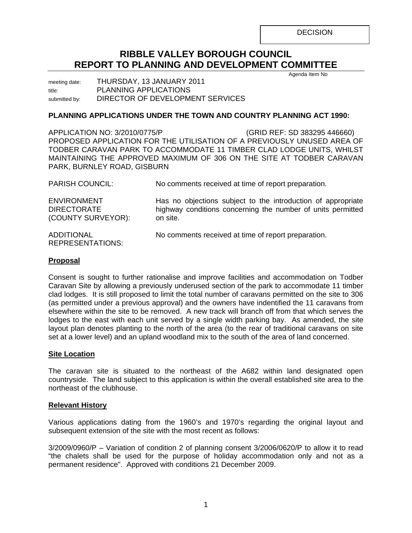**DECISION** 

# **RIBBLE VALLEY BOROUGH COUNCIL REPORT TO PLANNING AND DEVELOPMENT COMMITTEE**

Agenda Item No

meeting date: THURSDAY, 13 JANUARY 2011 title: PLANNING APPLICATIONS submitted by: DIRECTOR OF DEVELOPMENT SERVICES

## **PLANNING APPLICATIONS UNDER THE TOWN AND COUNTRY PLANNING ACT 1990:**

APPLICATION NO: 3/2010/0775/P (GRID REF: SD 383295 446660) PROPOSED APPLICATION FOR THE UTILISATION OF A PREVIOUSLY UNUSED AREA OF TODBER CARAVAN PARK TO ACCOMMODATE 11 TIMBER CLAD LODGE UNITS, WHILST MAINTAINING THE APPROVED MAXIMUM OF 306 ON THE SITE AT TODBER CARAVAN PARK, BURNLEY ROAD, GISBURN

| <b>PARISH COUNCIL:</b>                                         | No comments received at time of report preparation.                                                                                     |
|----------------------------------------------------------------|-----------------------------------------------------------------------------------------------------------------------------------------|
| <b>ENVIRONMENT</b><br><b>DIRECTORATE</b><br>(COUNTY SURVEYOR): | Has no objections subject to the introduction of appropriate<br>highway conditions concerning the number of units permitted<br>on site. |
| <b>ADDITIONAL</b><br><b>REPRESENTATIONS:</b>                   | No comments received at time of report preparation.                                                                                     |

## **Proposal**

Consent is sought to further rationalise and improve facilities and accommodation on Todber Caravan Site by allowing a previously underused section of the park to accommodate 11 timber clad lodges. It is still proposed to limit the total number of caravans permitted on the site to 306 (as permitted under a previous approval) and the owners have indentified the 11 caravans from elsewhere within the site to be removed. A new track will branch off from that which serves the lodges to the east with each unit served by a single width parking bay. As amended, the site layout plan denotes planting to the north of the area (to the rear of traditional caravans on site set at a lower level) and an upland woodland mix to the south of the area of land concerned.

### **Site Location**

The caravan site is situated to the northeast of the A682 within land designated open countryside. The land subject to this application is within the overall established site area to the northeast of the clubhouse.

## **Relevant History**

Various applications dating from the 1960's and 1970's regarding the original layout and subsequent extension of the site with the most recent as follows:

3/2009/0960/P – Variation of condition 2 of planning consent 3/2006/0620/P to allow it to read "the chalets shall be used for the purpose of holiday accommodation only and not as a permanent residence". Approved with conditions 21 December 2009.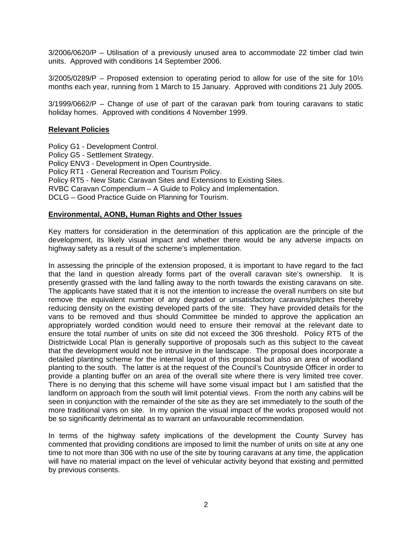3/2006/0620/P – Utilisation of a previously unused area to accommodate 22 timber clad twin units. Approved with conditions 14 September 2006.

 $3/2005/0289$ /P – Proposed extension to operating period to allow for use of the site for 10 $\frac{1}{2}$ months each year, running from 1 March to 15 January. Approved with conditions 21 July 2005.

3/1999/0662/P – Change of use of part of the caravan park from touring caravans to static holiday homes. Approved with conditions 4 November 1999.

## **Relevant Policies**

Policy G1 - Development Control. Policy G5 - Settlement Strategy. Policy ENV3 - Development in Open Countryside. Policy RT1 - General Recreation and Tourism Policy. Policy RT5 - New Static Caravan Sites and Extensions to Existing Sites. RVBC Caravan Compendium – A Guide to Policy and Implementation. DCLG – Good Practice Guide on Planning for Tourism.

### **Environmental, AONB, Human Rights and Other Issues**

Key matters for consideration in the determination of this application are the principle of the development, its likely visual impact and whether there would be any adverse impacts on highway safety as a result of the scheme's implementation.

In assessing the principle of the extension proposed, it is important to have regard to the fact that the land in question already forms part of the overall caravan site's ownership. It is presently grassed with the land falling away to the north towards the existing caravans on site. The applicants have stated that it is not the intention to increase the overall numbers on site but remove the equivalent number of any degraded or unsatisfactory caravans/pitches thereby reducing density on the existing developed parts of the site. They have provided details for the vans to be removed and thus should Committee be minded to approve the application an appropriately worded condition would need to ensure their removal at the relevant date to ensure the total number of units on site did not exceed the 306 threshold. Policy RT5 of the Districtwide Local Plan is generally supportive of proposals such as this subject to the caveat that the development would not be intrusive in the landscape. The proposal does incorporate a detailed planting scheme for the internal layout of this proposal but also an area of woodland planting to the south. The latter is at the request of the Council's Countryside Officer in order to provide a planting buffer on an area of the overall site where there is very limited tree cover. There is no denying that this scheme will have some visual impact but I am satisfied that the landform on approach from the south will limit potential views. From the north any cabins will be seen in conjunction with the remainder of the site as they are set immediately to the south of the more traditional vans on site. In my opinion the visual impact of the works proposed would not be so significantly detrimental as to warrant an unfavourable recommendation.

In terms of the highway safety implications of the development the County Survey has commented that providing conditions are imposed to limit the number of units on site at any one time to not more than 306 with no use of the site by touring caravans at any time, the application will have no material impact on the level of vehicular activity beyond that existing and permitted by previous consents.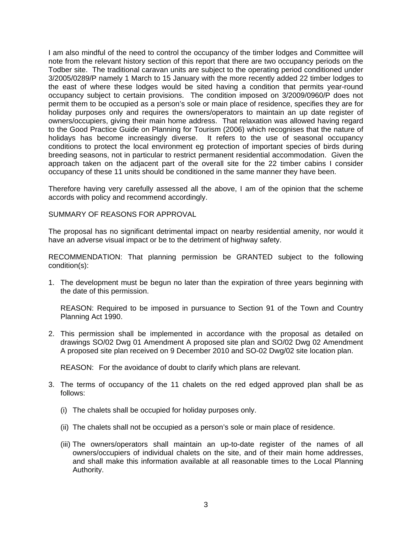I am also mindful of the need to control the occupancy of the timber lodges and Committee will note from the relevant history section of this report that there are two occupancy periods on the Todber site. The traditional caravan units are subject to the operating period conditioned under 3/2005/0289/P namely 1 March to 15 January with the more recently added 22 timber lodges to the east of where these lodges would be sited having a condition that permits year-round occupancy subject to certain provisions. The condition imposed on 3/2009/0960/P does not permit them to be occupied as a person's sole or main place of residence, specifies they are for holiday purposes only and requires the owners/operators to maintain an up date register of owners/occupiers, giving their main home address. That relaxation was allowed having regard to the Good Practice Guide on Planning for Tourism (2006) which recognises that the nature of holidays has become increasingly diverse. It refers to the use of seasonal occupancy conditions to protect the local environment eg protection of important species of birds during breeding seasons, not in particular to restrict permanent residential accommodation. Given the approach taken on the adjacent part of the overall site for the 22 timber cabins I consider occupancy of these 11 units should be conditioned in the same manner they have been.

Therefore having very carefully assessed all the above, I am of the opinion that the scheme accords with policy and recommend accordingly.

### SUMMARY OF REASONS FOR APPROVAL

The proposal has no significant detrimental impact on nearby residential amenity, nor would it have an adverse visual impact or be to the detriment of highway safety.

RECOMMENDATION: That planning permission be GRANTED subject to the following condition(s):

1. The development must be begun no later than the expiration of three years beginning with the date of this permission.

 REASON: Required to be imposed in pursuance to Section 91 of the Town and Country Planning Act 1990.

2. This permission shall be implemented in accordance with the proposal as detailed on drawings SO/02 Dwg 01 Amendment A proposed site plan and SO/02 Dwg 02 Amendment A proposed site plan received on 9 December 2010 and SO-02 Dwg/02 site location plan.

REASON: For the avoidance of doubt to clarify which plans are relevant.

- 3. The terms of occupancy of the 11 chalets on the red edged approved plan shall be as follows:
	- (i) The chalets shall be occupied for holiday purposes only.
	- (ii) The chalets shall not be occupied as a person's sole or main place of residence.
	- (iii) The owners/operators shall maintain an up-to-date register of the names of all owners/occupiers of individual chalets on the site, and of their main home addresses, and shall make this information available at all reasonable times to the Local Planning Authority.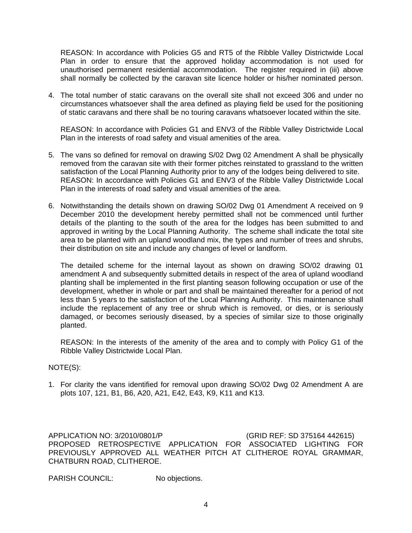REASON: In accordance with Policies G5 and RT5 of the Ribble Valley Districtwide Local Plan in order to ensure that the approved holiday accommodation is not used for unauthorised permanent residential accommodation. The register required in (iii) above shall normally be collected by the caravan site licence holder or his/her nominated person.

4. The total number of static caravans on the overall site shall not exceed 306 and under no circumstances whatsoever shall the area defined as playing field be used for the positioning of static caravans and there shall be no touring caravans whatsoever located within the site.

 REASON: In accordance with Policies G1 and ENV3 of the Ribble Valley Districtwide Local Plan in the interests of road safety and visual amenities of the area.

- 5. The vans so defined for removal on drawing S/02 Dwg 02 Amendment A shall be physically removed from the caravan site with their former pitches reinstated to grassland to the written satisfaction of the Local Planning Authority prior to any of the lodges being delivered to site. REASON: In accordance with Policies G1 and ENV3 of the Ribble Valley Districtwide Local Plan in the interests of road safety and visual amenities of the area.
- 6. Notwithstanding the details shown on drawing SO/02 Dwg 01 Amendment A received on 9 December 2010 the development hereby permitted shall not be commenced until further details of the planting to the south of the area for the lodges has been submitted to and approved in writing by the Local Planning Authority. The scheme shall indicate the total site area to be planted with an upland woodland mix, the types and number of trees and shrubs, their distribution on site and include any changes of level or landform.

 The detailed scheme for the internal layout as shown on drawing SO/02 drawing 01 amendment A and subsequently submitted details in respect of the area of upland woodland planting shall be implemented in the first planting season following occupation or use of the development, whether in whole or part and shall be maintained thereafter for a period of not less than 5 years to the satisfaction of the Local Planning Authority. This maintenance shall include the replacement of any tree or shrub which is removed, or dies, or is seriously damaged, or becomes seriously diseased, by a species of similar size to those originally planted.

 REASON: In the interests of the amenity of the area and to comply with Policy G1 of the Ribble Valley Districtwide Local Plan.

### NOTE(S):

1. For clarity the vans identified for removal upon drawing SO/02 Dwg 02 Amendment A are plots 107, 121, B1, B6, A20, A21, E42, E43, K9, K11 and K13.

APPLICATION NO: 3/2010/0801/P (GRID REF: SD 375164 442615) PROPOSED RETROSPECTIVE APPLICATION FOR ASSOCIATED LIGHTING FOR PREVIOUSLY APPROVED ALL WEATHER PITCH AT CLITHEROE ROYAL GRAMMAR, CHATBURN ROAD, CLITHEROE.

PARISH COUNCIL: No objections.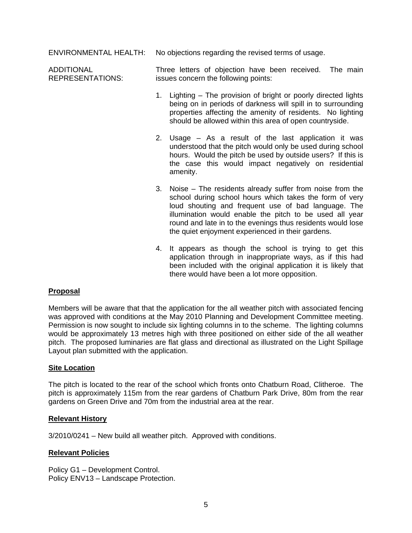ENVIRONMENTAL HEALTH: No objections regarding the revised terms of usage.

ADDITIONAL REPRESENTATIONS: Three letters of objection have been received. The main issues concern the following points:

- 1. Lighting The provision of bright or poorly directed lights being on in periods of darkness will spill in to surrounding properties affecting the amenity of residents. No lighting should be allowed within this area of open countryside.
- 2. Usage As a result of the last application it was understood that the pitch would only be used during school hours. Would the pitch be used by outside users? If this is the case this would impact negatively on residential amenity.
- 3. Noise The residents already suffer from noise from the school during school hours which takes the form of very loud shouting and frequent use of bad language. The illumination would enable the pitch to be used all year round and late in to the evenings thus residents would lose the quiet enjoyment experienced in their gardens.
- 4. It appears as though the school is trying to get this application through in inappropriate ways, as if this had been included with the original application it is likely that there would have been a lot more opposition.

## **Proposal**

Members will be aware that that the application for the all weather pitch with associated fencing was approved with conditions at the May 2010 Planning and Development Committee meeting. Permission is now sought to include six lighting columns in to the scheme. The lighting columns would be approximately 13 metres high with three positioned on either side of the all weather pitch. The proposed luminaries are flat glass and directional as illustrated on the Light Spillage Layout plan submitted with the application.

## **Site Location**

The pitch is located to the rear of the school which fronts onto Chatburn Road, Clitheroe. The pitch is approximately 115m from the rear gardens of Chatburn Park Drive, 80m from the rear gardens on Green Drive and 70m from the industrial area at the rear.

### **Relevant History**

3/2010/0241 – New build all weather pitch. Approved with conditions.

## **Relevant Policies**

Policy G1 – Development Control. Policy ENV13 – Landscape Protection.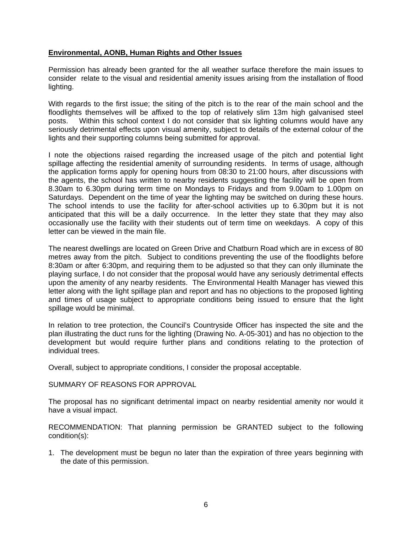## **Environmental, AONB, Human Rights and Other Issues**

Permission has already been granted for the all weather surface therefore the main issues to consider relate to the visual and residential amenity issues arising from the installation of flood lighting.

With regards to the first issue; the siting of the pitch is to the rear of the main school and the floodlights themselves will be affixed to the top of relatively slim 13m high galvanised steel posts. Within this school context I do not consider that six lighting columns would have any seriously detrimental effects upon visual amenity, subject to details of the external colour of the lights and their supporting columns being submitted for approval.

I note the objections raised regarding the increased usage of the pitch and potential light spillage affecting the residential amenity of surrounding residents. In terms of usage, although the application forms apply for opening hours from 08:30 to 21:00 hours, after discussions with the agents, the school has written to nearby residents suggesting the facility will be open from 8.30am to 6.30pm during term time on Mondays to Fridays and from 9.00am to 1.00pm on Saturdays. Dependent on the time of year the lighting may be switched on during these hours. The school intends to use the facility for after-school activities up to 6.30pm but it is not anticipated that this will be a daily occurrence. In the letter they state that they may also occasionally use the facility with their students out of term time on weekdays. A copy of this letter can be viewed in the main file.

The nearest dwellings are located on Green Drive and Chatburn Road which are in excess of 80 metres away from the pitch. Subject to conditions preventing the use of the floodlights before 8:30am or after 6:30pm, and requiring them to be adjusted so that they can only illuminate the playing surface, I do not consider that the proposal would have any seriously detrimental effects upon the amenity of any nearby residents. The Environmental Health Manager has viewed this letter along with the light spillage plan and report and has no objections to the proposed lighting and times of usage subject to appropriate conditions being issued to ensure that the light spillage would be minimal.

In relation to tree protection, the Council's Countryside Officer has inspected the site and the plan illustrating the duct runs for the lighting (Drawing No. A-05-301) and has no objection to the development but would require further plans and conditions relating to the protection of individual trees.

Overall, subject to appropriate conditions, I consider the proposal acceptable.

### SUMMARY OF REASONS FOR APPROVAL

The proposal has no significant detrimental impact on nearby residential amenity nor would it have a visual impact.

RECOMMENDATION: That planning permission be GRANTED subject to the following condition(s):

1. The development must be begun no later than the expiration of three years beginning with the date of this permission.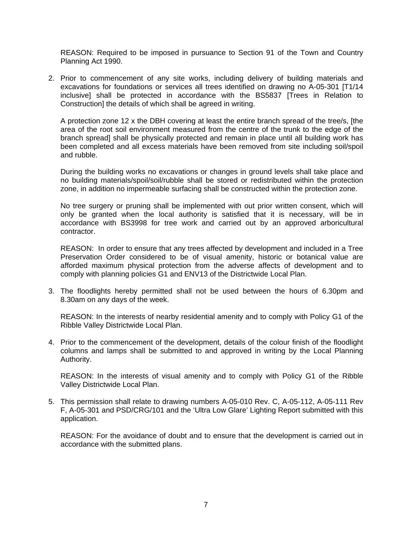REASON: Required to be imposed in pursuance to Section 91 of the Town and Country Planning Act 1990.

2. Prior to commencement of any site works, including delivery of building materials and excavations for foundations or services all trees identified on drawing no A-05-301 [T1/14 inclusive] shall be protected in accordance with the BS5837 [Trees in Relation to Construction] the details of which shall be agreed in writing.

 A protection zone 12 x the DBH covering at least the entire branch spread of the tree/s, [the area of the root soil environment measured from the centre of the trunk to the edge of the branch spread] shall be physically protected and remain in place until all building work has been completed and all excess materials have been removed from site including soil/spoil and rubble.

 During the building works no excavations or changes in ground levels shall take place and no building materials/spoil/soil/rubble shall be stored or redistributed within the protection zone, in addition no impermeable surfacing shall be constructed within the protection zone.

 No tree surgery or pruning shall be implemented with out prior written consent, which will only be granted when the local authority is satisfied that it is necessary, will be in accordance with BS3998 for tree work and carried out by an approved arboricultural contractor.

 REASON: In order to ensure that any trees affected by development and included in a Tree Preservation Order considered to be of visual amenity, historic or botanical value are afforded maximum physical protection from the adverse affects of development and to comply with planning policies G1 and ENV13 of the Districtwide Local Plan.

3. The floodlights hereby permitted shall not be used between the hours of 6.30pm and 8.30am on any days of the week.

 REASON: In the interests of nearby residential amenity and to comply with Policy G1 of the Ribble Valley Districtwide Local Plan.

4. Prior to the commencement of the development, details of the colour finish of the floodlight columns and lamps shall be submitted to and approved in writing by the Local Planning Authority.

 REASON: In the interests of visual amenity and to comply with Policy G1 of the Ribble Valley Districtwide Local Plan.

5. This permission shall relate to drawing numbers A-05-010 Rev. C, A-05-112, A-05-111 Rev F, A-05-301 and PSD/CRG/101 and the 'Ultra Low Glare' Lighting Report submitted with this application.

 REASON: For the avoidance of doubt and to ensure that the development is carried out in accordance with the submitted plans.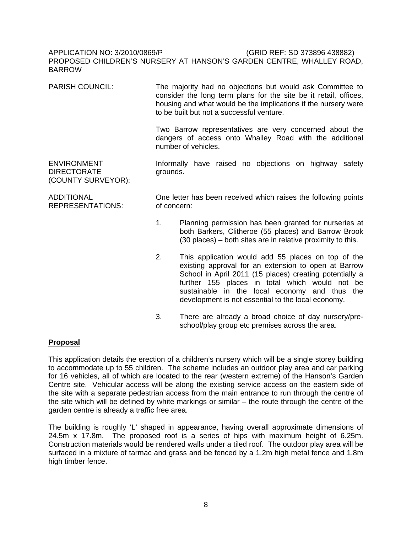## APPLICATION NO: 3/2010/0869/P (GRID REF: SD 373896 438882) PROPOSED CHILDREN'S NURSERY AT HANSON'S GARDEN CENTRE, WHALLEY ROAD, **BARROW**

PARISH COUNCIL: The majority had no objections but would ask Committee to consider the long term plans for the site be it retail, offices, housing and what would be the implications if the nursery were to be built but not a successful venture.

> Two Barrow representatives are very concerned about the dangers of access onto Whalley Road with the additional number of vehicles.

ENVIRONMENT DIRECTORATE (COUNTY SURVEYOR): Informally have raised no objections on highway safety grounds.

ADDITIONAL REPRESENTATIONS: One letter has been received which raises the following points of concern:

- 1. Planning permission has been granted for nurseries at both Barkers, Clitheroe (55 places) and Barrow Brook (30 places) – both sites are in relative proximity to this.
- 2. This application would add 55 places on top of the existing approval for an extension to open at Barrow School in April 2011 (15 places) creating potentially a further 155 places in total which would not be sustainable in the local economy and thus the development is not essential to the local economy.
- 3. There are already a broad choice of day nursery/preschool/play group etc premises across the area.

## **Proposal**

This application details the erection of a children's nursery which will be a single storey building to accommodate up to 55 children. The scheme includes an outdoor play area and car parking for 16 vehicles, all of which are located to the rear (western extreme) of the Hanson's Garden Centre site. Vehicular access will be along the existing service access on the eastern side of the site with a separate pedestrian access from the main entrance to run through the centre of the site which will be defined by white markings or similar – the route through the centre of the garden centre is already a traffic free area.

The building is roughly 'L' shaped in appearance, having overall approximate dimensions of 24.5m x 17.8m. The proposed roof is a series of hips with maximum height of 6.25m. Construction materials would be rendered walls under a tiled roof. The outdoor play area will be surfaced in a mixture of tarmac and grass and be fenced by a 1.2m high metal fence and 1.8m high timber fence.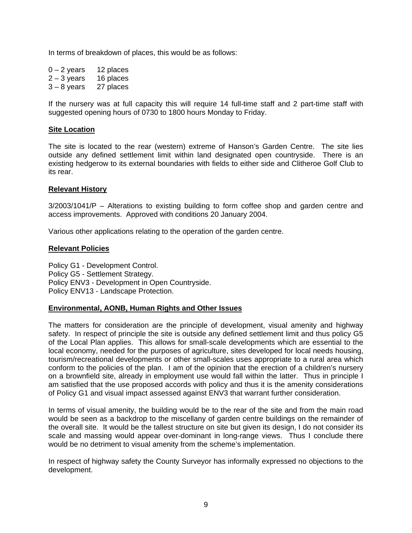In terms of breakdown of places, this would be as follows:

 $0 - 2$  years 12 places<br> $2 - 3$  years 16 places  $2 - 3$  years 3 – 8 years 27 places

If the nursery was at full capacity this will require 14 full-time staff and 2 part-time staff with suggested opening hours of 0730 to 1800 hours Monday to Friday.

### **Site Location**

The site is located to the rear (western) extreme of Hanson's Garden Centre. The site lies outside any defined settlement limit within land designated open countryside. There is an existing hedgerow to its external boundaries with fields to either side and Clitheroe Golf Club to its rear.

### **Relevant History**

3/2003/1041/P – Alterations to existing building to form coffee shop and garden centre and access improvements. Approved with conditions 20 January 2004.

Various other applications relating to the operation of the garden centre.

#### **Relevant Policies**

Policy G1 - Development Control. Policy G5 - Settlement Strategy. Policy ENV3 - Development in Open Countryside. Policy ENV13 - Landscape Protection.

### **Environmental, AONB, Human Rights and Other Issues**

The matters for consideration are the principle of development, visual amenity and highway safety. In respect of principle the site is outside any defined settlement limit and thus policy G5 of the Local Plan applies. This allows for small-scale developments which are essential to the local economy, needed for the purposes of agriculture, sites developed for local needs housing, tourism/recreational developments or other small-scales uses appropriate to a rural area which conform to the policies of the plan. I am of the opinion that the erection of a children's nursery on a brownfield site, already in employment use would fall within the latter. Thus in principle I am satisfied that the use proposed accords with policy and thus it is the amenity considerations of Policy G1 and visual impact assessed against ENV3 that warrant further consideration.

In terms of visual amenity, the building would be to the rear of the site and from the main road would be seen as a backdrop to the miscellany of garden centre buildings on the remainder of the overall site. It would be the tallest structure on site but given its design, I do not consider its scale and massing would appear over-dominant in long-range views. Thus I conclude there would be no detriment to visual amenity from the scheme's implementation.

In respect of highway safety the County Surveyor has informally expressed no objections to the development.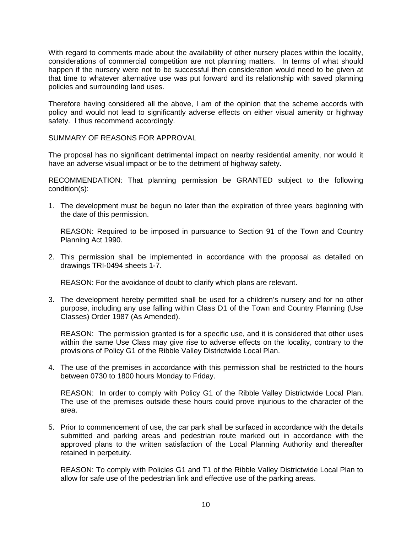With regard to comments made about the availability of other nursery places within the locality, considerations of commercial competition are not planning matters. In terms of what should happen if the nursery were not to be successful then consideration would need to be given at that time to whatever alternative use was put forward and its relationship with saved planning policies and surrounding land uses.

Therefore having considered all the above, I am of the opinion that the scheme accords with policy and would not lead to significantly adverse effects on either visual amenity or highway safety. I thus recommend accordingly.

SUMMARY OF REASONS FOR APPROVAL

The proposal has no significant detrimental impact on nearby residential amenity, nor would it have an adverse visual impact or be to the detriment of highway safety.

RECOMMENDATION: That planning permission be GRANTED subject to the following condition(s):

1. The development must be begun no later than the expiration of three years beginning with the date of this permission.

 REASON: Required to be imposed in pursuance to Section 91 of the Town and Country Planning Act 1990.

2. This permission shall be implemented in accordance with the proposal as detailed on drawings TRI-0494 sheets 1-7.

REASON: For the avoidance of doubt to clarify which plans are relevant.

3. The development hereby permitted shall be used for a children's nursery and for no other purpose, including any use falling within Class D1 of the Town and Country Planning (Use Classes) Order 1987 (As Amended).

 REASON: The permission granted is for a specific use, and it is considered that other uses within the same Use Class may give rise to adverse effects on the locality, contrary to the provisions of Policy G1 of the Ribble Valley Districtwide Local Plan.

4. The use of the premises in accordance with this permission shall be restricted to the hours between 0730 to 1800 hours Monday to Friday.

 REASON: In order to comply with Policy G1 of the Ribble Valley Districtwide Local Plan. The use of the premises outside these hours could prove injurious to the character of the area.

5. Prior to commencement of use, the car park shall be surfaced in accordance with the details submitted and parking areas and pedestrian route marked out in accordance with the approved plans to the written satisfaction of the Local Planning Authority and thereafter retained in perpetuity.

 REASON: To comply with Policies G1 and T1 of the Ribble Valley Districtwide Local Plan to allow for safe use of the pedestrian link and effective use of the parking areas.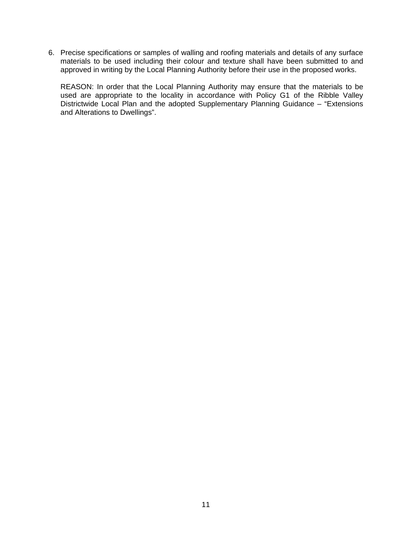6. Precise specifications or samples of walling and roofing materials and details of any surface materials to be used including their colour and texture shall have been submitted to and approved in writing by the Local Planning Authority before their use in the proposed works.

 REASON: In order that the Local Planning Authority may ensure that the materials to be used are appropriate to the locality in accordance with Policy G1 of the Ribble Valley Districtwide Local Plan and the adopted Supplementary Planning Guidance – "Extensions" and Alterations to Dwellings".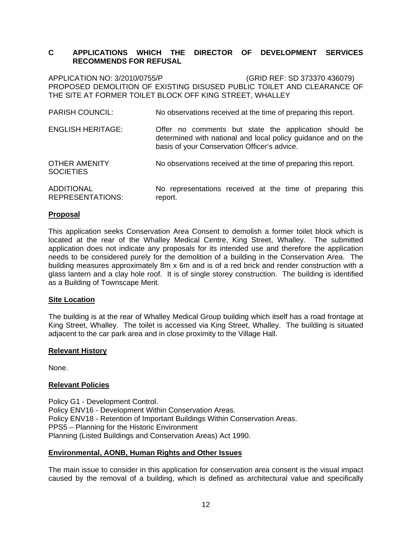## **C APPLICATIONS WHICH THE DIRECTOR OF DEVELOPMENT SERVICES RECOMMENDS FOR REFUSAL**

APPLICATION NO: 3/2010/0755/P (GRID REF: SD 373370 436079) PROPOSED DEMOLITION OF EXISTING DISUSED PUBLIC TOILET AND CLEARANCE OF THE SITE AT FORMER TOILET BLOCK OFF KING STREET, WHALLEY

| <b>PARISH COUNCIL:</b>                       | No observations received at the time of preparing this report.                                                                                                         |
|----------------------------------------------|------------------------------------------------------------------------------------------------------------------------------------------------------------------------|
| <b>ENGLISH HERITAGE:</b>                     | Offer no comments but state the application should be<br>determined with national and local policy guidance and on the<br>basis of your Conservation Officer's advice. |
| <b>OTHER AMENITY</b><br><b>SOCIETIES</b>     | No observations received at the time of preparing this report.                                                                                                         |
| <b>ADDITIONAL</b><br><b>REPRESENTATIONS:</b> | No representations received at the time of preparing this<br>report.                                                                                                   |

## **Proposal**

This application seeks Conservation Area Consent to demolish a former toilet block which is located at the rear of the Whalley Medical Centre, King Street, Whalley. The submitted application does not indicate any proposals for its intended use and therefore the application needs to be considered purely for the demolition of a building in the Conservation Area. The building measures approximately 8m x 6m and is of a red brick and render construction with a glass lantern and a clay hole roof. It is of single storey construction. The building is identified as a Building of Townscape Merit.

### **Site Location**

The building is at the rear of Whalley Medical Group building which itself has a road frontage at King Street, Whalley. The toilet is accessed via King Street, Whalley. The building is situated adjacent to the car park area and in close proximity to the Village Hall.

### **Relevant History**

None.

## **Relevant Policies**

Policy G1 - Development Control. Policy ENV16 - Development Within Conservation Areas. Policy ENV18 - Retention of Important Buildings Within Conservation Areas. PPS5 – Planning for the Historic Environment Planning (Listed Buildings and Conservation Areas) Act 1990.

## **Environmental, AONB, Human Rights and Other Issues**

The main issue to consider in this application for conservation area consent is the visual impact caused by the removal of a building, which is defined as architectural value and specifically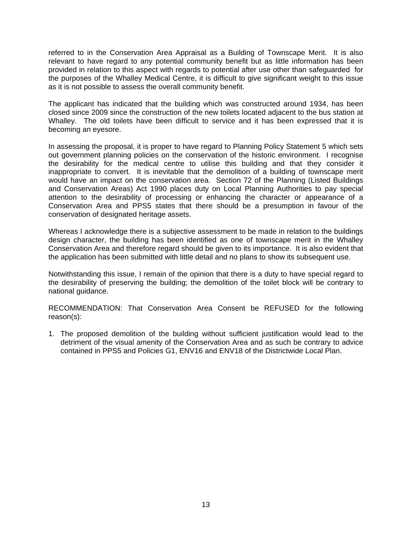referred to in the Conservation Area Appraisal as a Building of Townscape Merit. It is also relevant to have regard to any potential community benefit but as little information has been provided in relation to this aspect with regards to potential after use other than safeguarded for the purposes of the Whalley Medical Centre, it is difficult to give significant weight to this issue as it is not possible to assess the overall community benefit.

The applicant has indicated that the building which was constructed around 1934, has been closed since 2009 since the construction of the new toilets located adjacent to the bus station at Whalley. The old toilets have been difficult to service and it has been expressed that it is becoming an eyesore.

In assessing the proposal, it is proper to have regard to Planning Policy Statement 5 which sets out government planning policies on the conservation of the historic environment. I recognise the desirability for the medical centre to utilise this building and that they consider it inappropriate to convert. It is inevitable that the demolition of a building of townscape merit would have an impact on the conservation area. Section 72 of the Planning (Listed Buildings and Conservation Areas) Act 1990 places duty on Local Planning Authorities to pay special attention to the desirability of processing or enhancing the character or appearance of a Conservation Area and PPS5 states that there should be a presumption in favour of the conservation of designated heritage assets.

Whereas I acknowledge there is a subjective assessment to be made in relation to the buildings design character, the building has been identified as one of townscape merit in the Whalley Conservation Area and therefore regard should be given to its importance. It is also evident that the application has been submitted with little detail and no plans to show its subsequent use.

Notwithstanding this issue, I remain of the opinion that there is a duty to have special regard to the desirability of preserving the building; the demolition of the toilet block will be contrary to national guidance.

RECOMMENDATION: That Conservation Area Consent be REFUSED for the following reason(s):

1. The proposed demolition of the building without sufficient justification would lead to the detriment of the visual amenity of the Conservation Area and as such be contrary to advice contained in PPS5 and Policies G1, ENV16 and ENV18 of the Districtwide Local Plan.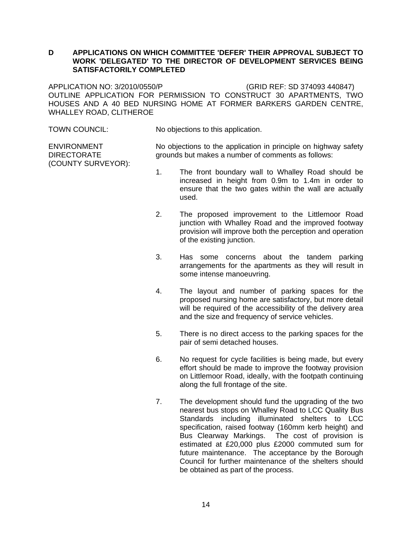## **D APPLICATIONS ON WHICH COMMITTEE 'DEFER' THEIR APPROVAL SUBJECT TO WORK 'DELEGATED' TO THE DIRECTOR OF DEVELOPMENT SERVICES BEING SATISFACTORILY COMPLETED**

APPLICATION NO: 3/2010/0550/P (GRID REF: SD 374093 440847) OUTLINE APPLICATION FOR PERMISSION TO CONSTRUCT 30 APARTMENTS, TWO HOUSES AND A 40 BED NURSING HOME AT FORMER BARKERS GARDEN CENTRE, WHALLEY ROAD, CLITHEROE

TOWN COUNCIL: No objections to this application.

ENVIRONMENT DIRECTORATE (COUNTY SURVEYOR): No objections to the application in principle on highway safety grounds but makes a number of comments as follows:

- 1. The front boundary wall to Whalley Road should be increased in height from 0.9m to 1.4m in order to ensure that the two gates within the wall are actually used.
- 2. The proposed improvement to the Littlemoor Road junction with Whalley Road and the improved footway provision will improve both the perception and operation of the existing junction.
- 3. Has some concerns about the tandem parking arrangements for the apartments as they will result in some intense manoeuvring.
- 4. The layout and number of parking spaces for the proposed nursing home are satisfactory, but more detail will be required of the accessibility of the delivery area and the size and frequency of service vehicles.
- 5. There is no direct access to the parking spaces for the pair of semi detached houses.
- 6. No request for cycle facilities is being made, but every effort should be made to improve the footway provision on Littlemoor Road, ideally, with the footpath continuing along the full frontage of the site.
- 7. The development should fund the upgrading of the two nearest bus stops on Whalley Road to LCC Quality Bus Standards including illuminated shelters to LCC specification, raised footway (160mm kerb height) and Bus Clearway Markings. The cost of provision is estimated at £20,000 plus £2000 commuted sum for future maintenance. The acceptance by the Borough Council for further maintenance of the shelters should be obtained as part of the process.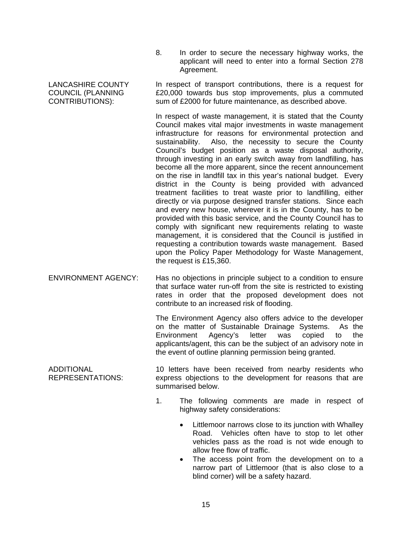8. In order to secure the necessary highway works, the applicant will need to enter into a formal Section 278 Agreement.

In respect of transport contributions, there is a request for £20,000 towards bus stop improvements, plus a commuted sum of £2000 for future maintenance, as described above.

In respect of waste management, it is stated that the County Council makes vital major investments in waste management infrastructure for reasons for environmental protection and sustainability. Also, the necessity to secure the County Council's budget position as a waste disposal authority, through investing in an early switch away from landfilling, has become all the more apparent, since the recent announcement on the rise in landfill tax in this year's national budget. Every district in the County is being provided with advanced treatment facilities to treat waste prior to landfilling, either directly or via purpose designed transfer stations. Since each and every new house, wherever it is in the County, has to be provided with this basic service, and the County Council has to comply with significant new requirements relating to waste management, it is considered that the Council is justified in requesting a contribution towards waste management. Based upon the Policy Paper Methodology for Waste Management, the request is £15,360.

ENVIRONMENT AGENCY: Has no objections in principle subject to a condition to ensure that surface water run-off from the site is restricted to existing rates in order that the proposed development does not contribute to an increased risk of flooding.

> The Environment Agency also offers advice to the developer on the matter of Sustainable Drainage Systems. As the Environment Agency's letter was copied to the applicants/agent, this can be the subject of an advisory note in the event of outline planning permission being granted.

ADDITIONAL REPRESENTATIONS: 10 letters have been received from nearby residents who express objections to the development for reasons that are summarised below.

- 1. The following comments are made in respect of highway safety considerations:
	- Littlemoor narrows close to its junction with Whalley Road. Vehicles often have to stop to let other vehicles pass as the road is not wide enough to allow free flow of traffic.
	- The access point from the development on to a narrow part of Littlemoor (that is also close to a blind corner) will be a safety hazard.

LANCASHIRE COUNTY COUNCIL (PLANNING CONTRIBUTIONS):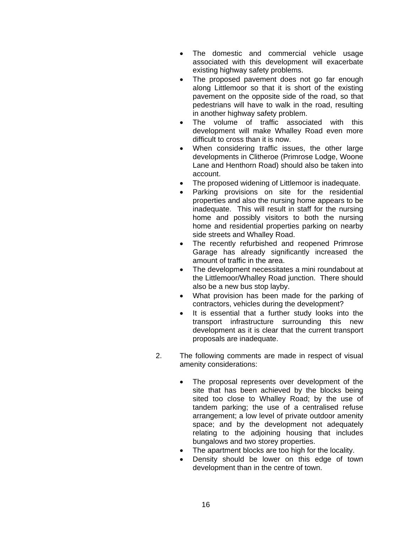- The domestic and commercial vehicle usage associated with this development will exacerbate existing highway safety problems.
- The proposed pavement does not go far enough along Littlemoor so that it is short of the existing pavement on the opposite side of the road, so that pedestrians will have to walk in the road, resulting in another highway safety problem.
- The volume of traffic associated with this development will make Whalley Road even more difficult to cross than it is now.
- When considering traffic issues, the other large developments in Clitheroe (Primrose Lodge, Woone Lane and Henthorn Road) should also be taken into account.
- The proposed widening of Littlemoor is inadequate.
- Parking provisions on site for the residential properties and also the nursing home appears to be inadequate. This will result in staff for the nursing home and possibly visitors to both the nursing home and residential properties parking on nearby side streets and Whalley Road.
- The recently refurbished and reopened Primrose Garage has already significantly increased the amount of traffic in the area.
- The development necessitates a mini roundabout at the Littlemoor/Whalley Road junction. There should also be a new bus stop layby.
- What provision has been made for the parking of contractors, vehicles during the development?
- It is essential that a further study looks into the transport infrastructure surrounding this new development as it is clear that the current transport proposals are inadequate.
- 2. The following comments are made in respect of visual amenity considerations:
	- The proposal represents over development of the site that has been achieved by the blocks being sited too close to Whalley Road; by the use of tandem parking; the use of a centralised refuse arrangement; a low level of private outdoor amenity space; and by the development not adequately relating to the adjoining housing that includes bungalows and two storey properties.
	- The apartment blocks are too high for the locality.
	- Density should be lower on this edge of town development than in the centre of town.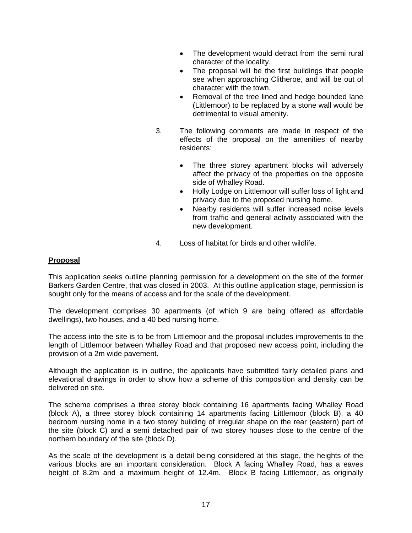- The development would detract from the semi rural character of the locality.
- The proposal will be the first buildings that people see when approaching Clitheroe, and will be out of character with the town.
- Removal of the tree lined and hedge bounded lane (Littlemoor) to be replaced by a stone wall would be detrimental to visual amenity.
- 3. The following comments are made in respect of the effects of the proposal on the amenities of nearby residents:
	- The three storey apartment blocks will adversely affect the privacy of the properties on the opposite side of Whalley Road.
	- Holly Lodge on Littlemoor will suffer loss of light and privacy due to the proposed nursing home.
	- Nearby residents will suffer increased noise levels from traffic and general activity associated with the new development.
- 4. Loss of habitat for birds and other wildlife.

## **Proposal**

This application seeks outline planning permission for a development on the site of the former Barkers Garden Centre, that was closed in 2003. At this outline application stage, permission is sought only for the means of access and for the scale of the development.

The development comprises 30 apartments (of which 9 are being offered as affordable dwellings), two houses, and a 40 bed nursing home.

The access into the site is to be from Littlemoor and the proposal includes improvements to the length of Littlemoor between Whalley Road and that proposed new access point, including the provision of a 2m wide pavement.

Although the application is in outline, the applicants have submitted fairly detailed plans and elevational drawings in order to show how a scheme of this composition and density can be delivered on site.

The scheme comprises a three storey block containing 16 apartments facing Whalley Road (block A), a three storey block containing 14 apartments facing Littlemoor (block B), a 40 bedroom nursing home in a two storey building of irregular shape on the rear (eastern) part of the site (block C) and a semi detached pair of two storey houses close to the centre of the northern boundary of the site (block D).

As the scale of the development is a detail being considered at this stage, the heights of the various blocks are an important consideration. Block A facing Whalley Road, has a eaves height of 8.2m and a maximum height of 12.4m. Block B facing Littlemoor, as originally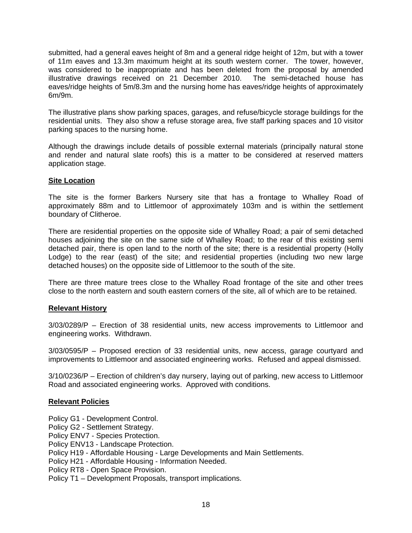submitted, had a general eaves height of 8m and a general ridge height of 12m, but with a tower of 11m eaves and 13.3m maximum height at its south western corner. The tower, however, was considered to be inappropriate and has been deleted from the proposal by amended illustrative drawings received on 21 December 2010. The semi-detached house has eaves/ridge heights of 5m/8.3m and the nursing home has eaves/ridge heights of approximately 6m/9m.

The illustrative plans show parking spaces, garages, and refuse/bicycle storage buildings for the residential units. They also show a refuse storage area, five staff parking spaces and 10 visitor parking spaces to the nursing home.

Although the drawings include details of possible external materials (principally natural stone and render and natural slate roofs) this is a matter to be considered at reserved matters application stage.

## **Site Location**

The site is the former Barkers Nursery site that has a frontage to Whalley Road of approximately 88m and to Littlemoor of approximately 103m and is within the settlement boundary of Clitheroe.

There are residential properties on the opposite side of Whalley Road; a pair of semi detached houses adjoining the site on the same side of Whalley Road; to the rear of this existing semi detached pair, there is open land to the north of the site; there is a residential property (Holly Lodge) to the rear (east) of the site; and residential properties (including two new large detached houses) on the opposite side of Littlemoor to the south of the site.

There are three mature trees close to the Whalley Road frontage of the site and other trees close to the north eastern and south eastern corners of the site, all of which are to be retained.

### **Relevant History**

3/03/0289/P – Erection of 38 residential units, new access improvements to Littlemoor and engineering works. Withdrawn.

3/03/0595/P – Proposed erection of 33 residential units, new access, garage courtyard and improvements to Littlemoor and associated engineering works. Refused and appeal dismissed.

3/10/0236/P – Erection of children's day nursery, laying out of parking, new access to Littlemoor Road and associated engineering works. Approved with conditions.

### **Relevant Policies**

Policy G1 - Development Control. Policy G2 - Settlement Strategy. Policy ENV7 - Species Protection. Policy ENV13 - Landscape Protection. Policy H19 - Affordable Housing - Large Developments and Main Settlements. Policy H21 - Affordable Housing - Information Needed. Policy RT8 - Open Space Provision. Policy T1 – Development Proposals, transport implications.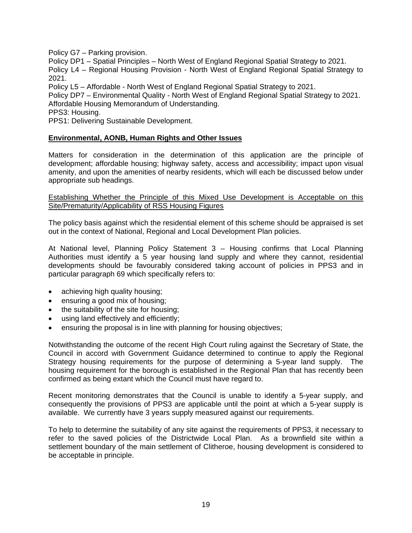Policy G7 – Parking provision.

Policy DP1 – Spatial Principles – North West of England Regional Spatial Strategy to 2021. Policy L4 – Regional Housing Provision - North West of England Regional Spatial Strategy to 2021.

Policy L5 – Affordable - North West of England Regional Spatial Strategy to 2021.

Policy DP7 – Environmental Quality - North West of England Regional Spatial Strategy to 2021. Affordable Housing Memorandum of Understanding.

PPS3: Housing.

PPS1: Delivering Sustainable Development.

## **Environmental, AONB, Human Rights and Other Issues**

Matters for consideration in the determination of this application are the principle of development; affordable housing; highway safety, access and accessibility; impact upon visual amenity, and upon the amenities of nearby residents, which will each be discussed below under appropriate sub headings.

### Establishing Whether the Principle of this Mixed Use Development is Acceptable on this Site/Prematurity/Applicability of RSS Housing Figures

The policy basis against which the residential element of this scheme should be appraised is set out in the context of National, Regional and Local Development Plan policies.

At National level, Planning Policy Statement 3 – Housing confirms that Local Planning Authorities must identify a 5 year housing land supply and where they cannot, residential developments should be favourably considered taking account of policies in PPS3 and in particular paragraph 69 which specifically refers to:

- achieving high quality housing;
- ensuring a good mix of housing;
- the suitability of the site for housing;
- using land effectively and efficiently;
- ensuring the proposal is in line with planning for housing objectives;

Notwithstanding the outcome of the recent High Court ruling against the Secretary of State, the Council in accord with Government Guidance determined to continue to apply the Regional Strategy housing requirements for the purpose of determining a 5-year land supply. The housing requirement for the borough is established in the Regional Plan that has recently been confirmed as being extant which the Council must have regard to.

Recent monitoring demonstrates that the Council is unable to identify a 5-year supply, and consequently the provisions of PPS3 are applicable until the point at which a 5-year supply is available. We currently have 3 years supply measured against our requirements.

To help to determine the suitability of any site against the requirements of PPS3, it necessary to refer to the saved policies of the Districtwide Local Plan. As a brownfield site within a settlement boundary of the main settlement of Clitheroe, housing development is considered to be acceptable in principle.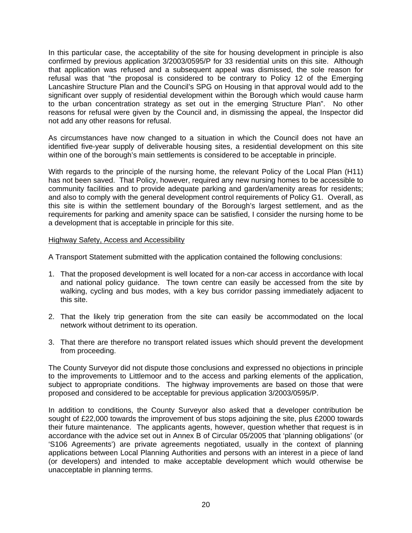In this particular case, the acceptability of the site for housing development in principle is also confirmed by previous application 3/2003/0595/P for 33 residential units on this site. Although that application was refused and a subsequent appeal was dismissed, the sole reason for refusal was that "the proposal is considered to be contrary to Policy 12 of the Emerging Lancashire Structure Plan and the Council's SPG on Housing in that approval would add to the significant over supply of residential development within the Borough which would cause harm to the urban concentration strategy as set out in the emerging Structure Plan". No other reasons for refusal were given by the Council and, in dismissing the appeal, the Inspector did not add any other reasons for refusal.

As circumstances have now changed to a situation in which the Council does not have an identified five-year supply of deliverable housing sites, a residential development on this site within one of the borough's main settlements is considered to be acceptable in principle.

With regards to the principle of the nursing home, the relevant Policy of the Local Plan (H11) has not been saved. That Policy, however, required any new nursing homes to be accessible to community facilities and to provide adequate parking and garden/amenity areas for residents; and also to comply with the general development control requirements of Policy G1. Overall, as this site is within the settlement boundary of the Borough's largest settlement, and as the requirements for parking and amenity space can be satisfied, I consider the nursing home to be a development that is acceptable in principle for this site.

### Highway Safety, Access and Accessibility

A Transport Statement submitted with the application contained the following conclusions:

- 1. That the proposed development is well located for a non-car access in accordance with local and national policy guidance. The town centre can easily be accessed from the site by walking, cycling and bus modes, with a key bus corridor passing immediately adjacent to this site.
- 2. That the likely trip generation from the site can easily be accommodated on the local network without detriment to its operation.
- 3. That there are therefore no transport related issues which should prevent the development from proceeding.

The County Surveyor did not dispute those conclusions and expressed no objections in principle to the improvements to Littlemoor and to the access and parking elements of the application, subject to appropriate conditions. The highway improvements are based on those that were proposed and considered to be acceptable for previous application 3/2003/0595/P.

In addition to conditions, the County Surveyor also asked that a developer contribution be sought of £22,000 towards the improvement of bus stops adjoining the site, plus £2000 towards their future maintenance. The applicants agents, however, question whether that request is in accordance with the advice set out in Annex B of Circular 05/2005 that 'planning obligations' (or 'S106 Agreements') are private agreements negotiated, usually in the context of planning applications between Local Planning Authorities and persons with an interest in a piece of land (or developers) and intended to make acceptable development which would otherwise be unacceptable in planning terms.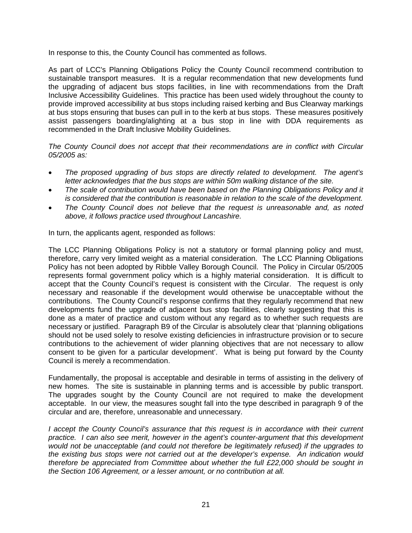In response to this, the County Council has commented as follows.

As part of LCC's Planning Obligations Policy the County Council recommend contribution to sustainable transport measures. It is a regular recommendation that new developments fund the upgrading of adjacent bus stops facilities, in line with recommendations from the Draft Inclusive Accessibility Guidelines. This practice has been used widely throughout the county to provide improved accessibility at bus stops including raised kerbing and Bus Clearway markings at bus stops ensuring that buses can pull in to the kerb at bus stops. These measures positively assist passengers boarding/alighting at a bus stop in line with DDA requirements as recommended in the Draft Inclusive Mobility Guidelines.

*The County Council does not accept that their recommendations are in conflict with Circular 05/2005 as:* 

- *The proposed upgrading of bus stops are directly related to development. The agent's letter acknowledges that the bus stops are within 50m walking distance of the site.*
- *The scale of contribution would have been based on the Planning Obligations Policy and it is considered that the contribution is reasonable in relation to the scale of the development.*
- *The County Council does not believe that the request is unreasonable and, as noted above, it follows practice used throughout Lancashire.*

In turn, the applicants agent, responded as follows:

The LCC Planning Obligations Policy is not a statutory or formal planning policy and must, therefore, carry very limited weight as a material consideration. The LCC Planning Obligations Policy has not been adopted by Ribble Valley Borough Council. The Policy in Circular 05/2005 represents formal government policy which is a highly material consideration. It is difficult to accept that the County Council's request is consistent with the Circular. The request is only necessary and reasonable if the development would otherwise be unacceptable without the contributions. The County Council's response confirms that they regularly recommend that new developments fund the upgrade of adjacent bus stop facilities, clearly suggesting that this is done as a mater of practice and custom without any regard as to whether such requests are necessary or justified. Paragraph B9 of the Circular is absolutely clear that 'planning obligations should not be used solely to resolve existing deficiencies in infrastructure provision or to secure contributions to the achievement of wider planning objectives that are not necessary to allow consent to be given for a particular development'. What is being put forward by the County Council is merely a recommendation.

Fundamentally, the proposal is acceptable and desirable in terms of assisting in the delivery of new homes. The site is sustainable in planning terms and is accessible by public transport. The upgrades sought by the County Council are not required to make the development acceptable. In our view, the measures sought fall into the type described in paragraph 9 of the circular and are, therefore, unreasonable and unnecessary.

*I accept the County Council's assurance that this request is in accordance with their current practice. I can also see merit, however in the agent's counter-argument that this development would not be unacceptable (and could not therefore be legitimately refused) if the upgrades to the existing bus stops were not carried out at the developer's expense. An indication would therefore be appreciated from Committee about whether the full £22,000 should be sought in the Section 106 Agreement, or a lesser amount, or no contribution at all.*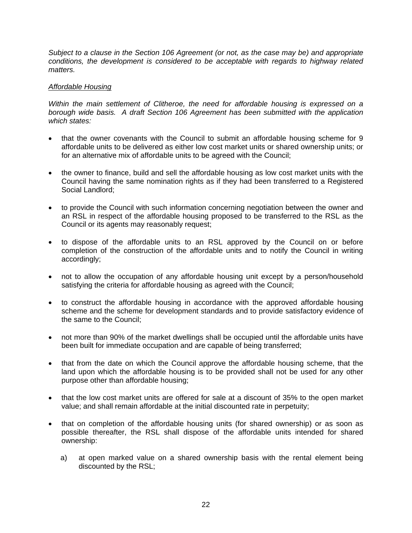*Subject to a clause in the Section 106 Agreement (or not, as the case may be) and appropriate conditions, the development is considered to be acceptable with regards to highway related matters.* 

## *Affordable Housing*

*Within the main settlement of Clitheroe, the need for affordable housing is expressed on a borough wide basis. A draft Section 106 Agreement has been submitted with the application which states:* 

- that the owner covenants with the Council to submit an affordable housing scheme for 9 affordable units to be delivered as either low cost market units or shared ownership units; or for an alternative mix of affordable units to be agreed with the Council;
- the owner to finance, build and sell the affordable housing as low cost market units with the Council having the same nomination rights as if they had been transferred to a Registered Social Landlord;
- to provide the Council with such information concerning negotiation between the owner and an RSL in respect of the affordable housing proposed to be transferred to the RSL as the Council or its agents may reasonably request;
- to dispose of the affordable units to an RSL approved by the Council on or before completion of the construction of the affordable units and to notify the Council in writing accordingly;
- not to allow the occupation of any affordable housing unit except by a person/household satisfying the criteria for affordable housing as agreed with the Council;
- to construct the affordable housing in accordance with the approved affordable housing scheme and the scheme for development standards and to provide satisfactory evidence of the same to the Council;
- not more than 90% of the market dwellings shall be occupied until the affordable units have been built for immediate occupation and are capable of being transferred;
- that from the date on which the Council approve the affordable housing scheme, that the land upon which the affordable housing is to be provided shall not be used for any other purpose other than affordable housing;
- that the low cost market units are offered for sale at a discount of 35% to the open market value; and shall remain affordable at the initial discounted rate in perpetuity;
- that on completion of the affordable housing units (for shared ownership) or as soon as possible thereafter, the RSL shall dispose of the affordable units intended for shared ownership:
	- a) at open marked value on a shared ownership basis with the rental element being discounted by the RSL;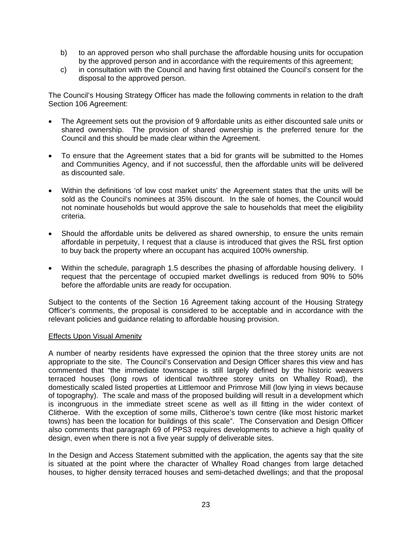- b) to an approved person who shall purchase the affordable housing units for occupation by the approved person and in accordance with the requirements of this agreement;
- c) in consultation with the Council and having first obtained the Council's consent for the disposal to the approved person.

The Council's Housing Strategy Officer has made the following comments in relation to the draft Section 106 Agreement:

- The Agreement sets out the provision of 9 affordable units as either discounted sale units or shared ownership. The provision of shared ownership is the preferred tenure for the Council and this should be made clear within the Agreement.
- To ensure that the Agreement states that a bid for grants will be submitted to the Homes and Communities Agency, and if not successful, then the affordable units will be delivered as discounted sale.
- Within the definitions 'of low cost market units' the Agreement states that the units will be sold as the Council's nominees at 35% discount. In the sale of homes, the Council would not nominate households but would approve the sale to households that meet the eligibility criteria.
- Should the affordable units be delivered as shared ownership, to ensure the units remain affordable in perpetuity, I request that a clause is introduced that gives the RSL first option to buy back the property where an occupant has acquired 100% ownership.
- Within the schedule, paragraph 1.5 describes the phasing of affordable housing delivery. I request that the percentage of occupied market dwellings is reduced from 90% to 50% before the affordable units are ready for occupation.

Subject to the contents of the Section 16 Agreement taking account of the Housing Strategy Officer's comments, the proposal is considered to be acceptable and in accordance with the relevant policies and guidance relating to affordable housing provision.

## Effects Upon Visual Amenity

A number of nearby residents have expressed the opinion that the three storey units are not appropriate to the site. The Council's Conservation and Design Officer shares this view and has commented that "the immediate townscape is still largely defined by the historic weavers terraced houses (long rows of identical two/three storey units on Whalley Road), the domestically scaled listed properties at Littlemoor and Primrose Mill (low lying in views because of topography). The scale and mass of the proposed building will result in a development which is incongruous in the immediate street scene as well as ill fitting in the wider context of Clitheroe. With the exception of some mills, Clitheroe's town centre (like most historic market towns) has been the location for buildings of this scale". The Conservation and Design Officer also comments that paragraph 69 of PPS3 requires developments to achieve a high quality of design, even when there is not a five year supply of deliverable sites.

In the Design and Access Statement submitted with the application, the agents say that the site is situated at the point where the character of Whalley Road changes from large detached houses, to higher density terraced houses and semi-detached dwellings; and that the proposal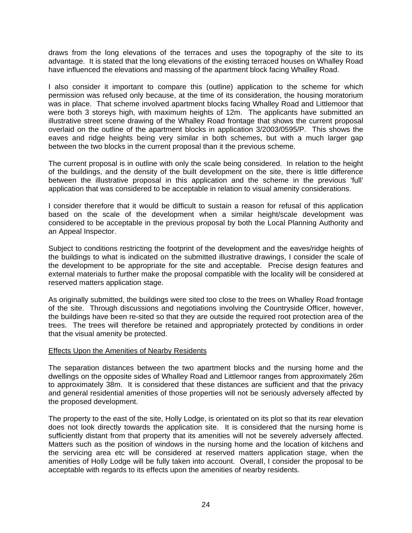draws from the long elevations of the terraces and uses the topography of the site to its advantage. It is stated that the long elevations of the existing terraced houses on Whalley Road have influenced the elevations and massing of the apartment block facing Whalley Road.

I also consider it important to compare this (outline) application to the scheme for which permission was refused only because, at the time of its consideration, the housing moratorium was in place. That scheme involved apartment blocks facing Whalley Road and Littlemoor that were both 3 storeys high, with maximum heights of 12m. The applicants have submitted an illustrative street scene drawing of the Whalley Road frontage that shows the current proposal overlaid on the outline of the apartment blocks in application 3/2003/0595/P. This shows the eaves and ridge heights being very similar in both schemes, but with a much larger gap between the two blocks in the current proposal than it the previous scheme.

The current proposal is in outline with only the scale being considered. In relation to the height of the buildings, and the density of the built development on the site, there is little difference between the illustrative proposal in this application and the scheme in the previous 'full' application that was considered to be acceptable in relation to visual amenity considerations.

I consider therefore that it would be difficult to sustain a reason for refusal of this application based on the scale of the development when a similar height/scale development was considered to be acceptable in the previous proposal by both the Local Planning Authority and an Appeal Inspector.

Subject to conditions restricting the footprint of the development and the eaves/ridge heights of the buildings to what is indicated on the submitted illustrative drawings, I consider the scale of the development to be appropriate for the site and acceptable. Precise design features and external materials to further make the proposal compatible with the locality will be considered at reserved matters application stage.

As originally submitted, the buildings were sited too close to the trees on Whalley Road frontage of the site. Through discussions and negotiations involving the Countryside Officer, however, the buildings have been re-sited so that they are outside the required root protection area of the trees. The trees will therefore be retained and appropriately protected by conditions in order that the visual amenity be protected.

### Effects Upon the Amenities of Nearby Residents

The separation distances between the two apartment blocks and the nursing home and the dwellings on the opposite sides of Whalley Road and Littlemoor ranges from approximately 26m to approximately 38m. It is considered that these distances are sufficient and that the privacy and general residential amenities of those properties will not be seriously adversely affected by the proposed development.

The property to the east of the site, Holly Lodge, is orientated on its plot so that its rear elevation does not look directly towards the application site. It is considered that the nursing home is sufficiently distant from that property that its amenities will not be severely adversely affected. Matters such as the position of windows in the nursing home and the location of kitchens and the servicing area etc will be considered at reserved matters application stage, when the amenities of Holly Lodge will be fully taken into account. Overall, I consider the proposal to be acceptable with regards to its effects upon the amenities of nearby residents.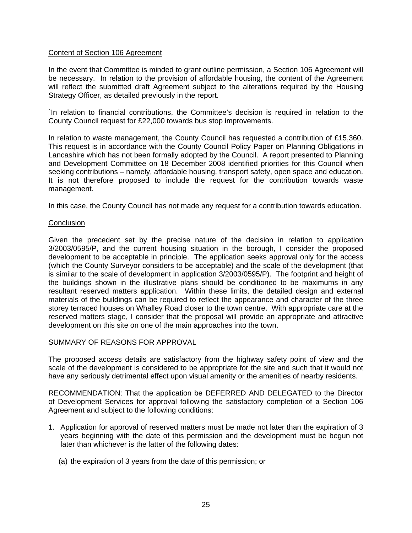## Content of Section 106 Agreement

In the event that Committee is minded to grant outline permission, a Section 106 Agreement will be necessary. In relation to the provision of affordable housing, the content of the Agreement will reflect the submitted draft Agreement subject to the alterations required by the Housing Strategy Officer, as detailed previously in the report.

`In relation to financial contributions, the Committee's decision is required in relation to the County Council request for £22,000 towards bus stop improvements.

In relation to waste management, the County Council has requested a contribution of £15,360. This request is in accordance with the County Council Policy Paper on Planning Obligations in Lancashire which has not been formally adopted by the Council. A report presented to Planning and Development Committee on 18 December 2008 identified priorities for this Council when seeking contributions – namely, affordable housing, transport safety, open space and education. It is not therefore proposed to include the request for the contribution towards waste management.

In this case, the County Council has not made any request for a contribution towards education.

### **Conclusion**

Given the precedent set by the precise nature of the decision in relation to application 3/2003/0595/P, and the current housing situation in the borough, I consider the proposed development to be acceptable in principle. The application seeks approval only for the access (which the County Surveyor considers to be acceptable) and the scale of the development (that is similar to the scale of development in application 3/2003/0595/P). The footprint and height of the buildings shown in the illustrative plans should be conditioned to be maximums in any resultant reserved matters application. Within these limits, the detailed design and external materials of the buildings can be required to reflect the appearance and character of the three storey terraced houses on Whalley Road closer to the town centre. With appropriate care at the reserved matters stage, I consider that the proposal will provide an appropriate and attractive development on this site on one of the main approaches into the town.

### SUMMARY OF REASONS FOR APPROVAL

The proposed access details are satisfactory from the highway safety point of view and the scale of the development is considered to be appropriate for the site and such that it would not have any seriously detrimental effect upon visual amenity or the amenities of nearby residents.

RECOMMENDATION: That the application be DEFERRED AND DELEGATED to the Director of Development Services for approval following the satisfactory completion of a Section 106 Agreement and subject to the following conditions:

- 1. Application for approval of reserved matters must be made not later than the expiration of 3 years beginning with the date of this permission and the development must be begun not later than whichever is the latter of the following dates:
	- (a) the expiration of 3 years from the date of this permission; or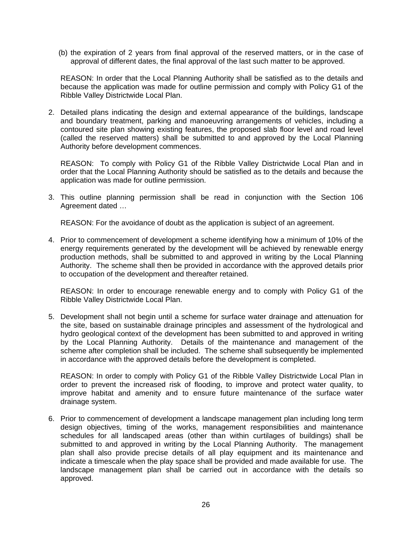(b) the expiration of 2 years from final approval of the reserved matters, or in the case of approval of different dates, the final approval of the last such matter to be approved.

 REASON: In order that the Local Planning Authority shall be satisfied as to the details and because the application was made for outline permission and comply with Policy G1 of the Ribble Valley Districtwide Local Plan.

2. Detailed plans indicating the design and external appearance of the buildings, landscape and boundary treatment, parking and manoeuvring arrangements of vehicles, including a contoured site plan showing existing features, the proposed slab floor level and road level (called the reserved matters) shall be submitted to and approved by the Local Planning Authority before development commences.

REASON: To comply with Policy G1 of the Ribble Valley Districtwide Local Plan and in order that the Local Planning Authority should be satisfied as to the details and because the application was made for outline permission.

3. This outline planning permission shall be read in conjunction with the Section 106 Agreement dated …

REASON: For the avoidance of doubt as the application is subject of an agreement.

4. Prior to commencement of development a scheme identifying how a minimum of 10% of the energy requirements generated by the development will be achieved by renewable energy production methods, shall be submitted to and approved in writing by the Local Planning Authority. The scheme shall then be provided in accordance with the approved details prior to occupation of the development and thereafter retained.

 REASON: In order to encourage renewable energy and to comply with Policy G1 of the Ribble Valley Districtwide Local Plan.

5. Development shall not begin until a scheme for surface water drainage and attenuation for the site, based on sustainable drainage principles and assessment of the hydrological and hydro geological context of the development has been submitted to and approved in writing by the Local Planning Authority. Details of the maintenance and management of the scheme after completion shall be included. The scheme shall subsequently be implemented in accordance with the approved details before the development is completed.

 REASON: In order to comply with Policy G1 of the Ribble Valley Districtwide Local Plan in order to prevent the increased risk of flooding, to improve and protect water quality, to improve habitat and amenity and to ensure future maintenance of the surface water drainage system.

6. Prior to commencement of development a landscape management plan including long term design objectives, timing of the works, management responsibilities and maintenance schedules for all landscaped areas (other than within curtilages of buildings) shall be submitted to and approved in writing by the Local Planning Authority. The management plan shall also provide precise details of all play equipment and its maintenance and indicate a timescale when the play space shall be provided and made available for use. The landscape management plan shall be carried out in accordance with the details so approved.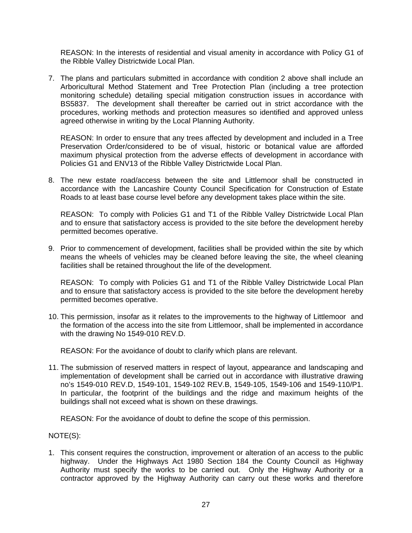REASON: In the interests of residential and visual amenity in accordance with Policy G1 of the Ribble Valley Districtwide Local Plan.

7. The plans and particulars submitted in accordance with condition 2 above shall include an Arboricultural Method Statement and Tree Protection Plan (including a tree protection monitoring schedule) detailing special mitigation construction issues in accordance with BS5837. The development shall thereafter be carried out in strict accordance with the procedures, working methods and protection measures so identified and approved unless agreed otherwise in writing by the Local Planning Authority.

 REASON: In order to ensure that any trees affected by development and included in a Tree Preservation Order/considered to be of visual, historic or botanical value are afforded maximum physical protection from the adverse effects of development in accordance with Policies G1 and ENV13 of the Ribble Valley Districtwide Local Plan.

8. The new estate road/access between the site and Littlemoor shall be constructed in accordance with the Lancashire County Council Specification for Construction of Estate Roads to at least base course level before any development takes place within the site.

 REASON: To comply with Policies G1 and T1 of the Ribble Valley Districtwide Local Plan and to ensure that satisfactory access is provided to the site before the development hereby permitted becomes operative.

9. Prior to commencement of development, facilities shall be provided within the site by which means the wheels of vehicles may be cleaned before leaving the site, the wheel cleaning facilities shall be retained throughout the life of the development.

 REASON: To comply with Policies G1 and T1 of the Ribble Valley Districtwide Local Plan and to ensure that satisfactory access is provided to the site before the development hereby permitted becomes operative.

10. This permission, insofar as it relates to the improvements to the highway of Littlemoor and the formation of the access into the site from Littlemoor, shall be implemented in accordance with the drawing No 1549-010 REV.D.

REASON: For the avoidance of doubt to clarify which plans are relevant.

11. The submission of reserved matters in respect of layout, appearance and landscaping and implementation of development shall be carried out in accordance with illustrative drawing no's 1549-010 REV.D, 1549-101, 1549-102 REV.B, 1549-105, 1549-106 and 1549-110/P1. In particular, the footprint of the buildings and the ridge and maximum heights of the buildings shall not exceed what is shown on these drawings.

REASON: For the avoidance of doubt to define the scope of this permission.

NOTE(S):

1. This consent requires the construction, improvement or alteration of an access to the public highway. Under the Highways Act 1980 Section 184 the County Council as Highway Authority must specify the works to be carried out. Only the Highway Authority or a contractor approved by the Highway Authority can carry out these works and therefore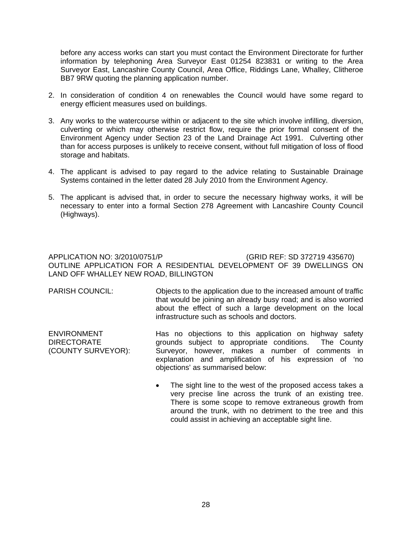before any access works can start you must contact the Environment Directorate for further information by telephoning Area Surveyor East 01254 823831 or writing to the Area Surveyor East, Lancashire County Council, Area Office, Riddings Lane, Whalley, Clitheroe BB7 9RW quoting the planning application number.

- 2. In consideration of condition 4 on renewables the Council would have some regard to energy efficient measures used on buildings.
- 3. Any works to the watercourse within or adjacent to the site which involve infilling, diversion, culverting or which may otherwise restrict flow, require the prior formal consent of the Environment Agency under Section 23 of the Land Drainage Act 1991. Culverting other than for access purposes is unlikely to receive consent, without full mitigation of loss of flood storage and habitats.
- 4. The applicant is advised to pay regard to the advice relating to Sustainable Drainage Systems contained in the letter dated 28 July 2010 from the Environment Agency.
- 5. The applicant is advised that, in order to secure the necessary highway works, it will be necessary to enter into a formal Section 278 Agreement with Lancashire County Council (Highways).

## APPLICATION NO: 3/2010/0751/P (GRID REF: SD 372719 435670) OUTLINE APPLICATION FOR A RESIDENTIAL DEVELOPMENT OF 39 DWELLINGS ON LAND OFF WHALLEY NEW ROAD, BILLINGTON

PARISH COUNCIL: Objects to the application due to the increased amount of traffic that would be joining an already busy road; and is also worried about the effect of such a large development on the local infrastructure such as schools and doctors.

| <b>ENVIRONMENT</b> | Has no objections to this application on highway safety |
|--------------------|---------------------------------------------------------|
| <b>DIRECTORATE</b> | grounds subject to appropriate conditions. The County   |
| (COUNTY SURVEYOR): | Surveyor, however, makes a number of comments in        |
|                    | explanation and amplification of his expression of 'no  |
|                    | objections' as summarised below:                        |

• The sight line to the west of the proposed access takes a very precise line across the trunk of an existing tree. There is some scope to remove extraneous growth from around the trunk, with no detriment to the tree and this could assist in achieving an acceptable sight line.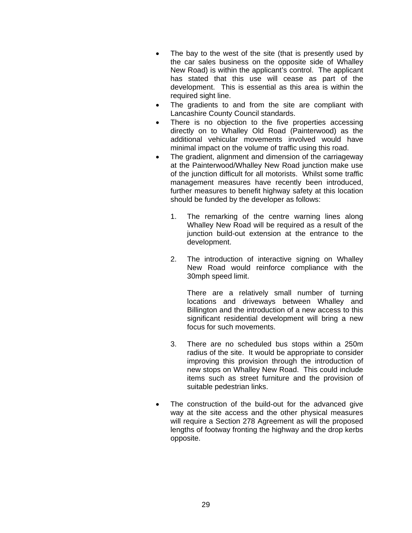- The bay to the west of the site (that is presently used by the car sales business on the opposite side of Whalley New Road) is within the applicant's control. The applicant has stated that this use will cease as part of the development. This is essential as this area is within the required sight line.
- The gradients to and from the site are compliant with Lancashire County Council standards.
- There is no objection to the five properties accessing directly on to Whalley Old Road (Painterwood) as the additional vehicular movements involved would have minimal impact on the volume of traffic using this road.
- The gradient, alignment and dimension of the carriageway at the Painterwood/Whalley New Road junction make use of the junction difficult for all motorists. Whilst some traffic management measures have recently been introduced, further measures to benefit highway safety at this location should be funded by the developer as follows:
	- 1. The remarking of the centre warning lines along Whalley New Road will be required as a result of the junction build-out extension at the entrance to the development.
	- 2. The introduction of interactive signing on Whalley New Road would reinforce compliance with the 30mph speed limit.

There are a relatively small number of turning locations and driveways between Whalley and Billington and the introduction of a new access to this significant residential development will bring a new focus for such movements.

- 3. There are no scheduled bus stops within a 250m radius of the site. It would be appropriate to consider improving this provision through the introduction of new stops on Whalley New Road. This could include items such as street furniture and the provision of suitable pedestrian links.
- The construction of the build-out for the advanced give way at the site access and the other physical measures will require a Section 278 Agreement as will the proposed lengths of footway fronting the highway and the drop kerbs opposite.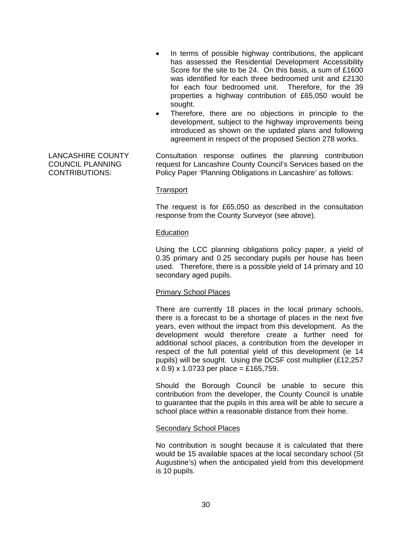- In terms of possible highway contributions, the applicant has assessed the Residential Development Accessibility Score for the site to be 24. On this basis, a sum of £1600 was identified for each three bedroomed unit and £2130 for each four bedroomed unit. Therefore, for the 39 properties a highway contribution of £65,050 would be sought.
- Therefore, there are no objections in principle to the development, subject to the highway improvements being introduced as shown on the updated plans and following agreement in respect of the proposed Section 278 works.

LANCASHIRE COUNTY COUNCIL PLANNING CONTRIBUTIONS:

Consultation response outlines the planning contribution request for Lancashire County Council's Services based on the Policy Paper 'Planning Obligations in Lancashire' as follows:

#### **Transport**

The request is for £65,050 as described in the consultation response from the County Surveyor (see above).

### Education

Using the LCC planning obligations policy paper, a yield of 0.35 primary and 0.25 secondary pupils per house has been used. Therefore, there is a possible yield of 14 primary and 10 secondary aged pupils.

### Primary School Places

There are currently 18 places in the local primary schools, there is a forecast to be a shortage of places in the next five years, even without the impact from this development. As the development would therefore create a further need for additional school places, a contribution from the developer in respect of the full potential yield of this development (ie 14 pupils) will be sought. Using the DCSF cost multiplier (£12,257  $x$  0.9) x 1.0733 per place = £165,759.

Should the Borough Council be unable to secure this contribution from the developer, the County Council is unable to guarantee that the pupils in this area will be able to secure a school place within a reasonable distance from their home.

### Secondary School Places

No contribution is sought because it is calculated that there would be 15 available spaces at the local secondary school (St Augustine's) when the anticipated yield from this development is 10 pupils.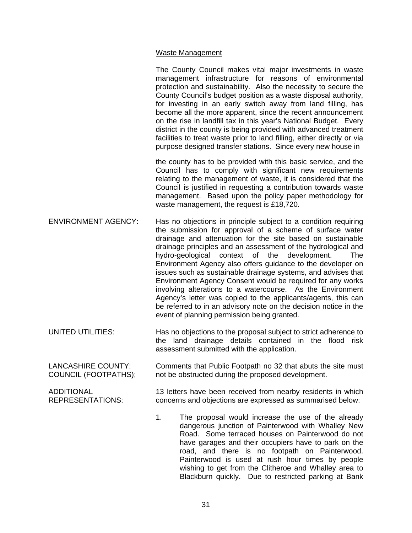## Waste Management

|                                                   | The County Council makes vital major investments in waste<br>management infrastructure for reasons of environmental<br>protection and sustainability. Also the necessity to secure the<br>County Council's budget position as a waste disposal authority,<br>for investing in an early switch away from land filling, has<br>become all the more apparent, since the recent announcement<br>on the rise in landfill tax in this year's National Budget. Every<br>district in the county is being provided with advanced treatment<br>facilities to treat waste prior to land filling, either directly or via<br>purpose designed transfer stations. Since every new house in                                                                                      |
|---------------------------------------------------|-------------------------------------------------------------------------------------------------------------------------------------------------------------------------------------------------------------------------------------------------------------------------------------------------------------------------------------------------------------------------------------------------------------------------------------------------------------------------------------------------------------------------------------------------------------------------------------------------------------------------------------------------------------------------------------------------------------------------------------------------------------------|
|                                                   | the county has to be provided with this basic service, and the<br>Council has to comply with significant new requirements<br>relating to the management of waste, it is considered that the<br>Council is justified in requesting a contribution towards waste<br>management. Based upon the policy paper methodology for<br>waste management, the request is £18,720.                                                                                                                                                                                                                                                                                                                                                                                            |
| <b>ENVIRONMENT AGENCY:</b>                        | Has no objections in principle subject to a condition requiring<br>the submission for approval of a scheme of surface water<br>drainage and attenuation for the site based on sustainable<br>drainage principles and an assessment of the hydrological and<br>hydro-geological context of the development.<br>The<br>Environment Agency also offers guidance to the developer on<br>issues such as sustainable drainage systems, and advises that<br>Environment Agency Consent would be required for any works<br>involving alterations to a watercourse. As the Environment<br>Agency's letter was copied to the applicants/agents, this can<br>be referred to in an advisory note on the decision notice in the<br>event of planning permission being granted. |
| UNITED UTILITIES:                                 | Has no objections to the proposal subject to strict adherence to<br>the land drainage details contained in the flood<br>risk<br>assessment submitted with the application.                                                                                                                                                                                                                                                                                                                                                                                                                                                                                                                                                                                        |
| <b>LANCASHIRE COUNTY:</b><br>COUNCIL (FOOTPATHS); | Comments that Public Footpath no 32 that abuts the site must<br>not be obstructed during the proposed development.                                                                                                                                                                                                                                                                                                                                                                                                                                                                                                                                                                                                                                                |
| <b>ADDITIONAL</b><br><b>REPRESENTATIONS:</b>      | 13 letters have been received from nearby residents in which<br>concerns and objections are expressed as summarised below:                                                                                                                                                                                                                                                                                                                                                                                                                                                                                                                                                                                                                                        |
|                                                   | 1.<br>The proposal would increase the use of the already<br>dangerous junction of Painterwood with Whalley New<br>Road. Some terraced houses on Painterwood do not<br>have garages and their occupiers have to park on the<br>road, and there is no footpath on Painterwood.                                                                                                                                                                                                                                                                                                                                                                                                                                                                                      |

Painterwood is used at rush hour times by people wishing to get from the Clitheroe and Whalley area to Blackburn quickly. Due to restricted parking at Bank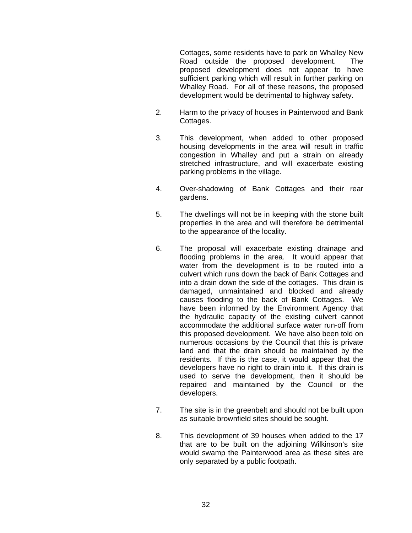Cottages, some residents have to park on Whalley New Road outside the proposed development. The proposed development does not appear to have sufficient parking which will result in further parking on Whalley Road. For all of these reasons, the proposed development would be detrimental to highway safety.

- 2. Harm to the privacy of houses in Painterwood and Bank Cottages.
- 3. This development, when added to other proposed housing developments in the area will result in traffic congestion in Whalley and put a strain on already stretched infrastructure, and will exacerbate existing parking problems in the village.
- 4. Over-shadowing of Bank Cottages and their rear gardens.
- 5. The dwellings will not be in keeping with the stone built properties in the area and will therefore be detrimental to the appearance of the locality.
- 6. The proposal will exacerbate existing drainage and flooding problems in the area. It would appear that water from the development is to be routed into a culvert which runs down the back of Bank Cottages and into a drain down the side of the cottages. This drain is damaged, unmaintained and blocked and already causes flooding to the back of Bank Cottages. We have been informed by the Environment Agency that the hydraulic capacity of the existing culvert cannot accommodate the additional surface water run-off from this proposed development. We have also been told on numerous occasions by the Council that this is private land and that the drain should be maintained by the residents. If this is the case, it would appear that the developers have no right to drain into it. If this drain is used to serve the development, then it should be repaired and maintained by the Council or the developers.
- 7. The site is in the greenbelt and should not be built upon as suitable brownfield sites should be sought.
- 8. This development of 39 houses when added to the 17 that are to be built on the adjoining Wilkinson's site would swamp the Painterwood area as these sites are only separated by a public footpath.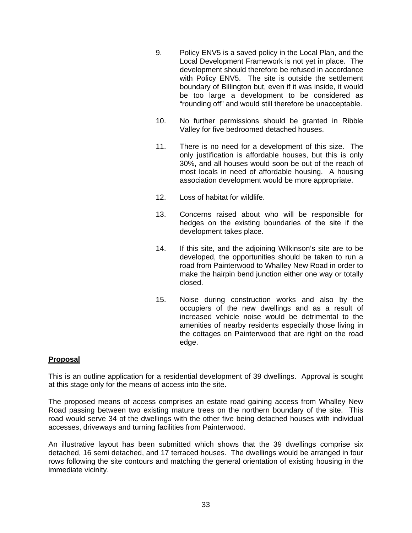- 9. Policy ENV5 is a saved policy in the Local Plan, and the Local Development Framework is not yet in place. The development should therefore be refused in accordance with Policy ENV5. The site is outside the settlement boundary of Billington but, even if it was inside, it would be too large a development to be considered as "rounding off" and would still therefore be unacceptable.
- 10. No further permissions should be granted in Ribble Valley for five bedroomed detached houses.
- 11. There is no need for a development of this size. The only justification is affordable houses, but this is only 30%, and all houses would soon be out of the reach of most locals in need of affordable housing. A housing association development would be more appropriate.
- 12. Loss of habitat for wildlife.
- 13. Concerns raised about who will be responsible for hedges on the existing boundaries of the site if the development takes place.
- 14. If this site, and the adjoining Wilkinson's site are to be developed, the opportunities should be taken to run a road from Painterwood to Whalley New Road in order to make the hairpin bend junction either one way or totally closed.
- 15. Noise during construction works and also by the occupiers of the new dwellings and as a result of increased vehicle noise would be detrimental to the amenities of nearby residents especially those living in the cottages on Painterwood that are right on the road edge.

## **Proposal**

This is an outline application for a residential development of 39 dwellings. Approval is sought at this stage only for the means of access into the site.

The proposed means of access comprises an estate road gaining access from Whalley New Road passing between two existing mature trees on the northern boundary of the site. This road would serve 34 of the dwellings with the other five being detached houses with individual accesses, driveways and turning facilities from Painterwood.

An illustrative layout has been submitted which shows that the 39 dwellings comprise six detached, 16 semi detached, and 17 terraced houses. The dwellings would be arranged in four rows following the site contours and matching the general orientation of existing housing in the immediate vicinity.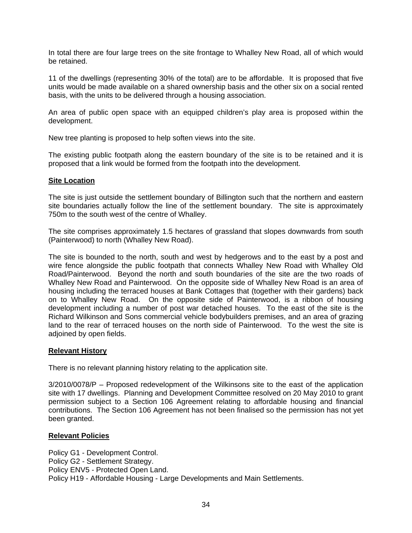In total there are four large trees on the site frontage to Whalley New Road, all of which would be retained.

11 of the dwellings (representing 30% of the total) are to be affordable. It is proposed that five units would be made available on a shared ownership basis and the other six on a social rented basis, with the units to be delivered through a housing association.

An area of public open space with an equipped children's play area is proposed within the development.

New tree planting is proposed to help soften views into the site.

The existing public footpath along the eastern boundary of the site is to be retained and it is proposed that a link would be formed from the footpath into the development.

## **Site Location**

The site is just outside the settlement boundary of Billington such that the northern and eastern site boundaries actually follow the line of the settlement boundary. The site is approximately 750m to the south west of the centre of Whalley.

The site comprises approximately 1.5 hectares of grassland that slopes downwards from south (Painterwood) to north (Whalley New Road).

The site is bounded to the north, south and west by hedgerows and to the east by a post and wire fence alongside the public footpath that connects Whalley New Road with Whalley Old Road/Painterwood. Beyond the north and south boundaries of the site are the two roads of Whalley New Road and Painterwood. On the opposite side of Whalley New Road is an area of housing including the terraced houses at Bank Cottages that (together with their gardens) back on to Whalley New Road. On the opposite side of Painterwood, is a ribbon of housing development including a number of post war detached houses. To the east of the site is the Richard Wilkinson and Sons commercial vehicle bodybuilders premises, and an area of grazing land to the rear of terraced houses on the north side of Painterwood. To the west the site is adjoined by open fields.

### **Relevant History**

There is no relevant planning history relating to the application site.

3/2010/0078/P – Proposed redevelopment of the Wilkinsons site to the east of the application site with 17 dwellings. Planning and Development Committee resolved on 20 May 2010 to grant permission subject to a Section 106 Agreement relating to affordable housing and financial contributions. The Section 106 Agreement has not been finalised so the permission has not yet been granted.

## **Relevant Policies**

Policy G1 - Development Control. Policy G2 - Settlement Strategy. Policy ENV5 - Protected Open Land. Policy H19 - Affordable Housing - Large Developments and Main Settlements.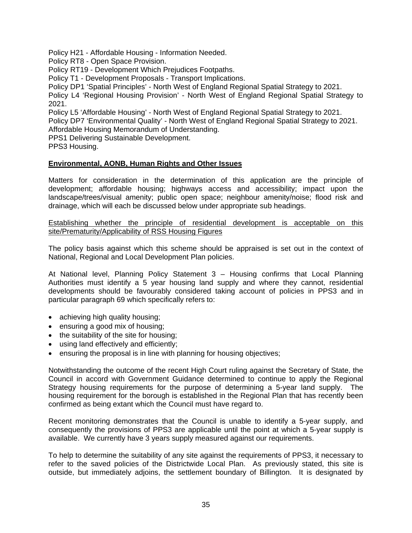Policy H21 - Affordable Housing - Information Needed.

Policy RT8 - Open Space Provision.

Policy RT19 - Development Which Prejudices Footpaths.

Policy T1 - Development Proposals - Transport Implications.

Policy DP1 'Spatial Principles' - North West of England Regional Spatial Strategy to 2021.

Policy L4 'Regional Housing Provision' - North West of England Regional Spatial Strategy to 2021.

Policy L5 'Affordable Housing' - North West of England Regional Spatial Strategy to 2021.

Policy DP7 'Environmental Quality' - North West of England Regional Spatial Strategy to 2021. Affordable Housing Memorandum of Understanding.

PPS1 Delivering Sustainable Development.

PPS3 Housing.

## **Environmental, AONB, Human Rights and Other Issues**

Matters for consideration in the determination of this application are the principle of development; affordable housing; highways access and accessibility; impact upon the landscape/trees/visual amenity; public open space; neighbour amenity/noise; flood risk and drainage, which will each be discussed below under appropriate sub headings.

Establishing whether the principle of residential development is acceptable on this site/Prematurity/Applicability of RSS Housing Figures

The policy basis against which this scheme should be appraised is set out in the context of National, Regional and Local Development Plan policies.

At National level, Planning Policy Statement 3 – Housing confirms that Local Planning Authorities must identify a 5 year housing land supply and where they cannot, residential developments should be favourably considered taking account of policies in PPS3 and in particular paragraph 69 which specifically refers to:

- achieving high quality housing;
- ensuring a good mix of housing;
- the suitability of the site for housing;
- using land effectively and efficiently;
- ensuring the proposal is in line with planning for housing objectives;

Notwithstanding the outcome of the recent High Court ruling against the Secretary of State, the Council in accord with Government Guidance determined to continue to apply the Regional Strategy housing requirements for the purpose of determining a 5-year land supply. The housing requirement for the borough is established in the Regional Plan that has recently been confirmed as being extant which the Council must have regard to.

Recent monitoring demonstrates that the Council is unable to identify a 5-year supply, and consequently the provisions of PPS3 are applicable until the point at which a 5-year supply is available. We currently have 3 years supply measured against our requirements.

To help to determine the suitability of any site against the requirements of PPS3, it necessary to refer to the saved policies of the Districtwide Local Plan. As previously stated, this site is outside, but immediately adjoins, the settlement boundary of Billington. It is designated by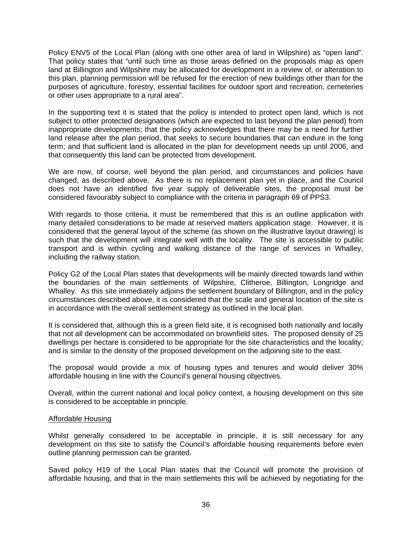Policy ENV5 of the Local Plan (along with one other area of land in Wilpshire) as "open land". That policy states that "until such time as those areas defined on the proposals map as open land at Billington and Wilpshire may be allocated for development in a review of, or alteration to this plan, planning permission will be refused for the erection of new buildings other than for the purposes of agriculture, forestry, essential facilities for outdoor sport and recreation, cemeteries or other uses appropriate to a rural area".

In the supporting text it is stated that the policy is intended to protect open land, which is not subject to other protected designations (which are expected to last beyond the plan period) from inappropriate developments; that the policy acknowledges that there may be a need for further land release after the plan period, that seeks to secure boundaries that can endure in the long term; and that sufficient land is allocated in the plan for development needs up until 2006, and that consequently this land can be protected from development.

We are now, of course, well beyond the plan period, and circumstances and policies have changed, as described above. As there is no replacement plan yet in place, and the Council does not have an identified five year supply of deliverable sites, the proposal must be considered favourably subject to compliance with the criteria in paragraph 69 of PPS3.

With regards to those criteria, it must be remembered that this is an outline application with many detailed considerations to be made at reserved matters application stage. However, it is considered that the general layout of the scheme (as shown on the illustrative layout drawing) is such that the development will integrate well with the locality. The site is accessible to public transport and is within cycling and walking distance of the range of services in Whalley, including the railway station.

Policy G2 of the Local Plan states that developments will be mainly directed towards land within the boundaries of the main settlements of Wilpshire, Clitheroe, Billington, Longridge and Whalley. As this site immediately adjoins the settlement boundary of Billington, and in the policy circumstances described above, it is considered that the scale and general location of the site is in accordance with the overall settlement strategy as outlined in the local plan.

It is considered that, although this is a green field site, it is recognised both nationally and locally that not all development can be accommodated on brownfield sites. The proposed density of 25 dwellings per hectare is considered to be appropriate for the site characteristics and the locality; and is similar to the density of the proposed development on the adjoining site to the east.

The proposal would provide a mix of housing types and tenures and would deliver 30% affordable housing in line with the Council's general housing objectives.

Overall, within the current national and local policy context, a housing development on this site is considered to be acceptable in principle.

## Affordable Housing

Whilst generally considered to be acceptable in principle, it is still necessary for any development on this site to satisfy the Council's affordable housing requirements before even outline planning permission can be granted.

Saved policy H19 of the Local Plan states that the Council will promote the provision of affordable housing, and that in the main settlements this will be achieved by negotiating for the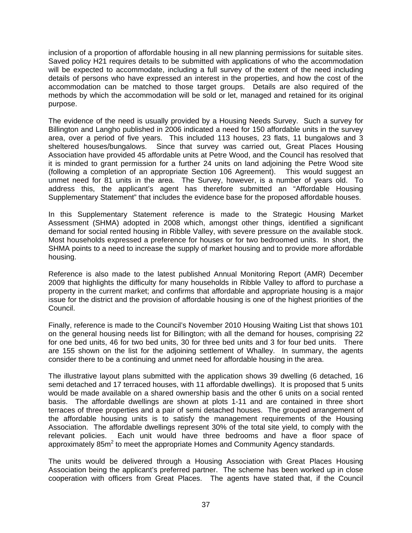inclusion of a proportion of affordable housing in all new planning permissions for suitable sites. Saved policy H21 requires details to be submitted with applications of who the accommodation will be expected to accommodate, including a full survey of the extent of the need including details of persons who have expressed an interest in the properties, and how the cost of the accommodation can be matched to those target groups. Details are also required of the methods by which the accommodation will be sold or let, managed and retained for its original purpose.

The evidence of the need is usually provided by a Housing Needs Survey. Such a survey for Billington and Langho published in 2006 indicated a need for 150 affordable units in the survey area, over a period of five years. This included 113 houses, 23 flats, 11 bungalows and 3 sheltered houses/bungalows. Since that survey was carried out, Great Places Housing Association have provided 45 affordable units at Petre Wood, and the Council has resolved that it is minded to grant permission for a further 24 units on land adjoining the Petre Wood site (following a completion of an appropriate Section 106 Agreement). This would suggest an unmet need for 81 units in the area. The Survey, however, is a number of years old. To address this, the applicant's agent has therefore submitted an "Affordable Housing Supplementary Statement" that includes the evidence base for the proposed affordable houses.

In this Supplementary Statement reference is made to the Strategic Housing Market Assessment (SHMA) adopted in 2008 which, amongst other things, identified a significant demand for social rented housing in Ribble Valley, with severe pressure on the available stock. Most households expressed a preference for houses or for two bedroomed units. In short, the SHMA points to a need to increase the supply of market housing and to provide more affordable housing.

Reference is also made to the latest published Annual Monitoring Report (AMR) December 2009 that highlights the difficulty for many households in Ribble Valley to afford to purchase a property in the current market; and confirms that affordable and appropriate housing is a major issue for the district and the provision of affordable housing is one of the highest priorities of the Council.

Finally, reference is made to the Council's November 2010 Housing Waiting List that shows 101 on the general housing needs list for Billington; with all the demand for houses, comprising 22 for one bed units, 46 for two bed units, 30 for three bed units and 3 for four bed units. There are 155 shown on the list for the adjoining settlement of Whalley. In summary, the agents consider there to be a continuing and unmet need for affordable housing in the area.

The illustrative layout plans submitted with the application shows 39 dwelling (6 detached, 16 semi detached and 17 terraced houses, with 11 affordable dwellings). It is proposed that 5 units would be made available on a shared ownership basis and the other 6 units on a social rented basis. The affordable dwellings are shown at plots 1-11 and are contained in three short terraces of three properties and a pair of semi detached houses. The grouped arrangement of the affordable housing units is to satisfy the management requirements of the Housing Association. The affordable dwellings represent 30% of the total site yield, to comply with the relevant policies. Each unit would have three bedrooms and have a floor space of approximately 85 $m<sup>2</sup>$  to meet the appropriate Homes and Community Agency standards.

The units would be delivered through a Housing Association with Great Places Housing Association being the applicant's preferred partner. The scheme has been worked up in close cooperation with officers from Great Places. The agents have stated that, if the Council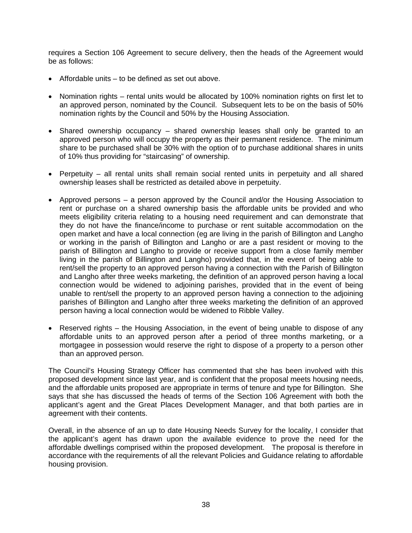requires a Section 106 Agreement to secure delivery, then the heads of the Agreement would be as follows:

- Affordable units to be defined as set out above.
- Nomination rights rental units would be allocated by 100% nomination rights on first let to an approved person, nominated by the Council. Subsequent lets to be on the basis of 50% nomination rights by the Council and 50% by the Housing Association.
- Shared ownership occupancy shared ownership leases shall only be granted to an approved person who will occupy the property as their permanent residence. The minimum share to be purchased shall be 30% with the option of to purchase additional shares in units of 10% thus providing for "staircasing" of ownership.
- Perpetuity all rental units shall remain social rented units in perpetuity and all shared ownership leases shall be restricted as detailed above in perpetuity.
- Approved persons a person approved by the Council and/or the Housing Association to rent or purchase on a shared ownership basis the affordable units be provided and who meets eligibility criteria relating to a housing need requirement and can demonstrate that they do not have the finance/income to purchase or rent suitable accommodation on the open market and have a local connection (eg are living in the parish of Billington and Langho or working in the parish of Billington and Langho or are a past resident or moving to the parish of Billington and Langho to provide or receive support from a close family member living in the parish of Billington and Langho) provided that, in the event of being able to rent/sell the property to an approved person having a connection with the Parish of Billington and Langho after three weeks marketing, the definition of an approved person having a local connection would be widened to adjoining parishes, provided that in the event of being unable to rent/sell the property to an approved person having a connection to the adjoining parishes of Billington and Langho after three weeks marketing the definition of an approved person having a local connection would be widened to Ribble Valley.
- Reserved rights the Housing Association, in the event of being unable to dispose of any affordable units to an approved person after a period of three months marketing, or a mortgagee in possession would reserve the right to dispose of a property to a person other than an approved person.

The Council's Housing Strategy Officer has commented that she has been involved with this proposed development since last year, and is confident that the proposal meets housing needs, and the affordable units proposed are appropriate in terms of tenure and type for Billington. She says that she has discussed the heads of terms of the Section 106 Agreement with both the applicant's agent and the Great Places Development Manager, and that both parties are in agreement with their contents.

Overall, in the absence of an up to date Housing Needs Survey for the locality, I consider that the applicant's agent has drawn upon the available evidence to prove the need for the affordable dwellings comprised within the proposed development. The proposal is therefore in accordance with the requirements of all the relevant Policies and Guidance relating to affordable housing provision.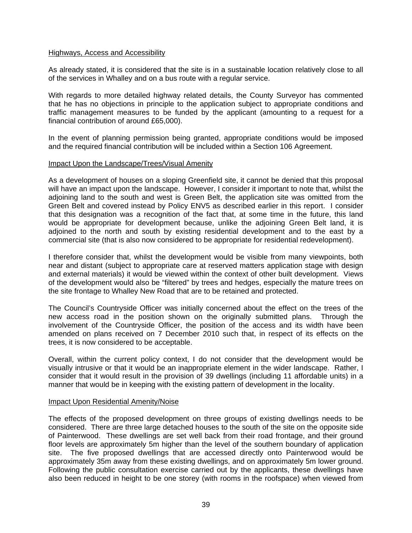### Highways, Access and Accessibility

As already stated, it is considered that the site is in a sustainable location relatively close to all of the services in Whalley and on a bus route with a regular service.

With regards to more detailed highway related details, the County Surveyor has commented that he has no objections in principle to the application subject to appropriate conditions and traffic management measures to be funded by the applicant (amounting to a request for a financial contribution of around £65,000).

In the event of planning permission being granted, appropriate conditions would be imposed and the required financial contribution will be included within a Section 106 Agreement.

## Impact Upon the Landscape/Trees/Visual Amenity

As a development of houses on a sloping Greenfield site, it cannot be denied that this proposal will have an impact upon the landscape. However, I consider it important to note that, whilst the adjoining land to the south and west is Green Belt, the application site was omitted from the Green Belt and covered instead by Policy ENV5 as described earlier in this report. I consider that this designation was a recognition of the fact that, at some time in the future, this land would be appropriate for development because, unlike the adjoining Green Belt land, it is adjoined to the north and south by existing residential development and to the east by a commercial site (that is also now considered to be appropriate for residential redevelopment).

I therefore consider that, whilst the development would be visible from many viewpoints, both near and distant (subject to appropriate care at reserved matters application stage with design and external materials) it would be viewed within the context of other built development. Views of the development would also be "filtered" by trees and hedges, especially the mature trees on the site frontage to Whalley New Road that are to be retained and protected.

The Council's Countryside Officer was initially concerned about the effect on the trees of the new access road in the position shown on the originally submitted plans. Through the involvement of the Countryside Officer, the position of the access and its width have been amended on plans received on 7 December 2010 such that, in respect of its effects on the trees, it is now considered to be acceptable.

Overall, within the current policy context, I do not consider that the development would be visually intrusive or that it would be an inappropriate element in the wider landscape. Rather, I consider that it would result in the provision of 39 dwellings (including 11 affordable units) in a manner that would be in keeping with the existing pattern of development in the locality.

### Impact Upon Residential Amenity/Noise

The effects of the proposed development on three groups of existing dwellings needs to be considered. There are three large detached houses to the south of the site on the opposite side of Painterwood. These dwellings are set well back from their road frontage, and their ground floor levels are approximately 5m higher than the level of the southern boundary of application site. The five proposed dwellings that are accessed directly onto Painterwood would be approximately 35m away from these existing dwellings, and on approximately 5m lower ground. Following the public consultation exercise carried out by the applicants, these dwellings have also been reduced in height to be one storey (with rooms in the roofspace) when viewed from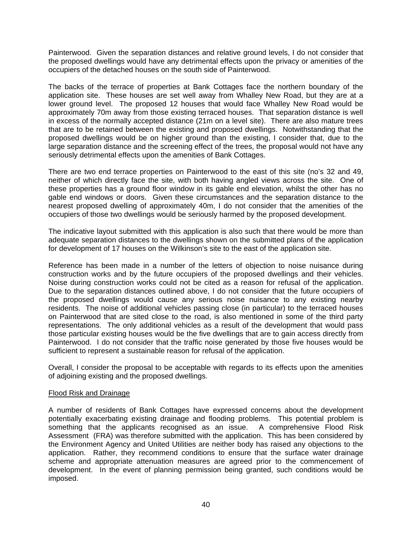Painterwood. Given the separation distances and relative ground levels, I do not consider that the proposed dwellings would have any detrimental effects upon the privacy or amenities of the occupiers of the detached houses on the south side of Painterwood.

The backs of the terrace of properties at Bank Cottages face the northern boundary of the application site. These houses are set well away from Whalley New Road, but they are at a lower ground level. The proposed 12 houses that would face Whalley New Road would be approximately 70m away from those existing terraced houses. That separation distance is well in excess of the normally accepted distance (21m on a level site). There are also mature trees that are to be retained between the existing and proposed dwellings. Notwithstanding that the proposed dwellings would be on higher ground than the existing, I consider that, due to the large separation distance and the screening effect of the trees, the proposal would not have any seriously detrimental effects upon the amenities of Bank Cottages.

There are two end terrace properties on Painterwood to the east of this site (no's 32 and 49, neither of which directly face the site, with both having angled views across the site. One of these properties has a ground floor window in its gable end elevation, whilst the other has no gable end windows or doors. Given these circumstances and the separation distance to the nearest proposed dwelling of approximately 40m, I do not consider that the amenities of the occupiers of those two dwellings would be seriously harmed by the proposed development.

The indicative layout submitted with this application is also such that there would be more than adequate separation distances to the dwellings shown on the submitted plans of the application for development of 17 houses on the Wilkinson's site to the east of the application site.

Reference has been made in a number of the letters of objection to noise nuisance during construction works and by the future occupiers of the proposed dwellings and their vehicles. Noise during construction works could not be cited as a reason for refusal of the application. Due to the separation distances outlined above, I do not consider that the future occupiers of the proposed dwellings would cause any serious noise nuisance to any existing nearby residents. The noise of additional vehicles passing close (in particular) to the terraced houses on Painterwood that are sited close to the road, is also mentioned in some of the third party representations. The only additional vehicles as a result of the development that would pass those particular existing houses would be the five dwellings that are to gain access directly from Painterwood. I do not consider that the traffic noise generated by those five houses would be sufficient to represent a sustainable reason for refusal of the application.

Overall, I consider the proposal to be acceptable with regards to its effects upon the amenities of adjoining existing and the proposed dwellings.

### Flood Risk and Drainage

A number of residents of Bank Cottages have expressed concerns about the development potentially exacerbating existing drainage and flooding problems. This potential problem is something that the applicants recognised as an issue. A comprehensive Flood Risk Assessment (FRA) was therefore submitted with the application. This has been considered by the Environment Agency and United Utilities are neither body has raised any objections to the application. Rather, they recommend conditions to ensure that the surface water drainage scheme and appropriate attenuation measures are agreed prior to the commencement of development. In the event of planning permission being granted, such conditions would be imposed.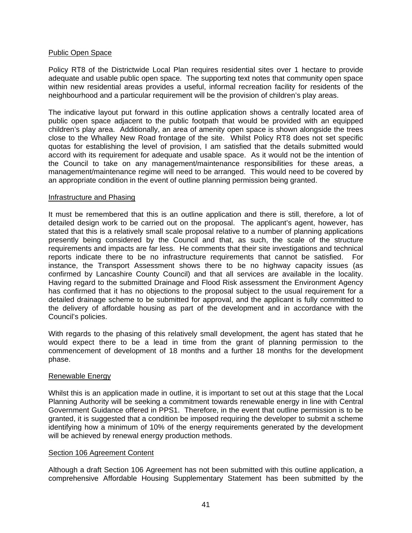## Public Open Space

Policy RT8 of the Districtwide Local Plan requires residential sites over 1 hectare to provide adequate and usable public open space. The supporting text notes that community open space within new residential areas provides a useful, informal recreation facility for residents of the neighbourhood and a particular requirement will be the provision of children's play areas.

The indicative layout put forward in this outline application shows a centrally located area of public open space adjacent to the public footpath that would be provided with an equipped children's play area. Additionally, an area of amenity open space is shown alongside the trees close to the Whalley New Road frontage of the site. Whilst Policy RT8 does not set specific quotas for establishing the level of provision, I am satisfied that the details submitted would accord with its requirement for adequate and usable space. As it would not be the intention of the Council to take on any management/maintenance responsibilities for these areas, a management/maintenance regime will need to be arranged. This would need to be covered by an appropriate condition in the event of outline planning permission being granted.

## Infrastructure and Phasing

It must be remembered that this is an outline application and there is still, therefore, a lot of detailed design work to be carried out on the proposal. The applicant's agent, however, has stated that this is a relatively small scale proposal relative to a number of planning applications presently being considered by the Council and that, as such, the scale of the structure requirements and impacts are far less. He comments that their site investigations and technical reports indicate there to be no infrastructure requirements that cannot be satisfied. For instance, the Transport Assessment shows there to be no highway capacity issues (as confirmed by Lancashire County Council) and that all services are available in the locality. Having regard to the submitted Drainage and Flood Risk assessment the Environment Agency has confirmed that it has no objections to the proposal subject to the usual requirement for a detailed drainage scheme to be submitted for approval, and the applicant is fully committed to the delivery of affordable housing as part of the development and in accordance with the Council's policies.

With regards to the phasing of this relatively small development, the agent has stated that he would expect there to be a lead in time from the grant of planning permission to the commencement of development of 18 months and a further 18 months for the development phase.

# Renewable Energy

Whilst this is an application made in outline, it is important to set out at this stage that the Local Planning Authority will be seeking a commitment towards renewable energy in line with Central Government Guidance offered in PPS1. Therefore, in the event that outline permission is to be granted, it is suggested that a condition be imposed requiring the developer to submit a scheme identifying how a minimum of 10% of the energy requirements generated by the development will be achieved by renewal energy production methods.

### Section 106 Agreement Content

Although a draft Section 106 Agreement has not been submitted with this outline application, a comprehensive Affordable Housing Supplementary Statement has been submitted by the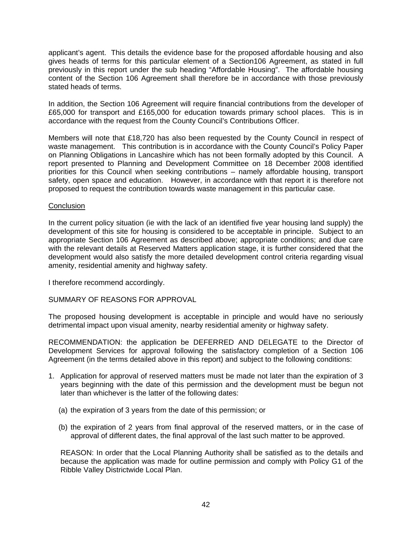applicant's agent. This details the evidence base for the proposed affordable housing and also gives heads of terms for this particular element of a Section106 Agreement, as stated in full previously in this report under the sub heading "Affordable Housing". The affordable housing content of the Section 106 Agreement shall therefore be in accordance with those previously stated heads of terms.

In addition, the Section 106 Agreement will require financial contributions from the developer of £65,000 for transport and £165,000 for education towards primary school places. This is in accordance with the request from the County Council's Contributions Officer.

Members will note that £18,720 has also been requested by the County Council in respect of waste management. This contribution is in accordance with the County Council's Policy Paper on Planning Obligations in Lancashire which has not been formally adopted by this Council. A report presented to Planning and Development Committee on 18 December 2008 identified priorities for this Council when seeking contributions – namely affordable housing, transport safety, open space and education. However, in accordance with that report it is therefore not proposed to request the contribution towards waste management in this particular case.

## **Conclusion**

In the current policy situation (ie with the lack of an identified five year housing land supply) the development of this site for housing is considered to be acceptable in principle. Subject to an appropriate Section 106 Agreement as described above; appropriate conditions; and due care with the relevant details at Reserved Matters application stage, it is further considered that the development would also satisfy the more detailed development control criteria regarding visual amenity, residential amenity and highway safety.

I therefore recommend accordingly.

# SUMMARY OF REASONS FOR APPROVAL

The proposed housing development is acceptable in principle and would have no seriously detrimental impact upon visual amenity, nearby residential amenity or highway safety.

RECOMMENDATION: the application be DEFERRED AND DELEGATE to the Director of Development Services for approval following the satisfactory completion of a Section 106 Agreement (in the terms detailed above in this report) and subject to the following conditions:

- 1. Application for approval of reserved matters must be made not later than the expiration of 3 years beginning with the date of this permission and the development must be begun not later than whichever is the latter of the following dates:
	- (a) the expiration of 3 years from the date of this permission; or
	- (b) the expiration of 2 years from final approval of the reserved matters, or in the case of approval of different dates, the final approval of the last such matter to be approved.

 REASON: In order that the Local Planning Authority shall be satisfied as to the details and because the application was made for outline permission and comply with Policy G1 of the Ribble Valley Districtwide Local Plan.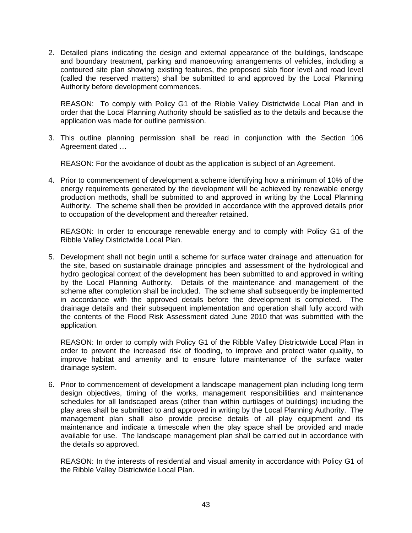2. Detailed plans indicating the design and external appearance of the buildings, landscape and boundary treatment, parking and manoeuvring arrangements of vehicles, including a contoured site plan showing existing features, the proposed slab floor level and road level (called the reserved matters) shall be submitted to and approved by the Local Planning Authority before development commences.

REASON: To comply with Policy G1 of the Ribble Valley Districtwide Local Plan and in order that the Local Planning Authority should be satisfied as to the details and because the application was made for outline permission.

3. This outline planning permission shall be read in conjunction with the Section 106 Agreement dated …

REASON: For the avoidance of doubt as the application is subject of an Agreement.

4. Prior to commencement of development a scheme identifying how a minimum of 10% of the energy requirements generated by the development will be achieved by renewable energy production methods, shall be submitted to and approved in writing by the Local Planning Authority. The scheme shall then be provided in accordance with the approved details prior to occupation of the development and thereafter retained.

 REASON: In order to encourage renewable energy and to comply with Policy G1 of the Ribble Valley Districtwide Local Plan.

5. Development shall not begin until a scheme for surface water drainage and attenuation for the site, based on sustainable drainage principles and assessment of the hydrological and hydro geological context of the development has been submitted to and approved in writing by the Local Planning Authority. Details of the maintenance and management of the scheme after completion shall be included. The scheme shall subsequently be implemented in accordance with the approved details before the development is completed. The drainage details and their subsequent implementation and operation shall fully accord with the contents of the Flood Risk Assessment dated June 2010 that was submitted with the application.

 REASON: In order to comply with Policy G1 of the Ribble Valley Districtwide Local Plan in order to prevent the increased risk of flooding, to improve and protect water quality, to improve habitat and amenity and to ensure future maintenance of the surface water drainage system.

6. Prior to commencement of development a landscape management plan including long term design objectives, timing of the works, management responsibilities and maintenance schedules for all landscaped areas (other than within curtilages of buildings) including the play area shall be submitted to and approved in writing by the Local Planning Authority. The management plan shall also provide precise details of all play equipment and its maintenance and indicate a timescale when the play space shall be provided and made available for use. The landscape management plan shall be carried out in accordance with the details so approved.

 REASON: In the interests of residential and visual amenity in accordance with Policy G1 of the Ribble Valley Districtwide Local Plan.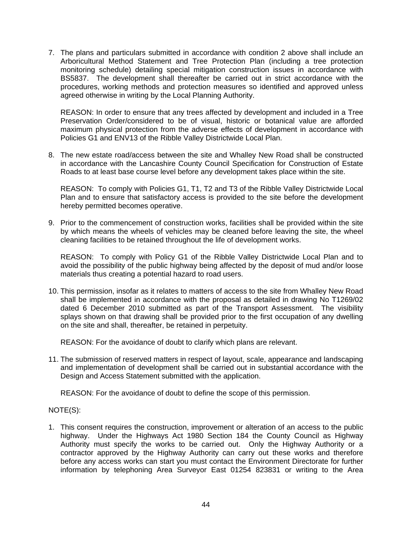7. The plans and particulars submitted in accordance with condition 2 above shall include an Arboricultural Method Statement and Tree Protection Plan (including a tree protection monitoring schedule) detailing special mitigation construction issues in accordance with BS5837. The development shall thereafter be carried out in strict accordance with the procedures, working methods and protection measures so identified and approved unless agreed otherwise in writing by the Local Planning Authority.

 REASON: In order to ensure that any trees affected by development and included in a Tree Preservation Order/considered to be of visual, historic or botanical value are afforded maximum physical protection from the adverse effects of development in accordance with Policies G1 and ENV13 of the Ribble Valley Districtwide Local Plan.

8. The new estate road/access between the site and Whalley New Road shall be constructed in accordance with the Lancashire County Council Specification for Construction of Estate Roads to at least base course level before any development takes place within the site.

 REASON: To comply with Policies G1, T1, T2 and T3 of the Ribble Valley Districtwide Local Plan and to ensure that satisfactory access is provided to the site before the development hereby permitted becomes operative.

9. Prior to the commencement of construction works, facilities shall be provided within the site by which means the wheels of vehicles may be cleaned before leaving the site, the wheel cleaning facilities to be retained throughout the life of development works.

 REASON: To comply with Policy G1 of the Ribble Valley Districtwide Local Plan and to avoid the possibility of the public highway being affected by the deposit of mud and/or loose materials thus creating a potential hazard to road users.

10. This permission, insofar as it relates to matters of access to the site from Whalley New Road shall be implemented in accordance with the proposal as detailed in drawing No T1269/02 dated 6 December 2010 submitted as part of the Transport Assessment. The visibility splays shown on that drawing shall be provided prior to the first occupation of any dwelling on the site and shall, thereafter, be retained in perpetuity.

REASON: For the avoidance of doubt to clarify which plans are relevant.

11. The submission of reserved matters in respect of layout, scale, appearance and landscaping and implementation of development shall be carried out in substantial accordance with the Design and Access Statement submitted with the application.

REASON: For the avoidance of doubt to define the scope of this permission.

# NOTE(S):

1. This consent requires the construction, improvement or alteration of an access to the public highway. Under the Highways Act 1980 Section 184 the County Council as Highway Authority must specify the works to be carried out. Only the Highway Authority or a contractor approved by the Highway Authority can carry out these works and therefore before any access works can start you must contact the Environment Directorate for further information by telephoning Area Surveyor East 01254 823831 or writing to the Area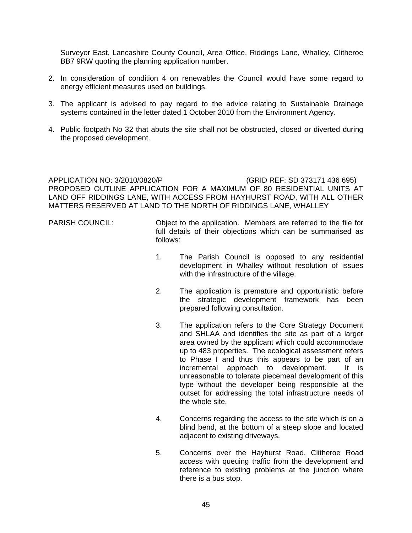Surveyor East, Lancashire County Council, Area Office, Riddings Lane, Whalley, Clitheroe BB7 9RW quoting the planning application number.

- 2. In consideration of condition 4 on renewables the Council would have some regard to energy efficient measures used on buildings.
- 3. The applicant is advised to pay regard to the advice relating to Sustainable Drainage systems contained in the letter dated 1 October 2010 from the Environment Agency.
- 4. Public footpath No 32 that abuts the site shall not be obstructed, closed or diverted during the proposed development.

APPLICATION NO: 3/2010/0820/P (GRID REF: SD 373171 436 695) PROPOSED OUTLINE APPLICATION FOR A MAXIMUM OF 80 RESIDENTIAL UNITS AT LAND OFF RIDDINGS LANE, WITH ACCESS FROM HAYHURST ROAD, WITH ALL OTHER MATTERS RESERVED AT LAND TO THE NORTH OF RIDDINGS LANE, WHALLEY

- PARISH COUNCIL: Object to the application. Members are referred to the file for full details of their objections which can be summarised as follows:
	- 1. The Parish Council is opposed to any residential development in Whalley without resolution of issues with the infrastructure of the village.
	- 2. The application is premature and opportunistic before the strategic development framework has been prepared following consultation.
	- 3. The application refers to the Core Strategy Document and SHLAA and identifies the site as part of a larger area owned by the applicant which could accommodate up to 483 properties. The ecological assessment refers to Phase I and thus this appears to be part of an incremental approach to development. It is unreasonable to tolerate piecemeal development of this type without the developer being responsible at the outset for addressing the total infrastructure needs of the whole site.
	- 4. Concerns regarding the access to the site which is on a blind bend, at the bottom of a steep slope and located adjacent to existing driveways.
	- 5. Concerns over the Hayhurst Road, Clitheroe Road access with queuing traffic from the development and reference to existing problems at the junction where there is a bus stop.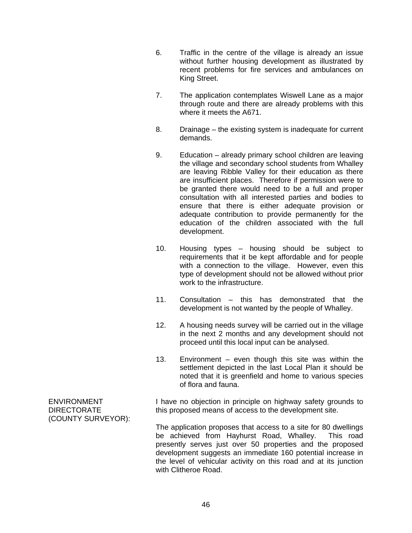- 6. Traffic in the centre of the village is already an issue without further housing development as illustrated by recent problems for fire services and ambulances on King Street.
- 7. The application contemplates Wiswell Lane as a major through route and there are already problems with this where it meets the A671.
- 8. Drainage the existing system is inadequate for current demands.
- 9. Education already primary school children are leaving the village and secondary school students from Whalley are leaving Ribble Valley for their education as there are insufficient places. Therefore if permission were to be granted there would need to be a full and proper consultation with all interested parties and bodies to ensure that there is either adequate provision or adequate contribution to provide permanently for the education of the children associated with the full development.
- 10. Housing types housing should be subject to requirements that it be kept affordable and for people with a connection to the village. However, even this type of development should not be allowed without prior work to the infrastructure.
- 11. Consultation this has demonstrated that the development is not wanted by the people of Whalley.
- 12. A housing needs survey will be carried out in the village in the next 2 months and any development should not proceed until this local input can be analysed.
- 13. Environment even though this site was within the settlement depicted in the last Local Plan it should be noted that it is greenfield and home to various species of flora and fauna.

I have no objection in principle on highway safety grounds to this proposed means of access to the development site.

The application proposes that access to a site for 80 dwellings be achieved from Hayhurst Road, Whalley. This road presently serves just over 50 properties and the proposed development suggests an immediate 160 potential increase in the level of vehicular activity on this road and at its junction with Clitheroe Road.

ENVIRONMENT DIRECTORATE (COUNTY SURVEYOR):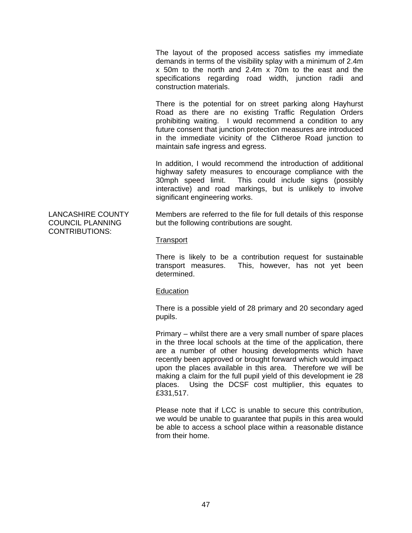The layout of the proposed access satisfies my immediate demands in terms of the visibility splay with a minimum of 2.4m x 50m to the north and 2.4m x 70m to the east and the specifications regarding road width, junction radii and construction materials.

There is the potential for on street parking along Hayhurst Road as there are no existing Traffic Regulation Orders prohibiting waiting. I would recommend a condition to any future consent that junction protection measures are introduced in the immediate vicinity of the Clitheroe Road junction to maintain safe ingress and egress.

In addition, I would recommend the introduction of additional highway safety measures to encourage compliance with the 30mph speed limit. This could include signs (possibly interactive) and road markings, but is unlikely to involve significant engineering works.

Members are referred to the file for full details of this response but the following contributions are sought.

### **Transport**

There is likely to be a contribution request for sustainable transport measures. This, however, has not yet been determined.

### **Education**

There is a possible yield of 28 primary and 20 secondary aged pupils.

Primary – whilst there are a very small number of spare places in the three local schools at the time of the application, there are a number of other housing developments which have recently been approved or brought forward which would impact upon the places available in this area. Therefore we will be making a claim for the full pupil yield of this development ie 28 places. Using the DCSF cost multiplier, this equates to £331,517.

Please note that if LCC is unable to secure this contribution, we would be unable to guarantee that pupils in this area would be able to access a school place within a reasonable distance from their home.

LANCASHIRE COUNTY COUNCIL PLANNING CONTRIBUTIONS: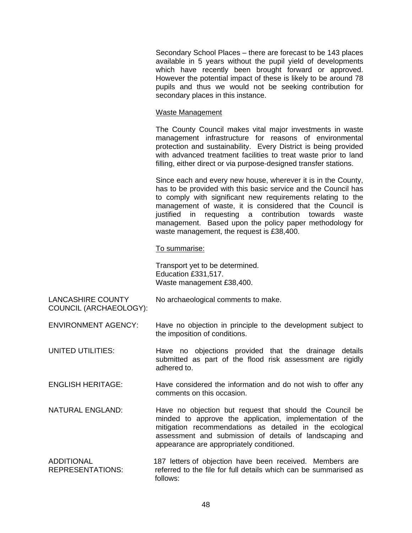Secondary School Places – there are forecast to be 143 places available in 5 years without the pupil yield of developments which have recently been brought forward or approved. However the potential impact of these is likely to be around 78 pupils and thus we would not be seeking contribution for secondary places in this instance.

### Waste Management

The County Council makes vital major investments in waste management infrastructure for reasons of environmental protection and sustainability. Every District is being provided with advanced treatment facilities to treat waste prior to land filling, either direct or via purpose-designed transfer stations.

Since each and every new house, wherever it is in the County, has to be provided with this basic service and the Council has to comply with significant new requirements relating to the management of waste, it is considered that the Council is justified in requesting a contribution towards waste management. Based upon the policy paper methodology for waste management, the request is £38,400.

To summarise:

Transport yet to be determined. Education £331,517. Waste management £38,400.

LANCASHIRE COUNTY COUNCIL (ARCHAEOLOGY): No archaeological comments to make.

ENVIRONMENT AGENCY: Have no objection in principle to the development subject to the imposition of conditions.

UNITED UTILITIES: Have no objections provided that the drainage details submitted as part of the flood risk assessment are rigidly adhered to.

ENGLISH HERITAGE: Have considered the information and do not wish to offer any comments on this occasion.

- NATURAL ENGLAND: Have no objection but request that should the Council be minded to approve the application, implementation of the mitigation recommendations as detailed in the ecological assessment and submission of details of landscaping and appearance are appropriately conditioned.
- ADDITIONAL 187 letters of objection have been received. Members are REPRESENTATIONS: referred to the file for full details which can be summarised as follows: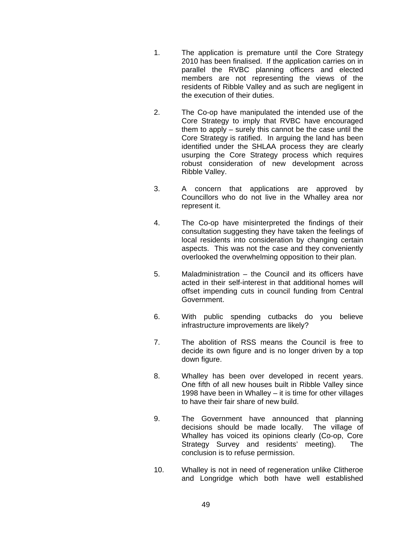- 1. The application is premature until the Core Strategy 2010 has been finalised. If the application carries on in parallel the RVBC planning officers and elected members are not representing the views of the residents of Ribble Valley and as such are negligent in the execution of their duties.
- 2. The Co-op have manipulated the intended use of the Core Strategy to imply that RVBC have encouraged them to apply – surely this cannot be the case until the Core Strategy is ratified. In arguing the land has been identified under the SHLAA process they are clearly usurping the Core Strategy process which requires robust consideration of new development across Ribble Valley.
- 3. A concern that applications are approved by Councillors who do not live in the Whalley area nor represent it.
- 4. The Co-op have misinterpreted the findings of their consultation suggesting they have taken the feelings of local residents into consideration by changing certain aspects. This was not the case and they conveniently overlooked the overwhelming opposition to their plan.
- 5. Maladministration the Council and its officers have acted in their self-interest in that additional homes will offset impending cuts in council funding from Central Government.
- 6. With public spending cutbacks do you believe infrastructure improvements are likely?
- 7. The abolition of RSS means the Council is free to decide its own figure and is no longer driven by a top down figure.
- 8. Whalley has been over developed in recent years. One fifth of all new houses built in Ribble Valley since 1998 have been in Whalley – it is time for other villages to have their fair share of new build.
- 9. The Government have announced that planning decisions should be made locally. The village of Whalley has voiced its opinions clearly (Co-op, Core Strategy Survey and residents' meeting). The conclusion is to refuse permission.
- 10. Whalley is not in need of regeneration unlike Clitheroe and Longridge which both have well established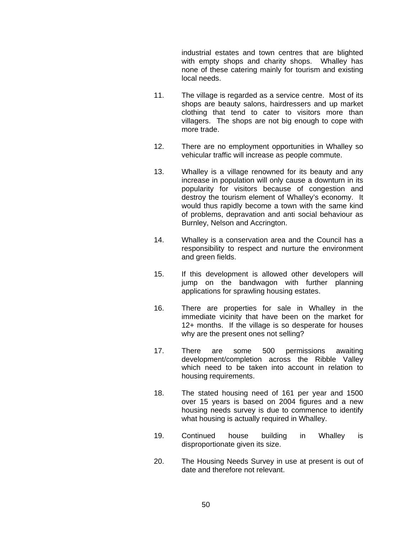industrial estates and town centres that are blighted with empty shops and charity shops. Whalley has none of these catering mainly for tourism and existing local needs.

- 11. The village is regarded as a service centre. Most of its shops are beauty salons, hairdressers and up market clothing that tend to cater to visitors more than villagers. The shops are not big enough to cope with more trade.
- 12. There are no employment opportunities in Whalley so vehicular traffic will increase as people commute.
- 13. Whalley is a village renowned for its beauty and any increase in population will only cause a downturn in its popularity for visitors because of congestion and destroy the tourism element of Whalley's economy. It would thus rapidly become a town with the same kind of problems, depravation and anti social behaviour as Burnley, Nelson and Accrington.
- 14. Whalley is a conservation area and the Council has a responsibility to respect and nurture the environment and green fields.
- 15. If this development is allowed other developers will jump on the bandwagon with further planning applications for sprawling housing estates.
- 16. There are properties for sale in Whalley in the immediate vicinity that have been on the market for 12+ months. If the village is so desperate for houses why are the present ones not selling?
- 17. There are some 500 permissions awaiting development/completion across the Ribble Valley which need to be taken into account in relation to housing requirements.
- 18. The stated housing need of 161 per year and 1500 over 15 years is based on 2004 figures and a new housing needs survey is due to commence to identify what housing is actually required in Whalley.
- 19. Continued house building in Whalley is disproportionate given its size.
- 20. The Housing Needs Survey in use at present is out of date and therefore not relevant.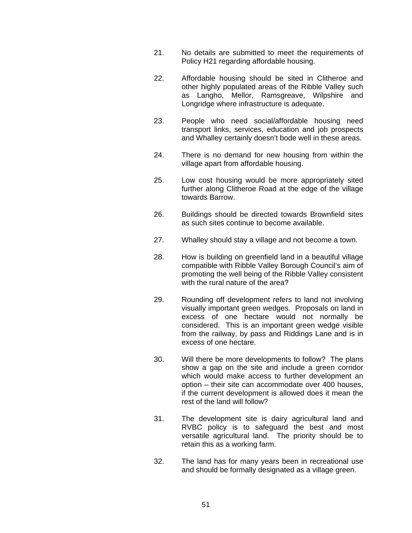- 21. No details are submitted to meet the requirements of Policy H21 regarding affordable housing.
- 22. Affordable housing should be sited in Clitheroe and other highly populated areas of the Ribble Valley such as Langho, Mellor, Ramsgreave, Wilpshire and Longridge where infrastructure is adequate.
- 23. People who need social/affordable housing need transport links, services, education and job prospects and Whalley certainly doesn't bode well in these areas.
- 24. There is no demand for new housing from within the village apart from affordable housing.
- 25. Low cost housing would be more appropriately sited further along Clitheroe Road at the edge of the village towards Barrow.
- 26. Buildings should be directed towards Brownfield sites as such sites continue to become available.
- 27. Whalley should stay a village and not become a town.
- 28. How is building on greenfield land in a beautiful village compatible with Ribble Valley Borough Council's aim of promoting the well being of the Ribble Valley consistent with the rural nature of the area?
- 29. Rounding off development refers to land not involving visually important green wedges. Proposals on land in excess of one hectare would not normally be considered. This is an important green wedge visible from the railway, by pass and Riddings Lane and is in excess of one hectare.
- 30. Will there be more developments to follow? The plans show a gap on the site and include a green corridor which would make access to further development an option – their site can accommodate over 400 houses, if the current development is allowed does it mean the rest of the land will follow?
- 31. The development site is dairy agricultural land and RVBC policy is to safeguard the best and most versatile agricultural land. The priority should be to retain this as a working farm.
- 32. The land has for many years been in recreational use and should be formally designated as a village green.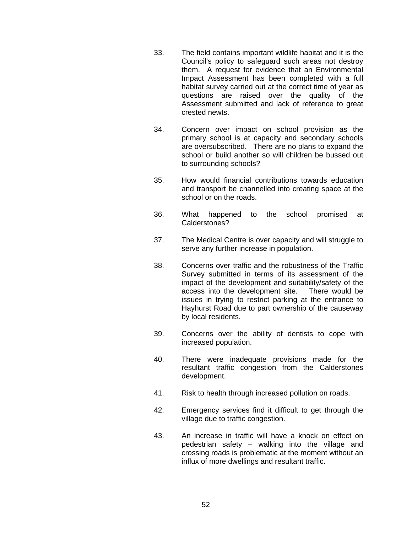- 33. The field contains important wildlife habitat and it is the Council's policy to safeguard such areas not destroy them. A request for evidence that an Environmental Impact Assessment has been completed with a full habitat survey carried out at the correct time of year as questions are raised over the quality of the Assessment submitted and lack of reference to great crested newts.
- 34. Concern over impact on school provision as the primary school is at capacity and secondary schools are oversubscribed. There are no plans to expand the school or build another so will children be bussed out to surrounding schools?
- 35. How would financial contributions towards education and transport be channelled into creating space at the school or on the roads.
- 36. What happened to the school promised at Calderstones?
- 37. The Medical Centre is over capacity and will struggle to serve any further increase in population.
- 38. Concerns over traffic and the robustness of the Traffic Survey submitted in terms of its assessment of the impact of the development and suitability/safety of the access into the development site. There would be issues in trying to restrict parking at the entrance to Hayhurst Road due to part ownership of the causeway by local residents.
- 39. Concerns over the ability of dentists to cope with increased population.
- 40. There were inadequate provisions made for the resultant traffic congestion from the Calderstones development.
- 41. Risk to health through increased pollution on roads.
- 42. Emergency services find it difficult to get through the village due to traffic congestion.
- 43. An increase in traffic will have a knock on effect on pedestrian safety – walking into the village and crossing roads is problematic at the moment without an influx of more dwellings and resultant traffic.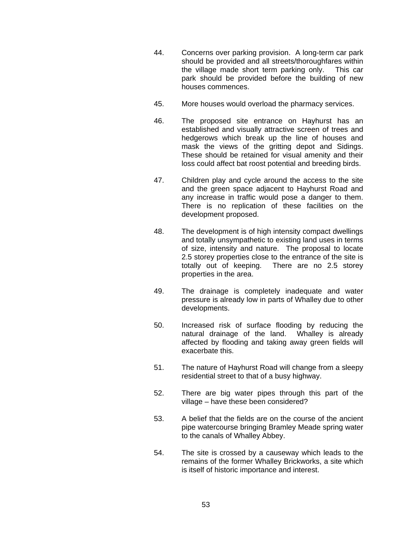- 44. Concerns over parking provision. A long-term car park should be provided and all streets/thoroughfares within the village made short term parking only. This car park should be provided before the building of new houses commences.
- 45. More houses would overload the pharmacy services.
- 46. The proposed site entrance on Hayhurst has an established and visually attractive screen of trees and hedgerows which break up the line of houses and mask the views of the gritting depot and Sidings. These should be retained for visual amenity and their loss could affect bat roost potential and breeding birds.
- 47. Children play and cycle around the access to the site and the green space adjacent to Hayhurst Road and any increase in traffic would pose a danger to them. There is no replication of these facilities on the development proposed.
- 48. The development is of high intensity compact dwellings and totally unsympathetic to existing land uses in terms of size, intensity and nature. The proposal to locate 2.5 storey properties close to the entrance of the site is totally out of keeping. There are no 2.5 storey properties in the area.
- 49. The drainage is completely inadequate and water pressure is already low in parts of Whalley due to other developments.
- 50. Increased risk of surface flooding by reducing the natural drainage of the land. Whalley is already affected by flooding and taking away green fields will exacerbate this.
- 51. The nature of Hayhurst Road will change from a sleepy residential street to that of a busy highway.
- 52. There are big water pipes through this part of the village – have these been considered?
- 53. A belief that the fields are on the course of the ancient pipe watercourse bringing Bramley Meade spring water to the canals of Whalley Abbey.
- 54. The site is crossed by a causeway which leads to the remains of the former Whalley Brickworks, a site which is itself of historic importance and interest.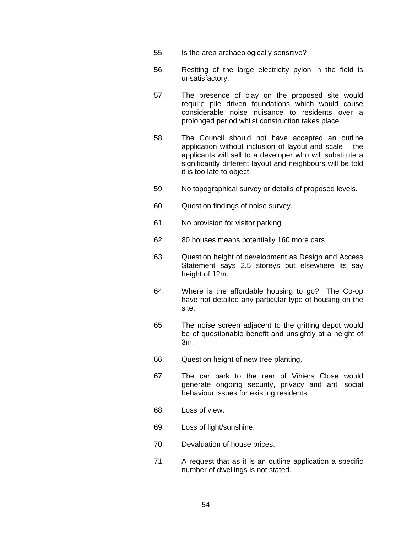- 55. Is the area archaeologically sensitive?
- 56. Resiting of the large electricity pylon in the field is unsatisfactory.
- 57. The presence of clay on the proposed site would require pile driven foundations which would cause considerable noise nuisance to residents over a prolonged period whilst construction takes place.
- 58. The Council should not have accepted an outline application without inclusion of layout and scale – the applicants will sell to a developer who will substitute a significantly different layout and neighbours will be told it is too late to object.
- 59. No topographical survey or details of proposed levels.
- 60. Question findings of noise survey.
- 61. No provision for visitor parking.
- 62. 80 houses means potentially 160 more cars.
- 63. Question height of development as Design and Access Statement says 2.5 storeys but elsewhere its say height of 12m.
- 64. Where is the affordable housing to go? The Co-op have not detailed any particular type of housing on the site.
- 65. The noise screen adjacent to the gritting depot would be of questionable benefit and unsightly at a height of 3m.
- 66. Question height of new tree planting.
- 67. The car park to the rear of Vihiers Close would generate ongoing security, privacy and anti social behaviour issues for existing residents.
- 68. Loss of view.
- 69. Loss of light/sunshine.
- 70. Devaluation of house prices.
- 71. A request that as it is an outline application a specific number of dwellings is not stated.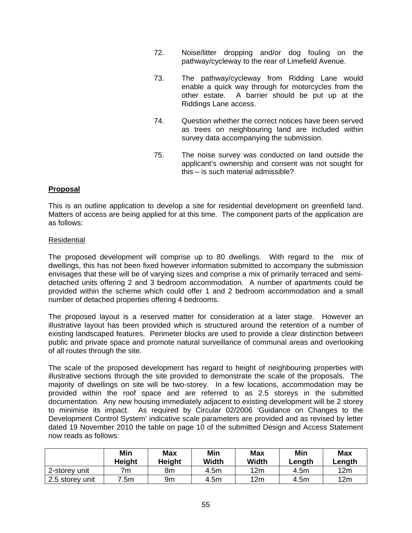- 72. Noise/litter dropping and/or dog fouling on the pathway/cycleway to the rear of Limefield Avenue.
- 73. The pathway/cycleway from Ridding Lane would enable a quick way through for motorcycles from the other estate. A barrier should be put up at the Riddings Lane access.
- 74. Question whether the correct notices have been served as trees on neighbouring land are included within survey data accompanying the submission.
- 75. The noise survey was conducted on land outside the applicant's ownership and consent was not sought for this – is such material admissible?

## **Proposal**

This is an outline application to develop a site for residential development on greenfield land. Matters of access are being applied for at this time. The component parts of the application are as follows:

### Residential

The proposed development will comprise up to 80 dwellings. With regard to the mix of dwellings, this has not been fixed however information submitted to accompany the submission envisages that these will be of varying sizes and comprise a mix of primarily terraced and semidetached units offering 2 and 3 bedroom accommodation. A number of apartments could be provided within the scheme which could offer 1 and 2 bedroom accommodation and a small number of detached properties offering 4 bedrooms.

The proposed layout is a reserved matter for consideration at a later stage. However an illustrative layout has been provided which is structured around the retention of a number of existing landscaped features. Perimeter blocks are used to provide a clear distinction between public and private space and promote natural surveillance of communal areas and overlooking of all routes through the site.

The scale of the proposed development has regard to height of neighbouring properties with illustrative sections through the site provided to demonstrate the scale of the proposals. The majority of dwellings on site will be two-storey. In a few locations, accommodation may be provided within the roof space and are referred to as 2.5 storeys in the submitted documentation. Any new housing immediately adjacent to existing development will be 2 storey to minimise its impact. As required by Circular 02/2006 'Guidance on Changes to the Development Control System' indicative scale parameters are provided and as revised by letter dated 19 November 2010 the table on page 10 of the submitted Design and Access Statement now reads as follows:

|                 | Min<br>Height | Max<br>Height | Min<br>Width | <b>Max</b><br><b>Width</b> | Min<br>Length | <b>Max</b><br>Length |
|-----------------|---------------|---------------|--------------|----------------------------|---------------|----------------------|
| 2-storey unit   | 7m            | 8m            | 4.5m         | 12m                        | 4.5m          | 12m                  |
| 2.5 storey unit | 7.5m          | 9m            | 4.5m         | 12m                        | 4.5m          | 12m                  |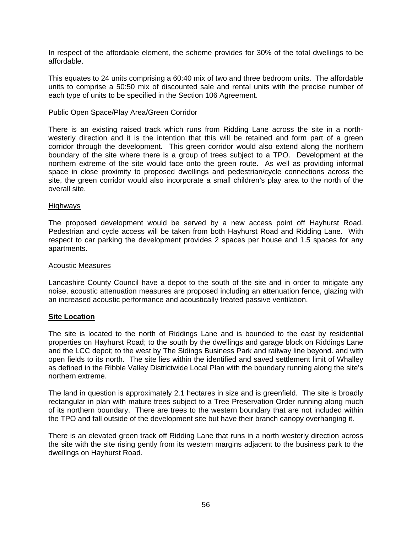In respect of the affordable element, the scheme provides for 30% of the total dwellings to be affordable.

This equates to 24 units comprising a 60:40 mix of two and three bedroom units. The affordable units to comprise a 50:50 mix of discounted sale and rental units with the precise number of each type of units to be specified in the Section 106 Agreement.

### Public Open Space/Play Area/Green Corridor

There is an existing raised track which runs from Ridding Lane across the site in a northwesterly direction and it is the intention that this will be retained and form part of a green corridor through the development. This green corridor would also extend along the northern boundary of the site where there is a group of trees subject to a TPO. Development at the northern extreme of the site would face onto the green route. As well as providing informal space in close proximity to proposed dwellings and pedestrian/cycle connections across the site, the green corridor would also incorporate a small children's play area to the north of the overall site.

#### **Highways**

The proposed development would be served by a new access point off Hayhurst Road. Pedestrian and cycle access will be taken from both Hayhurst Road and Ridding Lane. With respect to car parking the development provides 2 spaces per house and 1.5 spaces for any apartments.

#### Acoustic Measures

Lancashire County Council have a depot to the south of the site and in order to mitigate any noise, acoustic attenuation measures are proposed including an attenuation fence, glazing with an increased acoustic performance and acoustically treated passive ventilation.

### **Site Location**

The site is located to the north of Riddings Lane and is bounded to the east by residential properties on Hayhurst Road; to the south by the dwellings and garage block on Riddings Lane and the LCC depot; to the west by The Sidings Business Park and railway line beyond. and with open fields to its north. The site lies within the identified and saved settlement limit of Whalley as defined in the Ribble Valley Districtwide Local Plan with the boundary running along the site's northern extreme.

The land in question is approximately 2.1 hectares in size and is greenfield. The site is broadly rectangular in plan with mature trees subject to a Tree Preservation Order running along much of its northern boundary. There are trees to the western boundary that are not included within the TPO and fall outside of the development site but have their branch canopy overhanging it.

There is an elevated green track off Ridding Lane that runs in a north westerly direction across the site with the site rising gently from its western margins adjacent to the business park to the dwellings on Hayhurst Road.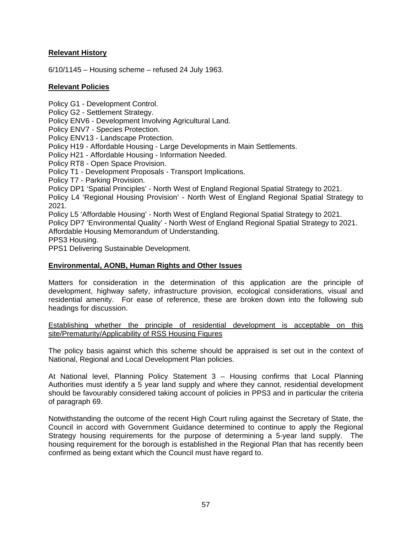# **Relevant History**

6/10/1145 – Housing scheme – refused 24 July 1963.

# **Relevant Policies**

Policy G1 - Development Control.

Policy G2 - Settlement Strategy.

Policy ENV6 - Development Involving Agricultural Land.

Policy ENV7 - Species Protection.

Policy ENV13 - Landscape Protection.

Policy H19 - Affordable Housing - Large Developments in Main Settlements.

Policy H21 - Affordable Housing - Information Needed.

Policy RT8 - Open Space Provision.

Policy T1 - Development Proposals - Transport Implications.

Policy T7 - Parking Provision.

Policy DP1 'Spatial Principles' - North West of England Regional Spatial Strategy to 2021.

Policy L4 'Regional Housing Provision' - North West of England Regional Spatial Strategy to 2021.

Policy L5 'Affordable Housing' - North West of England Regional Spatial Strategy to 2021.

Policy DP7 'Environmental Quality' - North West of England Regional Spatial Strategy to 2021. Affordable Housing Memorandum of Understanding.

PPS3 Housing.

PPS1 Delivering Sustainable Development.

# **Environmental, AONB, Human Rights and Other Issues**

Matters for consideration in the determination of this application are the principle of development, highway safety, infrastructure provision, ecological considerations, visual and residential amenity. For ease of reference, these are broken down into the following sub headings for discussion.

Establishing whether the principle of residential development is acceptable on this site/Prematurity/Applicability of RSS Housing Figures

The policy basis against which this scheme should be appraised is set out in the context of National, Regional and Local Development Plan policies.

At National level, Planning Policy Statement 3 – Housing confirms that Local Planning Authorities must identify a 5 year land supply and where they cannot, residential development should be favourably considered taking account of policies in PPS3 and in particular the criteria of paragraph 69.

Notwithstanding the outcome of the recent High Court ruling against the Secretary of State, the Council in accord with Government Guidance determined to continue to apply the Regional Strategy housing requirements for the purpose of determining a 5-year land supply. The housing requirement for the borough is established in the Regional Plan that has recently been confirmed as being extant which the Council must have regard to.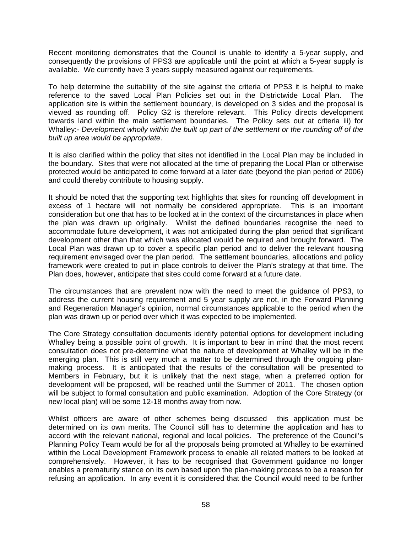Recent monitoring demonstrates that the Council is unable to identify a 5-year supply, and consequently the provisions of PPS3 are applicable until the point at which a 5-year supply is available. We currently have 3 years supply measured against our requirements.

To help determine the suitability of the site against the criteria of PPS3 it is helpful to make reference to the saved Local Plan Policies set out in the Districtwide Local Plan. The application site is within the settlement boundary, is developed on 3 sides and the proposal is viewed as rounding off. Policy G2 is therefore relevant. This Policy directs development towards land within the main settlement boundaries. The Policy sets out at criteria iii) for Whalley:- *Development wholly within the built up part of the settlement or the rounding off of the built up area would be appropriate*.

It is also clarified within the policy that sites not identified in the Local Plan may be included in the boundary. Sites that were not allocated at the time of preparing the Local Plan or otherwise protected would be anticipated to come forward at a later date (beyond the plan period of 2006) and could thereby contribute to housing supply.

It should be noted that the supporting text highlights that sites for rounding off development in excess of 1 hectare will not normally be considered appropriate. This is an important consideration but one that has to be looked at in the context of the circumstances in place when the plan was drawn up originally. Whilst the defined boundaries recognise the need to accommodate future development, it was not anticipated during the plan period that significant development other than that which was allocated would be required and brought forward. The Local Plan was drawn up to cover a specific plan period and to deliver the relevant housing requirement envisaged over the plan period. The settlement boundaries, allocations and policy framework were created to put in place controls to deliver the Plan's strategy at that time. The Plan does, however, anticipate that sites could come forward at a future date.

The circumstances that are prevalent now with the need to meet the guidance of PPS3, to address the current housing requirement and 5 year supply are not, in the Forward Planning and Regeneration Manager's opinion, normal circumstances applicable to the period when the plan was drawn up or period over which it was expected to be implemented.

The Core Strategy consultation documents identify potential options for development including Whalley being a possible point of growth. It is important to bear in mind that the most recent consultation does not pre-determine what the nature of development at Whalley will be in the emerging plan. This is still very much a matter to be determined through the ongoing planmaking process. It is anticipated that the results of the consultation will be presented to Members in February, but it is unlikely that the next stage, when a preferred option for development will be proposed, will be reached until the Summer of 2011. The chosen option will be subject to formal consultation and public examination. Adoption of the Core Strategy (or new local plan) will be some 12-18 months away from now.

Whilst officers are aware of other schemes being discussed this application must be determined on its own merits. The Council still has to determine the application and has to accord with the relevant national, regional and local policies. The preference of the Council's Planning Policy Team would be for all the proposals being promoted at Whalley to be examined within the Local Development Framework process to enable all related matters to be looked at comprehensively. However, it has to be recognised that Government guidance no longer enables a prematurity stance on its own based upon the plan-making process to be a reason for refusing an application. In any event it is considered that the Council would need to be further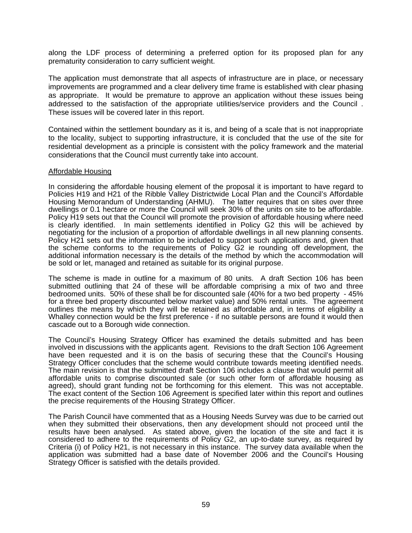along the LDF process of determining a preferred option for its proposed plan for any prematurity consideration to carry sufficient weight.

The application must demonstrate that all aspects of infrastructure are in place, or necessary improvements are programmed and a clear delivery time frame is established with clear phasing as appropriate. It would be premature to approve an application without these issues being addressed to the satisfaction of the appropriate utilities/service providers and the Council . These issues will be covered later in this report.

Contained within the settlement boundary as it is, and being of a scale that is not inappropriate to the locality, subject to supporting infrastructure, it is concluded that the use of the site for residential development as a principle is consistent with the policy framework and the material considerations that the Council must currently take into account.

#### Affordable Housing

In considering the affordable housing element of the proposal it is important to have regard to Policies H19 and H21 of the Ribble Valley Districtwide Local Plan and the Council's Affordable Housing Memorandum of Understanding (AHMU). The latter requires that on sites over three dwellings or 0.1 hectare or more the Council will seek 30% of the units on site to be affordable. Policy H19 sets out that the Council will promote the provision of affordable housing where need is clearly identified. In main settlements identified in Policy G2 this will be achieved by negotiating for the inclusion of a proportion of affordable dwellings in all new planning consents. Policy H21 sets out the information to be included to support such applications and, given that the scheme conforms to the requirements of Policy G2 ie rounding off development, the additional information necessary is the details of the method by which the accommodation will be sold or let, managed and retained as suitable for its original purpose.

The scheme is made in outline for a maximum of 80 units. A draft Section 106 has been submitted outlining that 24 of these will be affordable comprising a mix of two and three bedroomed units. 50% of these shall be for discounted sale (40% for a two bed property - 45% for a three bed property discounted below market value) and 50% rental units. The agreement outlines the means by which they will be retained as affordable and, in terms of eligibility a Whalley connection would be the first preference - if no suitable persons are found it would then cascade out to a Borough wide connection.

The Council's Housing Strategy Officer has examined the details submitted and has been involved in discussions with the applicants agent. Revisions to the draft Section 106 Agreement have been requested and it is on the basis of securing these that the Council's Housing Strategy Officer concludes that the scheme would contribute towards meeting identified needs. The main revision is that the submitted draft Section 106 includes a clause that would permit all affordable units to comprise discounted sale (or such other form of affordable housing as agreed), should grant funding not be forthcoming for this element. This was not acceptable. The exact content of the Section 106 Agreement is specified later within this report and outlines the precise requirements of the Housing Strategy Officer.

The Parish Council have commented that as a Housing Needs Survey was due to be carried out when they submitted their observations, then any development should not proceed until the results have been analysed. As stated above, given the location of the site and fact it is considered to adhere to the requirements of Policy G2, an up-to-date survey, as required by Criteria (i) of Policy H21, is not necessary in this instance. The survey data available when the application was submitted had a base date of November 2006 and the Council's Housing Strategy Officer is satisfied with the details provided.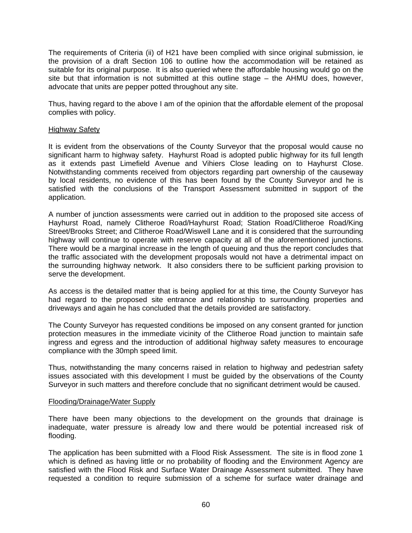The requirements of Criteria (ii) of H21 have been complied with since original submission, ie the provision of a draft Section 106 to outline how the accommodation will be retained as suitable for its original purpose. It is also queried where the affordable housing would go on the site but that information is not submitted at this outline stage – the AHMU does, however, advocate that units are pepper potted throughout any site.

Thus, having regard to the above I am of the opinion that the affordable element of the proposal complies with policy.

### Highway Safety

It is evident from the observations of the County Surveyor that the proposal would cause no significant harm to highway safety. Hayhurst Road is adopted public highway for its full length as it extends past Limefield Avenue and Vihiers Close leading on to Hayhurst Close. Notwithstanding comments received from objectors regarding part ownership of the causeway by local residents, no evidence of this has been found by the County Surveyor and he is satisfied with the conclusions of the Transport Assessment submitted in support of the application.

A number of junction assessments were carried out in addition to the proposed site access of Hayhurst Road, namely Clitheroe Road/Hayhurst Road; Station Road/Clitheroe Road/King Street/Brooks Street; and Clitheroe Road/Wiswell Lane and it is considered that the surrounding highway will continue to operate with reserve capacity at all of the aforementioned junctions. There would be a marginal increase in the length of queuing and thus the report concludes that the traffic associated with the development proposals would not have a detrimental impact on the surrounding highway network. It also considers there to be sufficient parking provision to serve the development.

As access is the detailed matter that is being applied for at this time, the County Surveyor has had regard to the proposed site entrance and relationship to surrounding properties and driveways and again he has concluded that the details provided are satisfactory.

The County Surveyor has requested conditions be imposed on any consent granted for junction protection measures in the immediate vicinity of the Clitheroe Road junction to maintain safe ingress and egress and the introduction of additional highway safety measures to encourage compliance with the 30mph speed limit.

Thus, notwithstanding the many concerns raised in relation to highway and pedestrian safety issues associated with this development I must be guided by the observations of the County Surveyor in such matters and therefore conclude that no significant detriment would be caused.

### Flooding/Drainage/Water Supply

There have been many objections to the development on the grounds that drainage is inadequate, water pressure is already low and there would be potential increased risk of flooding.

The application has been submitted with a Flood Risk Assessment. The site is in flood zone 1 which is defined as having little or no probability of flooding and the Environment Agency are satisfied with the Flood Risk and Surface Water Drainage Assessment submitted. They have requested a condition to require submission of a scheme for surface water drainage and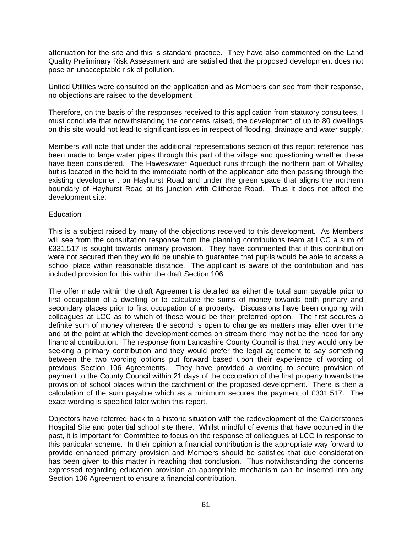attenuation for the site and this is standard practice. They have also commented on the Land Quality Preliminary Risk Assessment and are satisfied that the proposed development does not pose an unacceptable risk of pollution.

United Utilities were consulted on the application and as Members can see from their response, no objections are raised to the development.

Therefore, on the basis of the responses received to this application from statutory consultees, I must conclude that notwithstanding the concerns raised, the development of up to 80 dwellings on this site would not lead to significant issues in respect of flooding, drainage and water supply.

Members will note that under the additional representations section of this report reference has been made to large water pipes through this part of the village and questioning whether these have been considered. The Haweswater Aqueduct runs through the northern part of Whalley but is located in the field to the immediate north of the application site then passing through the existing development on Hayhurst Road and under the green space that aligns the northern boundary of Hayhurst Road at its junction with Clitheroe Road. Thus it does not affect the development site.

## **Education**

This is a subject raised by many of the objections received to this development. As Members will see from the consultation response from the planning contributions team at LCC a sum of £331,517 is sought towards primary provision. They have commented that if this contribution were not secured then they would be unable to guarantee that pupils would be able to access a school place within reasonable distance. The applicant is aware of the contribution and has included provision for this within the draft Section 106.

The offer made within the draft Agreement is detailed as either the total sum payable prior to first occupation of a dwelling or to calculate the sums of money towards both primary and secondary places prior to first occupation of a property. Discussions have been ongoing with colleagues at LCC as to which of these would be their preferred option. The first secures a definite sum of money whereas the second is open to change as matters may alter over time and at the point at which the development comes on stream there may not be the need for any financial contribution. The response from Lancashire County Council is that they would only be seeking a primary contribution and they would prefer the legal agreement to say something between the two wording options put forward based upon their experience of wording of previous Section 106 Agreements. They have provided a wording to secure provision of payment to the County Council within 21 days of the occupation of the first property towards the provision of school places within the catchment of the proposed development. There is then a calculation of the sum payable which as a minimum secures the payment of £331,517. The exact wording is specified later within this report.

Objectors have referred back to a historic situation with the redevelopment of the Calderstones Hospital Site and potential school site there. Whilst mindful of events that have occurred in the past, it is important for Committee to focus on the response of colleagues at LCC in response to this particular scheme. In their opinion a financial contribution is the appropriate way forward to provide enhanced primary provision and Members should be satisfied that due consideration has been given to this matter in reaching that conclusion. Thus notwithstanding the concerns expressed regarding education provision an appropriate mechanism can be inserted into any Section 106 Agreement to ensure a financial contribution.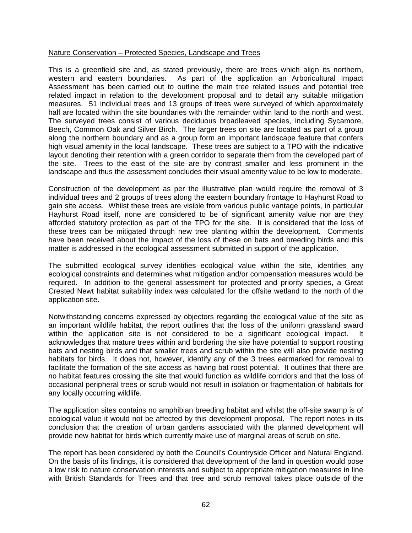### Nature Conservation – Protected Species, Landscape and Trees

This is a greenfield site and, as stated previously, there are trees which align its northern, western and eastern boundaries. As part of the application an Arboricultural Impact Assessment has been carried out to outline the main tree related issues and potential tree related impact in relation to the development proposal and to detail any suitable mitigation measures. 51 individual trees and 13 groups of trees were surveyed of which approximately half are located within the site boundaries with the remainder within land to the north and west. The surveyed trees consist of various deciduous broadleaved species, including Sycamore, Beech, Common Oak and Silver Birch. The larger trees on site are located as part of a group along the northern boundary and as a group form an important landscape feature that confers high visual amenity in the local landscape. These trees are subject to a TPO with the indicative layout denoting their retention with a green corridor to separate them from the developed part of the site. Trees to the east of the site are by contrast smaller and less prominent in the landscape and thus the assessment concludes their visual amenity value to be low to moderate.

Construction of the development as per the illustrative plan would require the removal of 3 individual trees and 2 groups of trees along the eastern boundary frontage to Hayhurst Road to gain site access. Whilst these trees are visible from various public vantage points, in particular Hayhurst Road itself, none are considered to be of significant amenity value nor are they afforded statutory protection as part of the TPO for the site. It is considered that the loss of these trees can be mitigated through new tree planting within the development. Comments have been received about the impact of the loss of these on bats and breeding birds and this matter is addressed in the ecological assessment submitted in support of the application.

The submitted ecological survey identifies ecological value within the site, identifies any ecological constraints and determines what mitigation and/or compensation measures would be required. In addition to the general assessment for protected and priority species, a Great Crested Newt habitat suitability index was calculated for the offsite wetland to the north of the application site.

Notwithstanding concerns expressed by objectors regarding the ecological value of the site as an important wildlife habitat, the report outlines that the loss of the uniform grassland sward within the application site is not considered to be a significant ecological impact. It acknowledges that mature trees within and bordering the site have potential to support roosting bats and nesting birds and that smaller trees and scrub within the site will also provide nesting habitats for birds. It does not, however, identify any of the 3 trees earmarked for removal to facilitate the formation of the site access as having bat roost potential. It outlines that there are no habitat features crossing the site that would function as wildlife corridors and that the loss of occasional peripheral trees or scrub would not result in isolation or fragmentation of habitats for any locally occurring wildlife.

The application sites contains no amphibian breeding habitat and whilst the off-site swamp is of ecological value it would not be affected by this development proposal. The report notes in its conclusion that the creation of urban gardens associated with the planned development will provide new habitat for birds which currently make use of marginal areas of scrub on site.

The report has been considered by both the Council's Countryside Officer and Natural England. On the basis of its findings, it is considered that development of the land in question would pose a low risk to nature conservation interests and subject to appropriate mitigation measures in line with British Standards for Trees and that tree and scrub removal takes place outside of the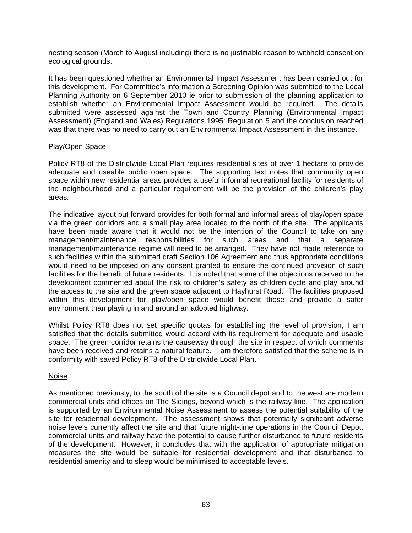nesting season (March to August including) there is no justifiable reason to withhold consent on ecological grounds.

It has been questioned whether an Environmental Impact Assessment has been carried out for this development. For Committee's information a Screening Opinion was submitted to the Local Planning Authority on 6 September 2010 ie prior to submission of the planning application to establish whether an Environmental Impact Assessment would be required. The details submitted were assessed against the Town and Country Planning (Environmental Impact Assessment) (England and Wales) Regulations 1995: Regulation 5 and the conclusion reached was that there was no need to carry out an Environmental Impact Assessment in this instance.

### Play/Open Space

Policy RT8 of the Districtwide Local Plan requires residential sites of over 1 hectare to provide adequate and useable public open space. The supporting text notes that community open space within new residential areas provides a useful informal recreational facility for residents of the neighbourhood and a particular requirement will be the provision of the children's play areas.

The indicative layout put forward provides for both formal and informal areas of play/open space via the green corridors and a small play area located to the north of the site. The applicants have been made aware that it would not be the intention of the Council to take on any management/maintenance responsibilities for such areas and that a separate management/maintenance regime will need to be arranged. They have not made reference to such facilities within the submitted draft Section 106 Agreement and thus appropriate conditions would need to be imposed on any consent granted to ensure the continued provision of such facilities for the benefit of future residents. It is noted that some of the objections received to the development commented about the risk to children's safety as children cycle and play around the access to the site and the green space adjacent to Hayhurst Road. The facilities proposed within this development for play/open space would benefit those and provide a safer environment than playing in and around an adopted highway.

Whilst Policy RT8 does not set specific quotas for establishing the level of provision, I am satisfied that the details submitted would accord with its requirement for adequate and usable space. The green corridor retains the causeway through the site in respect of which comments have been received and retains a natural feature. I am therefore satisfied that the scheme is in conformity with saved Policy RT8 of the Districtwide Local Plan.

### Noise

As mentioned previously, to the south of the site is a Council depot and to the west are modern commercial units and offices on The Sidings, beyond which is the railway line. The application is supported by an Environmental Noise Assessment to assess the potential suitability of the site for residential development. The assessment shows that potentially significant adverse noise levels currently affect the site and that future night-time operations in the Council Depot, commercial units and railway have the potential to cause further disturbance to future residents of the development. However, it concludes that with the application of appropriate mitigation measures the site would be suitable for residential development and that disturbance to residential amenity and to sleep would be minimised to acceptable levels.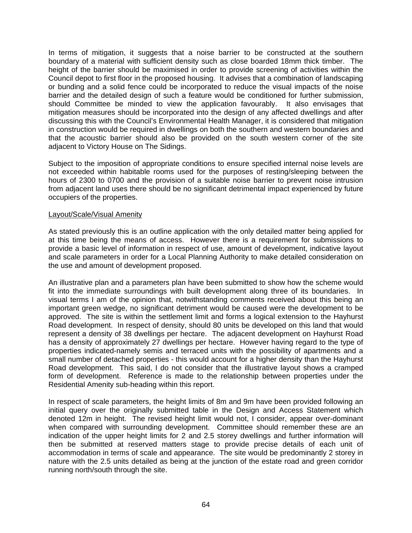In terms of mitigation, it suggests that a noise barrier to be constructed at the southern boundary of a material with sufficient density such as close boarded 18mm thick timber. The height of the barrier should be maximised in order to provide screening of activities within the Council depot to first floor in the proposed housing. It advises that a combination of landscaping or bunding and a solid fence could be incorporated to reduce the visual impacts of the noise barrier and the detailed design of such a feature would be conditioned for further submission, should Committee be minded to view the application favourably. It also envisages that mitigation measures should be incorporated into the design of any affected dwellings and after discussing this with the Council's Environmental Health Manager, it is considered that mitigation in construction would be required in dwellings on both the southern and western boundaries and that the acoustic barrier should also be provided on the south western corner of the site adjacent to Victory House on The Sidings.

Subject to the imposition of appropriate conditions to ensure specified internal noise levels are not exceeded within habitable rooms used for the purposes of resting/sleeping between the hours of 2300 to 0700 and the provision of a suitable noise barrier to prevent noise intrusion from adjacent land uses there should be no significant detrimental impact experienced by future occupiers of the properties.

### Layout/Scale/Visual Amenity

As stated previously this is an outline application with the only detailed matter being applied for at this time being the means of access. However there is a requirement for submissions to provide a basic level of information in respect of use, amount of development, indicative layout and scale parameters in order for a Local Planning Authority to make detailed consideration on the use and amount of development proposed.

An illustrative plan and a parameters plan have been submitted to show how the scheme would fit into the immediate surroundings with built development along three of its boundaries. In visual terms I am of the opinion that, notwithstanding comments received about this being an important green wedge, no significant detriment would be caused were the development to be approved. The site is within the settlement limit and forms a logical extension to the Hayhurst Road development. In respect of density, should 80 units be developed on this land that would represent a density of 38 dwellings per hectare. The adjacent development on Hayhurst Road has a density of approximately 27 dwellings per hectare. However having regard to the type of properties indicated-namely semis and terraced units with the possibility of apartments and a small number of detached properties - this would account for a higher density than the Hayhurst Road development. This said, I do not consider that the illustrative layout shows a cramped form of development. Reference is made to the relationship between properties under the Residential Amenity sub-heading within this report.

In respect of scale parameters, the height limits of 8m and 9m have been provided following an initial query over the originally submitted table in the Design and Access Statement which denoted 12m in height. The revised height limit would not, I consider, appear over-dominant when compared with surrounding development. Committee should remember these are an indication of the upper height limits for 2 and 2.5 storey dwellings and further information will then be submitted at reserved matters stage to provide precise details of each unit of accommodation in terms of scale and appearance. The site would be predominantly 2 storey in nature with the 2.5 units detailed as being at the junction of the estate road and green corridor running north/south through the site.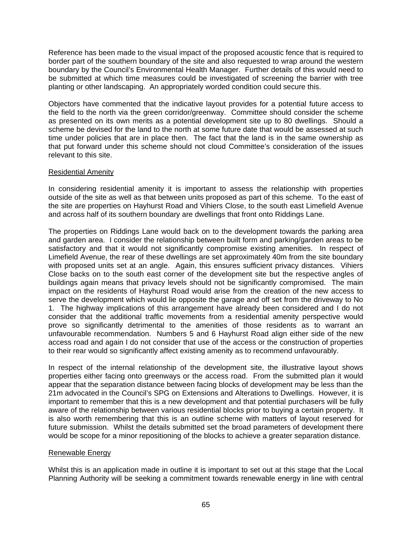Reference has been made to the visual impact of the proposed acoustic fence that is required to border part of the southern boundary of the site and also requested to wrap around the western boundary by the Council's Environmental Health Manager. Further details of this would need to be submitted at which time measures could be investigated of screening the barrier with tree planting or other landscaping. An appropriately worded condition could secure this.

Objectors have commented that the indicative layout provides for a potential future access to the field to the north via the green corridor/greenway. Committee should consider the scheme as presented on its own merits as a potential development site up to 80 dwellings. Should a scheme be devised for the land to the north at some future date that would be assessed at such time under policies that are in place then. The fact that the land is in the same ownership as that put forward under this scheme should not cloud Committee's consideration of the issues relevant to this site.

# Residential Amenity

In considering residential amenity it is important to assess the relationship with properties outside of the site as well as that between units proposed as part of this scheme. To the east of the site are properties on Hayhurst Road and Vihiers Close, to the south east Limefield Avenue and across half of its southern boundary are dwellings that front onto Riddings Lane.

The properties on Riddings Lane would back on to the development towards the parking area and garden area. I consider the relationship between built form and parking/garden areas to be satisfactory and that it would not significantly compromise existing amenities. In respect of Limefield Avenue, the rear of these dwellings are set approximately 40m from the site boundary with proposed units set at an angle. Again, this ensures sufficient privacy distances. Vihiers Close backs on to the south east corner of the development site but the respective angles of buildings again means that privacy levels should not be significantly compromised. The main impact on the residents of Hayhurst Road would arise from the creation of the new access to serve the development which would lie opposite the garage and off set from the driveway to No 1. The highway implications of this arrangement have already been considered and I do not consider that the additional traffic movements from a residential amenity perspective would prove so significantly detrimental to the amenities of those residents as to warrant an unfavourable recommendation. Numbers 5 and 6 Hayhurst Road align either side of the new access road and again I do not consider that use of the access or the construction of properties to their rear would so significantly affect existing amenity as to recommend unfavourably.

In respect of the internal relationship of the development site, the illustrative layout shows properties either facing onto greenways or the access road. From the submitted plan it would appear that the separation distance between facing blocks of development may be less than the 21m advocated in the Council's SPG on Extensions and Alterations to Dwellings. However, it is important to remember that this is a new development and that potential purchasers will be fully aware of the relationship between various residential blocks prior to buying a certain property. It is also worth remembering that this is an outline scheme with matters of layout reserved for future submission. Whilst the details submitted set the broad parameters of development there would be scope for a minor repositioning of the blocks to achieve a greater separation distance.

# Renewable Energy

Whilst this is an application made in outline it is important to set out at this stage that the Local Planning Authority will be seeking a commitment towards renewable energy in line with central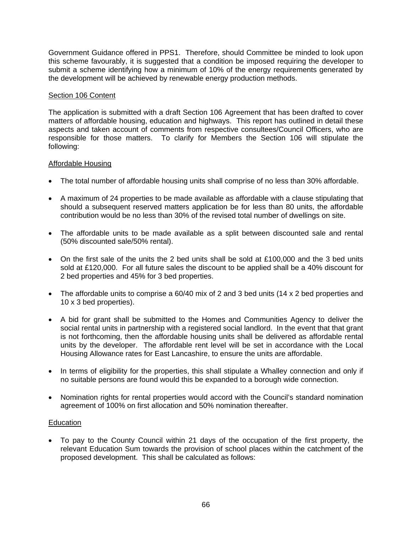Government Guidance offered in PPS1. Therefore, should Committee be minded to look upon this scheme favourably, it is suggested that a condition be imposed requiring the developer to submit a scheme identifying how a minimum of 10% of the energy requirements generated by the development will be achieved by renewable energy production methods.

## Section 106 Content

The application is submitted with a draft Section 106 Agreement that has been drafted to cover matters of affordable housing, education and highways. This report has outlined in detail these aspects and taken account of comments from respective consultees/Council Officers, who are responsible for those matters. To clarify for Members the Section 106 will stipulate the following:

# Affordable Housing

- The total number of affordable housing units shall comprise of no less than 30% affordable.
- A maximum of 24 properties to be made available as affordable with a clause stipulating that should a subsequent reserved matters application be for less than 80 units, the affordable contribution would be no less than 30% of the revised total number of dwellings on site.
- The affordable units to be made available as a split between discounted sale and rental (50% discounted sale/50% rental).
- On the first sale of the units the 2 bed units shall be sold at £100,000 and the 3 bed units sold at £120,000. For all future sales the discount to be applied shall be a 40% discount for 2 bed properties and 45% for 3 bed properties.
- The affordable units to comprise a 60/40 mix of 2 and 3 bed units (14 x 2 bed properties and 10 x 3 bed properties).
- A bid for grant shall be submitted to the Homes and Communities Agency to deliver the social rental units in partnership with a registered social landlord. In the event that that grant is not forthcoming, then the affordable housing units shall be delivered as affordable rental units by the developer. The affordable rent level will be set in accordance with the Local Housing Allowance rates for East Lancashire, to ensure the units are affordable.
- In terms of eligibility for the properties, this shall stipulate a Whalley connection and only if no suitable persons are found would this be expanded to a borough wide connection.
- Nomination rights for rental properties would accord with the Council's standard nomination agreement of 100% on first allocation and 50% nomination thereafter.

### Education

• To pay to the County Council within 21 days of the occupation of the first property, the relevant Education Sum towards the provision of school places within the catchment of the proposed development. This shall be calculated as follows: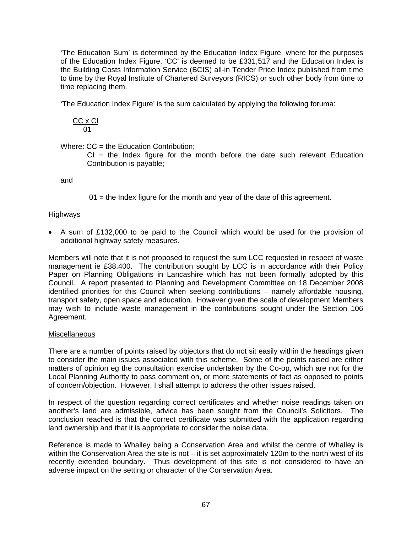'The Education Sum' is determined by the Education Index Figure, where for the purposes of the Education Index Figure, 'CC' is deemed to be £331,517 and the Education Index is the Building Costs Information Service (BCIS) all-in Tender Price Index published from time to time by the Royal Institute of Chartered Surveyors (RICS) or such other body from time to time replacing them.

'The Education Index Figure' is the sum calculated by applying the following foruma:

$$
\frac{CC \times CI}{01}
$$

Where:  $CC =$  the Education Contribution:

 $CI = the Index figure for the month before the date such relevant Education$ Contribution is payable;

and

 $01$  = the Index figure for the month and year of the date of this agreement.

# **Highways**

• A sum of £132,000 to be paid to the Council which would be used for the provision of additional highway safety measures.

Members will note that it is not proposed to request the sum LCC requested in respect of waste management ie £38,400. The contribution sought by LCC is in accordance with their Policy Paper on Planning Obligations in Lancashire which has not been formally adopted by this Council. A report presented to Planning and Development Committee on 18 December 2008 identified priorities for this Council when seeking contributions – namely affordable housing, transport safety, open space and education. However given the scale of development Members may wish to include waste management in the contributions sought under the Section 106 Agreement.

# Miscellaneous

There are a number of points raised by objectors that do not sit easily within the headings given to consider the main issues associated with this scheme. Some of the points raised are either matters of opinion eg the consultation exercise undertaken by the Co-op, which are not for the Local Planning Authority to pass comment on, or more statements of fact as opposed to points of concern/objection. However, I shall attempt to address the other issues raised.

In respect of the question regarding correct certificates and whether noise readings taken on another's land are admissible, advice has been sought from the Council's Solicitors. The conclusion reached is that the correct certificate was submitted with the application regarding land ownership and that it is appropriate to consider the noise data.

Reference is made to Whalley being a Conservation Area and whilst the centre of Whalley is within the Conservation Area the site is not – it is set approximately 120m to the north west of its recently extended boundary. Thus development of this site is not considered to have an adverse impact on the setting or character of the Conservation Area.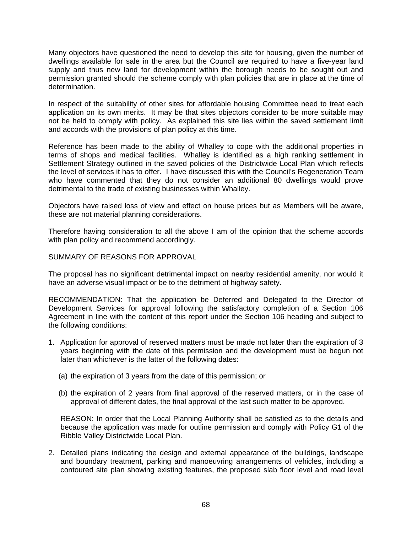Many objectors have questioned the need to develop this site for housing, given the number of dwellings available for sale in the area but the Council are required to have a five-year land supply and thus new land for development within the borough needs to be sought out and permission granted should the scheme comply with plan policies that are in place at the time of determination.

In respect of the suitability of other sites for affordable housing Committee need to treat each application on its own merits. It may be that sites objectors consider to be more suitable may not be held to comply with policy. As explained this site lies within the saved settlement limit and accords with the provisions of plan policy at this time.

Reference has been made to the ability of Whalley to cope with the additional properties in terms of shops and medical facilities. Whalley is identified as a high ranking settlement in Settlement Strategy outlined in the saved policies of the Districtwide Local Plan which reflects the level of services it has to offer. I have discussed this with the Council's Regeneration Team who have commented that they do not consider an additional 80 dwellings would prove detrimental to the trade of existing businesses within Whalley.

Objectors have raised loss of view and effect on house prices but as Members will be aware, these are not material planning considerations.

Therefore having consideration to all the above I am of the opinion that the scheme accords with plan policy and recommend accordingly.

## SUMMARY OF REASONS FOR APPROVAL

The proposal has no significant detrimental impact on nearby residential amenity, nor would it have an adverse visual impact or be to the detriment of highway safety.

RECOMMENDATION: That the application be Deferred and Delegated to the Director of Development Services for approval following the satisfactory completion of a Section 106 Agreement in line with the content of this report under the Section 106 heading and subject to the following conditions:

- 1. Application for approval of reserved matters must be made not later than the expiration of 3 years beginning with the date of this permission and the development must be begun not later than whichever is the latter of the following dates:
	- (a) the expiration of 3 years from the date of this permission; or
	- (b) the expiration of 2 years from final approval of the reserved matters, or in the case of approval of different dates, the final approval of the last such matter to be approved.

 REASON: In order that the Local Planning Authority shall be satisfied as to the details and because the application was made for outline permission and comply with Policy G1 of the Ribble Valley Districtwide Local Plan.

2. Detailed plans indicating the design and external appearance of the buildings, landscape and boundary treatment, parking and manoeuvring arrangements of vehicles, including a contoured site plan showing existing features, the proposed slab floor level and road level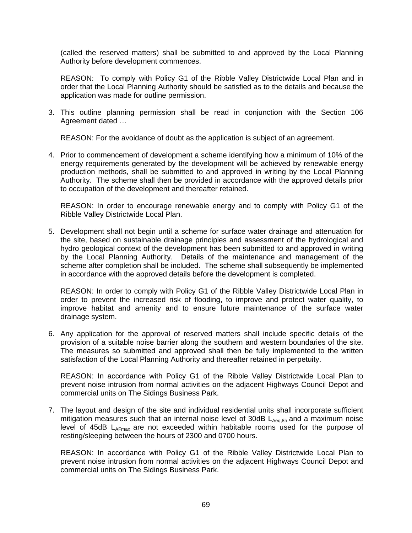(called the reserved matters) shall be submitted to and approved by the Local Planning Authority before development commences.

REASON: To comply with Policy G1 of the Ribble Valley Districtwide Local Plan and in order that the Local Planning Authority should be satisfied as to the details and because the application was made for outline permission.

3. This outline planning permission shall be read in conjunction with the Section 106 Agreement dated …

REASON: For the avoidance of doubt as the application is subject of an agreement.

4. Prior to commencement of development a scheme identifying how a minimum of 10% of the energy requirements generated by the development will be achieved by renewable energy production methods, shall be submitted to and approved in writing by the Local Planning Authority. The scheme shall then be provided in accordance with the approved details prior to occupation of the development and thereafter retained.

 REASON: In order to encourage renewable energy and to comply with Policy G1 of the Ribble Valley Districtwide Local Plan.

5. Development shall not begin until a scheme for surface water drainage and attenuation for the site, based on sustainable drainage principles and assessment of the hydrological and hydro geological context of the development has been submitted to and approved in writing by the Local Planning Authority. Details of the maintenance and management of the scheme after completion shall be included. The scheme shall subsequently be implemented in accordance with the approved details before the development is completed.

 REASON: In order to comply with Policy G1 of the Ribble Valley Districtwide Local Plan in order to prevent the increased risk of flooding, to improve and protect water quality, to improve habitat and amenity and to ensure future maintenance of the surface water drainage system.

6. Any application for the approval of reserved matters shall include specific details of the provision of a suitable noise barrier along the southern and western boundaries of the site. The measures so submitted and approved shall then be fully implemented to the written satisfaction of the Local Planning Authority and thereafter retained in perpetuity.

 REASON: In accordance with Policy G1 of the Ribble Valley Districtwide Local Plan to prevent noise intrusion from normal activities on the adjacent Highways Council Depot and commercial units on The Sidings Business Park.

7. The layout and design of the site and individual residential units shall incorporate sufficient mitigation measures such that an internal noise level of 30dB  $L_{Aea,8h}$  and a maximum noise level of 45dB  $L_{AFmax}$  are not exceeded within habitable rooms used for the purpose of resting/sleeping between the hours of 2300 and 0700 hours.

 REASON: In accordance with Policy G1 of the Ribble Valley Districtwide Local Plan to prevent noise intrusion from normal activities on the adjacent Highways Council Depot and commercial units on The Sidings Business Park.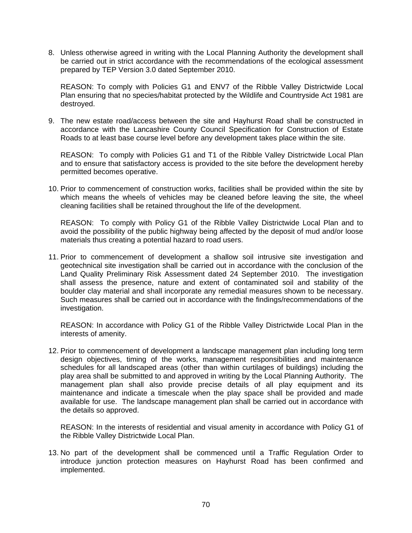8. Unless otherwise agreed in writing with the Local Planning Authority the development shall be carried out in strict accordance with the recommendations of the ecological assessment prepared by TEP Version 3.0 dated September 2010.

 REASON: To comply with Policies G1 and ENV7 of the Ribble Valley Districtwide Local Plan ensuring that no species/habitat protected by the Wildlife and Countryside Act 1981 are destroyed.

9. The new estate road/access between the site and Hayhurst Road shall be constructed in accordance with the Lancashire County Council Specification for Construction of Estate Roads to at least base course level before any development takes place within the site.

 REASON: To comply with Policies G1 and T1 of the Ribble Valley Districtwide Local Plan and to ensure that satisfactory access is provided to the site before the development hereby permitted becomes operative.

10. Prior to commencement of construction works, facilities shall be provided within the site by which means the wheels of vehicles may be cleaned before leaving the site, the wheel cleaning facilities shall be retained throughout the life of the development.

 REASON: To comply with Policy G1 of the Ribble Valley Districtwide Local Plan and to avoid the possibility of the public highway being affected by the deposit of mud and/or loose materials thus creating a potential hazard to road users.

11. Prior to commencement of development a shallow soil intrusive site investigation and geotechnical site investigation shall be carried out in accordance with the conclusion of the Land Quality Preliminary Risk Assessment dated 24 September 2010. The investigation shall assess the presence, nature and extent of contaminated soil and stability of the boulder clay material and shall incorporate any remedial measures shown to be necessary. Such measures shall be carried out in accordance with the findings/recommendations of the investigation.

 REASON: In accordance with Policy G1 of the Ribble Valley Districtwide Local Plan in the interests of amenity.

12. Prior to commencement of development a landscape management plan including long term design objectives, timing of the works, management responsibilities and maintenance schedules for all landscaped areas (other than within curtilages of buildings) including the play area shall be submitted to and approved in writing by the Local Planning Authority. The management plan shall also provide precise details of all play equipment and its maintenance and indicate a timescale when the play space shall be provided and made available for use. The landscape management plan shall be carried out in accordance with the details so approved.

 REASON: In the interests of residential and visual amenity in accordance with Policy G1 of the Ribble Valley Districtwide Local Plan.

13. No part of the development shall be commenced until a Traffic Regulation Order to introduce junction protection measures on Hayhurst Road has been confirmed and implemented.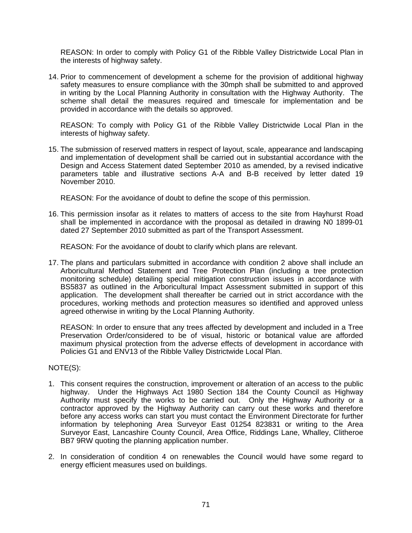REASON: In order to comply with Policy G1 of the Ribble Valley Districtwide Local Plan in the interests of highway safety.

14. Prior to commencement of development a scheme for the provision of additional highway safety measures to ensure compliance with the 30mph shall be submitted to and approved in writing by the Local Planning Authority in consultation with the Highway Authority. The scheme shall detail the measures required and timescale for implementation and be provided in accordance with the details so approved.

 REASON: To comply with Policy G1 of the Ribble Valley Districtwide Local Plan in the interests of highway safety.

15. The submission of reserved matters in respect of layout, scale, appearance and landscaping and implementation of development shall be carried out in substantial accordance with the Design and Access Statement dated September 2010 as amended, by a revised indicative parameters table and illustrative sections A-A and B-B received by letter dated 19 November 2010.

REASON: For the avoidance of doubt to define the scope of this permission.

16. This permission insofar as it relates to matters of access to the site from Hayhurst Road shall be implemented in accordance with the proposal as detailed in drawing N0 1899-01 dated 27 September 2010 submitted as part of the Transport Assessment.

REASON: For the avoidance of doubt to clarify which plans are relevant.

17. The plans and particulars submitted in accordance with condition 2 above shall include an Arboricultural Method Statement and Tree Protection Plan (including a tree protection monitoring schedule) detailing special mitigation construction issues in accordance with BS5837 as outlined in the Arboricultural Impact Assessment submitted in support of this application. The development shall thereafter be carried out in strict accordance with the procedures, working methods and protection measures so identified and approved unless agreed otherwise in writing by the Local Planning Authority.

 REASON: In order to ensure that any trees affected by development and included in a Tree Preservation Order/considered to be of visual, historic or botanical value are afforded maximum physical protection from the adverse effects of development in accordance with Policies G1 and ENV13 of the Ribble Valley Districtwide Local Plan.

# NOTE(S):

- 1. This consent requires the construction, improvement or alteration of an access to the public highway. Under the Highways Act 1980 Section 184 the County Council as Highway Authority must specify the works to be carried out. Only the Highway Authority or a contractor approved by the Highway Authority can carry out these works and therefore before any access works can start you must contact the Environment Directorate for further information by telephoning Area Surveyor East 01254 823831 or writing to the Area Surveyor East, Lancashire County Council, Area Office, Riddings Lane, Whalley, Clitheroe BB7 9RW quoting the planning application number.
- 2. In consideration of condition 4 on renewables the Council would have some regard to energy efficient measures used on buildings.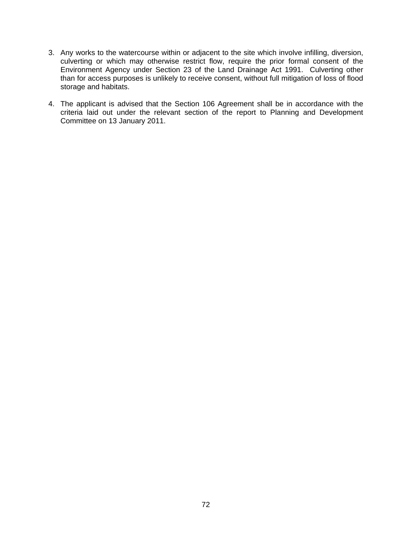- 3. Any works to the watercourse within or adjacent to the site which involve infilling, diversion, culverting or which may otherwise restrict flow, require the prior formal consent of the Environment Agency under Section 23 of the Land Drainage Act 1991. Culverting other than for access purposes is unlikely to receive consent, without full mitigation of loss of flood storage and habitats.
- 4. The applicant is advised that the Section 106 Agreement shall be in accordance with the criteria laid out under the relevant section of the report to Planning and Development Committee on 13 January 2011.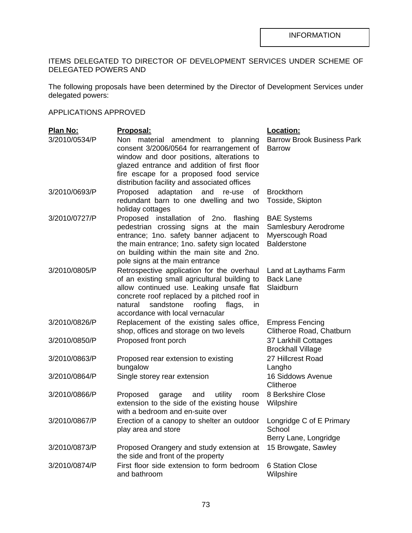## ITEMS DELEGATED TO DIRECTOR OF DEVELOPMENT SERVICES UNDER SCHEME OF DELEGATED POWERS AND

The following proposals have been determined by the Director of Development Services under delegated powers:

### APPLICATIONS APPROVED

| Plan No:      | <u> Proposal:</u>                                                                                                                                                                                                                                                             | Location:                                                                           |
|---------------|-------------------------------------------------------------------------------------------------------------------------------------------------------------------------------------------------------------------------------------------------------------------------------|-------------------------------------------------------------------------------------|
| 3/2010/0534/P | Non material<br>amendment to planning<br>consent 3/2006/0564 for rearrangement of<br>window and door positions, alterations to<br>glazed entrance and addition of first floor<br>fire escape for a proposed food service<br>distribution facility and associated offices      | <b>Barrow Brook Business Park</b><br><b>Barrow</b>                                  |
| 3/2010/0693/P | adaptation<br>Proposed<br>and<br>re-use<br>οf<br>redundant barn to one dwelling and two<br>holiday cottages                                                                                                                                                                   | <b>Brockthorn</b><br>Tosside, Skipton                                               |
| 3/2010/0727/P | Proposed installation of 2no. flashing<br>pedestrian crossing signs at the main<br>entrance; 1no. safety banner adjacent to<br>the main entrance; 1no. safety sign located<br>on building within the main site and 2no.<br>pole signs at the main entrance                    | <b>BAE Systems</b><br>Samlesbury Aerodrome<br>Myerscough Road<br><b>Balderstone</b> |
| 3/2010/0805/P | Retrospective application for the overhaul<br>of an existing small agricultural building to<br>allow continued use. Leaking unsafe flat<br>concrete roof replaced by a pitched roof in<br>sandstone<br>roofing<br>natural<br>flags,<br>in<br>accordance with local vernacular | Land at Laythams Farm<br><b>Back Lane</b><br>Slaidburn                              |
| 3/2010/0826/P | Replacement of the existing sales office,<br>shop, offices and storage on two levels                                                                                                                                                                                          | <b>Empress Fencing</b><br>Clitheroe Road, Chatburn                                  |
| 3/2010/0850/P | Proposed front porch                                                                                                                                                                                                                                                          | 37 Larkhill Cottages<br><b>Brockhall Village</b>                                    |
| 3/2010/0863/P | Proposed rear extension to existing<br>bungalow                                                                                                                                                                                                                               | 27 Hillcrest Road<br>Langho                                                         |
| 3/2010/0864/P | Single storey rear extension                                                                                                                                                                                                                                                  | <b>16 Siddows Avenue</b><br>Clitheroe                                               |
| 3/2010/0866/P | Proposed<br>utility<br>garage<br>and<br>room<br>extension to the side of the existing house<br>with a bedroom and en-suite over                                                                                                                                               | 8 Berkshire Close<br>Wilpshire                                                      |
| 3/2010/0867/P | Erection of a canopy to shelter an outdoor<br>play area and store                                                                                                                                                                                                             | Longridge C of E Primary<br>School<br>Berry Lane, Longridge                         |
| 3/2010/0873/P | Proposed Orangery and study extension at<br>the side and front of the property                                                                                                                                                                                                | 15 Browgate, Sawley                                                                 |
| 3/2010/0874/P | First floor side extension to form bedroom<br>and bathroom                                                                                                                                                                                                                    | <b>6 Station Close</b><br>Wilpshire                                                 |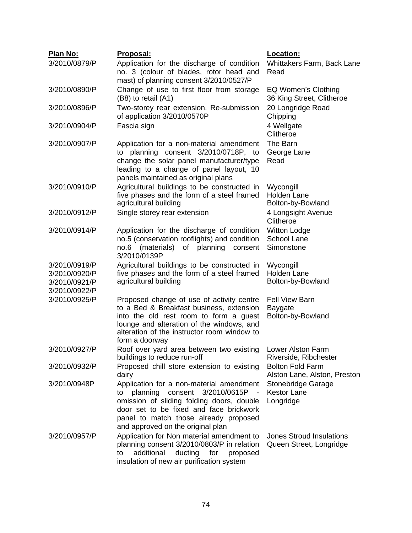| Plan No:                       | Proposal:                                                                                                                                                                                                                                               | Location:                                                    |
|--------------------------------|---------------------------------------------------------------------------------------------------------------------------------------------------------------------------------------------------------------------------------------------------------|--------------------------------------------------------------|
| 3/2010/0879/P                  | Application for the discharge of condition<br>no. 3 (colour of blades, rotor head and<br>mast) of planning consent 3/2010/0527/P                                                                                                                        | Whittakers Farm, Back Lane<br>Read                           |
| 3/2010/0890/P                  | Change of use to first floor from storage<br>(B8) to retail (A1)                                                                                                                                                                                        | EQ Women's Clothing<br>36 King Street, Clitheroe             |
| 3/2010/0896/P                  | Two-storey rear extension. Re-submission<br>of application 3/2010/0570P                                                                                                                                                                                 | 20 Longridge Road<br>Chipping                                |
| 3/2010/0904/P                  | Fascia sign                                                                                                                                                                                                                                             | 4 Wellgate<br>Clitheroe                                      |
| 3/2010/0907/P                  | Application for a non-material amendment<br>to planning consent 3/2010/0718P, to<br>change the solar panel manufacturer/type<br>leading to a change of panel layout, 10<br>panels maintained as original plans                                          | The Barn<br>George Lane<br>Read                              |
| 3/2010/0910/P                  | Agricultural buildings to be constructed in<br>five phases and the form of a steel framed<br>agricultural building                                                                                                                                      | Wycongill<br><b>Holden Lane</b><br>Bolton-by-Bowland         |
| 3/2010/0912/P                  | Single storey rear extension                                                                                                                                                                                                                            | 4 Longsight Avenue<br>Clitheroe                              |
| 3/2010/0914/P                  | Application for the discharge of condition<br>no.5 (conservation rooflights) and condition<br>(materials)<br>of planning<br>no.6<br>consent<br>3/2010/0139P                                                                                             | <b>Witton Lodge</b><br><b>School Lane</b><br>Simonstone      |
| 3/2010/0919/P                  | Agricultural buildings to be constructed in                                                                                                                                                                                                             | Wycongill                                                    |
| 3/2010/0920/P                  | five phases and the form of a steel framed                                                                                                                                                                                                              | <b>Holden Lane</b>                                           |
| 3/2010/0921/P<br>3/2010/0922/P | agricultural building                                                                                                                                                                                                                                   | Bolton-by-Bowland                                            |
| 3/2010/0925/P                  | Proposed change of use of activity centre<br>to a Bed & Breakfast business, extension<br>into the old rest room to form a guest<br>lounge and alteration of the windows, and<br>alteration of the instructor room window to                             | <b>Fell View Barn</b><br><b>Baygate</b><br>Bolton-by-Bowland |
|                                | form a doorway                                                                                                                                                                                                                                          |                                                              |
| 3/2010/0927/P                  | Roof over yard area between two existing<br>buildings to reduce run-off                                                                                                                                                                                 | Lower Alston Farm<br>Riverside, Ribchester                   |
| 3/2010/0932/P                  | Proposed chill store extension to existing<br>dairy                                                                                                                                                                                                     | <b>Bolton Fold Farm</b><br>Alston Lane, Alston, Preston      |
| 3/2010/0948P                   | Application for a non-material amendment<br>planning consent 3/2010/0615P -<br>to<br>omission of sliding folding doors, double<br>door set to be fixed and face brickwork<br>panel to match those already proposed<br>and approved on the original plan | Stonebridge Garage<br><b>Kestor Lane</b><br>Longridge        |
| 3/2010/0957/P                  | Application for Non material amendment to<br>planning consent 3/2010/0803/P in relation<br>additional<br>ducting<br>for<br>to<br>proposed<br>insulation of new air purification system                                                                  | <b>Jones Stroud Insulations</b><br>Queen Street, Longridge   |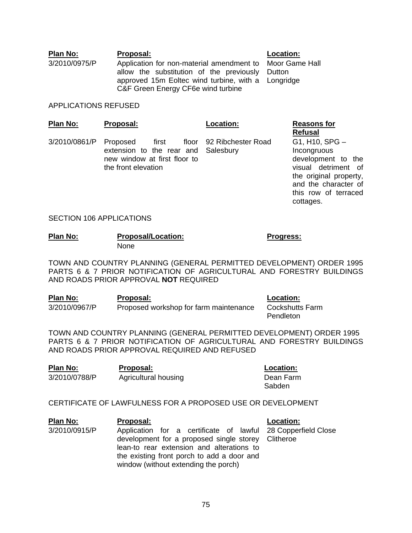**Plan No: Proposal: Location:** 3/2010/0975/P Application for non-material amendment to Moor Game Hall allow the substitution of the previously approved 15m Eoltec wind turbine, with a Longridge C&F Green Energy CF6e wind turbine

**Dutton** 

#### APPLICATIONS REFUSED

| Plan No: | Proposal: | Location: |
|----------|-----------|-----------|
|          |           |           |

 $3/2010/0861/P$  Proposed first extension to the rear and Salesbury new window at first floor to the front elevation

92 Ribchester Road

#### **Reasons for Refusal**

G1, H10, SPG – Incongruous development to the visual detriment of the original property, and the character of this row of terraced cottages.

#### SECTION 106 APPLICATIONS

| Plan No: | <b>Proposal/Location:</b> | Progress: |  |
|----------|---------------------------|-----------|--|
|          | <b>None</b>               |           |  |

TOWN AND COUNTRY PLANNING (GENERAL PERMITTED DEVELOPMENT) ORDER 1995 PARTS 6 & 7 PRIOR NOTIFICATION OF AGRICULTURAL AND FORESTRY BUILDINGS AND ROADS PRIOR APPROVAL **NOT** REQUIRED

| Plan No:      | <b>Proposal:</b>                       | <b>Location:</b> |
|---------------|----------------------------------------|------------------|
| 3/2010/0967/P | Proposed workshop for farm maintenance | Cockshutts Farm  |
|               |                                        | Pendleton        |

TOWN AND COUNTRY PLANNING (GENERAL PERMITTED DEVELOPMENT) ORDER 1995 PARTS 6 & 7 PRIOR NOTIFICATION OF AGRICULTURAL AND FORESTRY BUILDINGS AND ROADS PRIOR APPROVAL REQUIRED AND REFUSED

| Plan No:      | Proposal:                   |
|---------------|-----------------------------|
| 3/2010/0788/P | <b>Agricultural housing</b> |

**Location:** 

Dean Farm Sabden

#### CERTIFICATE OF LAWFULNESS FOR A PROPOSED USE OR DEVELOPMENT

**Plan No: Proposal: Location:** 3/2010/0915/P Application for a certificate of lawful 28 Copperfield Close development for a proposed single storey Clitheroe lean-to rear extension and alterations to the existing front porch to add a door and window (without extending the porch)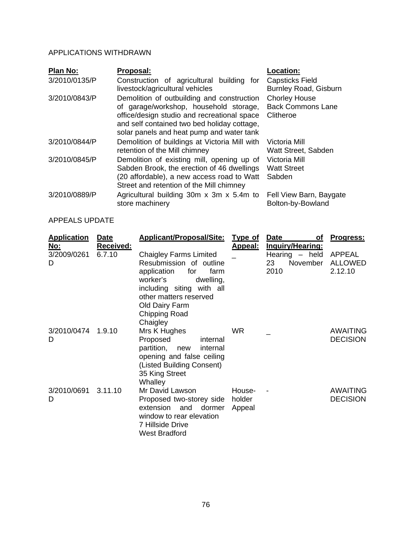## APPLICATIONS WITHDRAWN

| Plan No:      | Proposal:                                                                                                                                                                                                                       | Location:                                                     |
|---------------|---------------------------------------------------------------------------------------------------------------------------------------------------------------------------------------------------------------------------------|---------------------------------------------------------------|
| 3/2010/0135/P | Construction of agricultural building for<br>livestock/agricultural vehicles                                                                                                                                                    | <b>Capsticks Field</b><br><b>Burnley Road, Gisburn</b>        |
| 3/2010/0843/P | Demolition of outbuilding and construction<br>of garage/workshop, household storage,<br>office/design studio and recreational space<br>and self contained two bed holiday cottage,<br>solar panels and heat pump and water tank | <b>Chorley House</b><br><b>Back Commons Lane</b><br>Clitheroe |
| 3/2010/0844/P | Demolition of buildings at Victoria Mill with<br>retention of the Mill chimney                                                                                                                                                  | Victoria Mill<br>Watt Street, Sabden                          |
| 3/2010/0845/P | Demolition of existing mill, opening up of<br>Sabden Brook, the erection of 46 dwellings<br>(20 affordable), a new access road to Watt<br>Street and retention of the Mill chimney                                              | Victoria Mill<br><b>Watt Street</b><br>Sabden                 |
| 3/2010/0889/P | Agricultural building 30m x 3m x 5.4m to<br>store machinery                                                                                                                                                                     | Fell View Barn, Baygate<br>Bolton-by-Bowland                  |

# APPEALS UPDATE

| <b>Application</b> | <b>Date</b>      | <b>Applicant/Proposal/Site:</b> | <b>Type of</b>  | Date<br>οf              | Progress:       |
|--------------------|------------------|---------------------------------|-----------------|-------------------------|-----------------|
| <u>No:</u>         | <b>Received:</b> |                                 | <u> Appeal:</u> | <b>Inquiry/Hearing:</b> |                 |
| 3/2009/0261        | 6.7.10           | <b>Chaigley Farms Limited</b>   |                 | Hearing $-$ held        | <b>APPEAL</b>   |
| D                  |                  | Resubmission of outline         |                 | 23<br>November          | <b>ALLOWED</b>  |
|                    |                  | for<br>application<br>farm      |                 | 2010                    | 2.12.10         |
|                    |                  | worker's<br>dwelling,           |                 |                         |                 |
|                    |                  | including siting with all       |                 |                         |                 |
|                    |                  | other matters reserved          |                 |                         |                 |
|                    |                  | Old Dairy Farm                  |                 |                         |                 |
|                    |                  | Chipping Road                   |                 |                         |                 |
| 3/2010/0474        | 1.9.10           | Chaigley<br>Mrs K Hughes        | <b>WR</b>       |                         | <b>AWAITING</b> |
| D                  |                  | Proposed<br>internal            |                 |                         | <b>DECISION</b> |
|                    |                  | partition, new<br>internal      |                 |                         |                 |
|                    |                  | opening and false ceiling       |                 |                         |                 |
|                    |                  | (Listed Building Consent)       |                 |                         |                 |
|                    |                  | 35 King Street                  |                 |                         |                 |
|                    |                  | Whalley                         |                 |                         |                 |
| 3/2010/0691        | 3.11.10          | Mr David Lawson                 | House-          |                         | <b>AWAITING</b> |
| D                  |                  | Proposed two-storey side holder |                 |                         | <b>DECISION</b> |
|                    |                  | extension<br>and<br>dormer      | Appeal          |                         |                 |
|                    |                  | window to rear elevation        |                 |                         |                 |
|                    |                  | <b>7 Hillside Drive</b>         |                 |                         |                 |
|                    |                  | <b>West Bradford</b>            |                 |                         |                 |